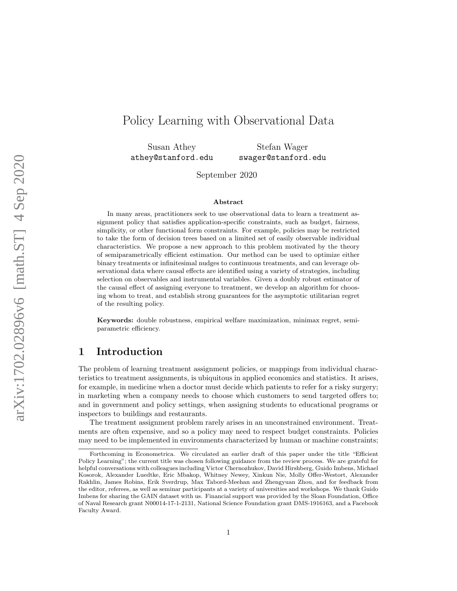# Policy Learning with Observational Data

Susan Athey athey@stanford.edu

Stefan Wager swager@stanford.edu

September 2020

#### Abstract

In many areas, practitioners seek to use observational data to learn a treatment assignment policy that satisfies application-specific constraints, such as budget, fairness, simplicity, or other functional form constraints. For example, policies may be restricted to take the form of decision trees based on a limited set of easily observable individual characteristics. We propose a new approach to this problem motivated by the theory of semiparametrically efficient estimation. Our method can be used to optimize either binary treatments or infinitesimal nudges to continuous treatments, and can leverage observational data where causal effects are identified using a variety of strategies, including selection on observables and instrumental variables. Given a doubly robust estimator of the causal effect of assigning everyone to treatment, we develop an algorithm for choosing whom to treat, and establish strong guarantees for the asymptotic utilitarian regret of the resulting policy.

Keywords: double robustness, empirical welfare maximization, minimax regret, semiparametric efficiency.

## 1 Introduction

The problem of learning treatment assignment policies, or mappings from individual characteristics to treatment assignments, is ubiquitous in applied economics and statistics[.](#page-0-0) It arises, for example, in medicine when a doctor must decide which patients to refer for a risky surgery; in marketing when a company needs to choose which customers to send targeted offers to; and in government and policy settings, when assigning students to educational programs or inspectors to buildings and restaurants.

The treatment assignment problem rarely arises in an unconstrained environment. Treatments are often expensive, and so a policy may need to respect budget constraints. Policies may need to be implemented in environments characterized by human or machine constraints;

<span id="page-0-0"></span>Forthcoming in Econometrica. We circulated an earlier draft of this paper under the title "Efficient Policy Learning"; the current title was chosen following guidance from the review process. We are grateful for helpful conversations with colleagues including Victor Chernozhukov, David Hirshberg, Guido Imbens, Michael Kosorok, Alexander Luedtke, Eric Mbakop, Whitney Newey, Xinkun Nie, Molly Offer-Westort, Alexander Rakhlin, James Robins, Erik Sverdrup, Max Tabord-Meehan and Zhengyuan Zhou, and for feedback from the editor, referees, as well as seminar participants at a variety of universities and workshops. We thank Guido Imbens for sharing the GAIN dataset with us. Financial support was provided by the Sloan Foundation, Office of Naval Research grant N00014-17-1-2131, National Science Foundation grant DMS-1916163, and a Facebook Faculty Award.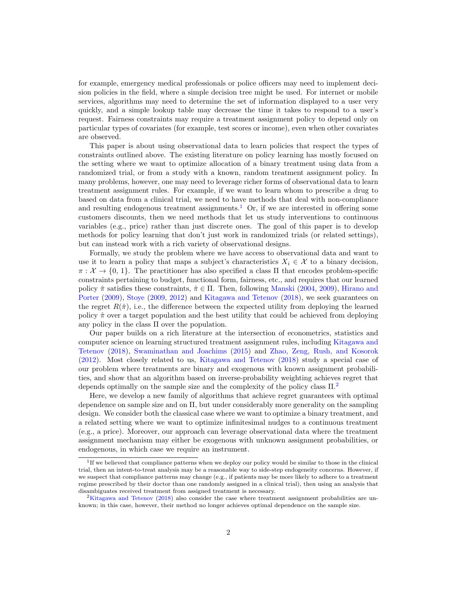for example, emergency medical professionals or police officers may need to implement decision policies in the field, where a simple decision tree might be used. For internet or mobile services, algorithms may need to determine the set of information displayed to a user very quickly, and a simple lookup table may decrease the time it takes to respond to a user's request. Fairness constraints may require a treatment assignment policy to depend only on particular types of covariates (for example, test scores or income), even when other covariates are observed.

This paper is about using observational data to learn policies that respect the types of constraints outlined above. The existing literature on policy learning has mostly focused on the setting where we want to optimize allocation of a binary treatment using data from a randomized trial, or from a study with a known, random treatment assignment policy. In many problems, however, one may need to leverage richer forms of observational data to learn treatment assignment rules. For example, if we want to learn whom to prescribe a drug to based on data from a clinical trial, we need to have methods that deal with non-compliance and resulting endogenous treatment assignments.<sup>[1](#page-1-0)</sup> Or, if we are interested in offering some customers discounts, then we need methods that let us study interventions to continuous variables (e.g., price) rather than just discrete ones. The goal of this paper is to develop methods for policy learning that don't just work in randomized trials (or related settings), but can instead work with a rich variety of observational designs.

Formally, we study the problem where we have access to observational data and want to use it to learn a policy that maps a subject's characteristics  $X_i \in \mathcal{X}$  to a binary decision,  $\pi : \mathcal{X} \to \{0, 1\}$ . The practitioner has also specified a class II that encodes problem-specific constraints pertaining to budget, functional form, fairness, etc., and requires that our learned policy  $\hat{\pi}$  satisfies these constraints,  $\hat{\pi} \in \Pi$ . Then, following [Manski](#page-43-0) [\(2004,](#page-43-0) [2009\)](#page-43-1), [Hirano and](#page-42-0) [Porter](#page-42-0) [\(2009\)](#page-42-0), [Stoye](#page-44-0) [\(2009,](#page-44-0) [2012\)](#page-44-1) and [Kitagawa and Tetenov](#page-42-1) [\(2018\)](#page-42-1), we seek guarantees on the regret  $R(\hat{\pi})$ , i.e., the difference between the expected utility from deploying the learned policy  $\hat{\pi}$  over a target population and the best utility that could be achieved from deploying any policy in the class  $\Pi$  over the population.

Our paper builds on a rich literature at the intersection of econometrics, statistics and computer science on learning structured treatment assignment rules, including [Kitagawa and](#page-42-1) [Tetenov](#page-42-1) [\(2018\)](#page-42-1), [Swaminathan and Joachims](#page-44-2) [\(2015\)](#page-44-2) and [Zhao, Zeng, Rush, and Kosorok](#page-44-3) [\(2012\)](#page-44-3). Most closely related to us, [Kitagawa and Tetenov](#page-42-1) [\(2018\)](#page-42-1) study a special case of our problem where treatments are binary and exogenous with known assignment probabilities, and show that an algorithm based on inverse-probability weighting achieves regret that depends optimally on the sample size and the complexity of the policy class  $\Pi$ <sup>[2](#page-1-1)</sup>

Here, we develop a new family of algorithms that achieve regret guarantees with optimal dependence on sample size and on  $\Pi$ , but under considerably more generality on the sampling design. We consider both the classical case where we want to optimize a binary treatment, and a related setting where we want to optimize infinitesimal nudges to a continuous treatment (e.g., a price). Moreover, our approach can leverage observational data where the treatment assignment mechanism may either be exogenous with unknown assignment probabilities, or endogenous, in which case we require an instrument.

<span id="page-1-0"></span><sup>&</sup>lt;sup>1</sup>If we believed that compliance patterns when we deploy our policy would be similar to those in the clinical trial, then an intent-to-treat analysis may be a reasonable way to side-step endogeneity concerns. However, if we suspect that compliance patterns may change (e.g., if patients may be more likely to adhere to a treatment regime prescribed by their doctor than one randomly assigned in a clinical trial), then using an analysis that disambiguates received treatment from assigned treatment is necessary.

<span id="page-1-1"></span><sup>&</sup>lt;sup>2</sup>[Kitagawa and Tetenov](#page-42-1) [\(2018\)](#page-42-1) also consider the case where treatment assignment probabilities are unknown; in this case, however, their method no longer achieves optimal dependence on the sample size.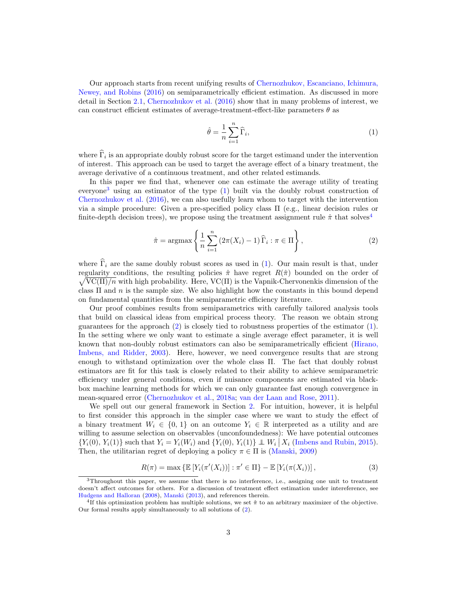Our approach starts from recent unifying results of [Chernozhukov, Escanciano, Ichimura,](#page-41-0) [Newey, and Robins](#page-41-0) [\(2016\)](#page-41-0) on semiparametrically efficient estimation. As discussed in more detail in Section [2.1,](#page-6-0) [Chernozhukov et al.](#page-41-0) [\(2016\)](#page-41-0) show that in many problems of interest, we can construct efficient estimates of average-treatment-effect-like parameters  $\theta$  as

<span id="page-2-1"></span>
$$
\hat{\theta} = \frac{1}{n} \sum_{i=1}^{n} \widehat{\Gamma}_i,\tag{1}
$$

where  $\Gamma_i$  is an appropriate doubly robust score for the target estimand under the intervention of interest. This approach can be used to target the average effect of a binary treatment, the average derivative of a continuous treatment, and other related estimands.

In this paper we find that, whenever one can estimate the average utility of treating everyone<sup>[3](#page-2-0)</sup> using an estimator of the type  $(1)$  built via the doubly robust construction of [Chernozhukov et al.](#page-41-0) [\(2016\)](#page-41-0), we can also usefully learn whom to target with the intervention via a simple procedure: Given a pre-specified policy class Π (e.g., linear decision rules or finite-depth decision trees), we propose using the treatment assignment rule  $\hat{\pi}$  that solves<sup>[4](#page-2-2)</sup>

<span id="page-2-3"></span>
$$
\hat{\pi} = \operatorname{argmax}\left\{ \frac{1}{n} \sum_{i=1}^{n} \left( 2\pi(X_i) - 1 \right) \widehat{\Gamma}_i : \pi \in \Pi \right\},\tag{2}
$$

where  $\widehat{\Gamma}_i$  are the same doubly robust scores as used in [\(1\)](#page-2-1). Our main result is that, under regularity conditions, the resulting policies  $\hat{\pi}$  have regret  $R(\hat{\pi})$  bounded on the order of regularity conditions, the resulting policies  $\hat{\pi}$  have regret  $R(\hat{\pi})$  bounded on the order of  $\sqrt{VC(\Pi)/n}$  with high probability. Here,  $VC(\Pi)$  is the Vapnik-Chervonenkis dimension of the class  $\Pi$  and n is the sample size. We also highlight how the constants in this bound depend on fundamental quantities from the semiparametric efficiency literature.

Our proof combines results from semiparametrics with carefully tailored analysis tools that build on classical ideas from empirical process theory. The reason we obtain strong guarantees for the approach  $(2)$  is closely tied to robustness properties of the estimator  $(1)$ . In the setting where we only want to estimate a single average effect parameter, it is well known that non-doubly robust estimators can also be semiparametrically efficient [\(Hirano,](#page-42-2) [Imbens, and Ridder,](#page-42-2) [2003\)](#page-42-2). Here, however, we need convergence results that are strong enough to withstand optimization over the whole class Π. The fact that doubly robust estimators are fit for this task is closely related to their ability to achieve semiparametric efficiency under general conditions, even if nuisance components are estimated via blackbox machine learning methods for which we can only guarantee fast enough convergence in mean-squared error [\(Chernozhukov et al.,](#page-41-1) [2018a;](#page-41-1) [van der Laan and Rose,](#page-44-4) [2011\)](#page-44-4).

We spell out our general framework in Section [2.](#page-4-0) For intuition, however, it is helpful to first consider this approach in the simpler case where we want to study the effect of a binary treatment  $W_i \in \{0, 1\}$  on an outcome  $Y_i \in \mathbb{R}$  interpreted as a utility and are willing to assume selection on observables (unconfoundedness): We have potential outcomes  ${Y_i(0), Y_i(1)}$  such that  $Y_i = Y_i(W_i)$  and  ${Y_i(0), Y_i(1)} \perp W_i | X_i$  [\(Imbens and Rubin,](#page-42-3) [2015\)](#page-42-3). Then, the utilitarian regret of deploying a policy  $\pi \in \Pi$  is [\(Manski,](#page-43-1) [2009\)](#page-43-1)

<span id="page-2-4"></span>
$$
R(\pi) = \max \left\{ \mathbb{E}\left[ Y_i(\pi'(X_i)) \right] : \pi' \in \Pi \right\} - \mathbb{E}\left[ Y_i(\pi(X_i)) \right],\tag{3}
$$

<span id="page-2-0"></span><sup>3</sup>Throughout this paper, we assume that there is no interference, i.e., assigning one unit to treatment doesn't affect outcomes for others. For a discussion of treatment effect estimation under intereference, see [Hudgens and Halloran](#page-42-4) [\(2008\)](#page-42-4), [Manski](#page-43-2) [\(2013\)](#page-43-2), and references therein.

<span id="page-2-2"></span><sup>&</sup>lt;sup>4</sup>If this optimization problem has multiple solutions, we set  $\hat{\pi}$  to an arbitrary maximizer of the objective. Our formal results apply simultaneously to all solutions of [\(2\)](#page-2-3).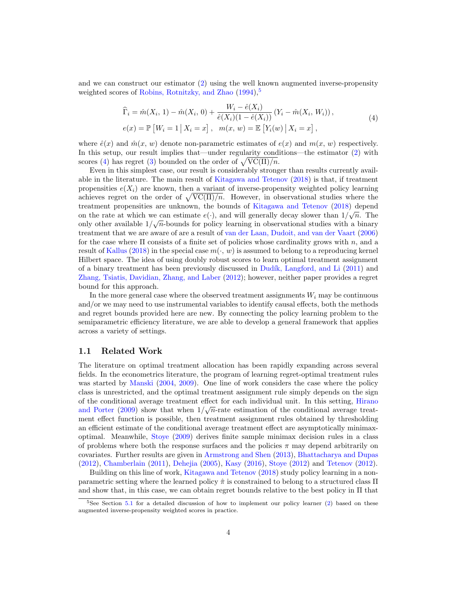and we can construct our estimator [\(2\)](#page-2-3) using the well known augmented inverse-propensity weighted scores of [Robins, Rotnitzky, and Zhao](#page-43-3)  $(1994)$ ,  $^{5}$  $^{5}$  $^{5}$ 

$$
\begin{aligned}\n\widehat{\Gamma}_i &= \hat{m}(X_i, 1) - \hat{m}(X_i, 0) + \frac{W_i - \hat{e}(X_i)}{\hat{e}(X_i)(1 - \hat{e}(X_i))} (Y_i - \hat{m}(X_i, W_i)), \\
e(x) &= \mathbb{P}\left[W_i = 1 \,|\, X_i = x\right], \quad m(x, w) = \mathbb{E}\left[Y_i(w) \,|\, X_i = x\right],\n\end{aligned} \tag{4}
$$

<span id="page-3-1"></span>where  $\hat{e}(x)$  and  $\hat{m}(x, w)$  denote non-parametric estimates of  $e(x)$  and  $m(x, w)$  respectively. In this setup, our result implies that—under regularity conditions—the estimator [\(2\)](#page-2-3) with scores [\(4\)](#page-3-1) has regret [\(3\)](#page-2-4) bounded on the order of  $\sqrt{\text{VC}(\Pi)/n}$ .

Even in this simplest case, our result is considerably stronger than results currently available in the literature. The main result of [Kitagawa and Tetenov](#page-42-1) [\(2018\)](#page-42-1) is that, if treatment propensities  $e(X_i)$  are known, then a variant of inverse-propensity weighted policy learning achieves regret on the order of  $\sqrt{VC(\Pi)/n}$ . However, in observational studies where the treatment propensities are unknown, the bounds of [Kitagawa and Tetenov](#page-42-1) [\(2018\)](#page-42-1) depend on the rate at which we can estimate  $e(\cdot)$ , and will generally decay slower than  $1/\sqrt{n}$ . The only other available  $1/\sqrt{n}$ -bounds for policy learning in observational studies with a binary treatment that we are aware of are a result of [van der Laan, Dudoit, and van der Vaart](#page-44-5) [\(2006\)](#page-44-5) for the case where  $\Pi$  consists of a finite set of policies whose cardinality grows with n, and a result of [Kallus](#page-42-5) [\(2018\)](#page-42-5) in the special case  $m(\cdot, w)$  is assumed to belong to a reproducing kernel Hilbert space. The idea of using doubly robust scores to learn optimal treatment assignment of a binary treatment has been previously discussed in [Dud´ık, Langford, and Li](#page-41-2) [\(2011\)](#page-41-2) and [Zhang, Tsiatis, Davidian, Zhang, and Laber](#page-44-6) [\(2012\)](#page-44-6); however, neither paper provides a regret bound for this approach.

In the more general case where the observed treatment assignments  $W_i$  may be continuous and/or we may need to use instrumental variables to identify causal effects, both the methods and regret bounds provided here are new. By connecting the policy learning problem to the semiparametric efficiency literature, we are able to develop a general framework that applies across a variety of settings.

#### 1.1 Related Work

The literature on optimal treatment allocation has been rapidly expanding across several fields. In the econometrics literature, the program of learning regret-optimal treatment rules was started by [Manski](#page-43-0) [\(2004,](#page-43-0) [2009\)](#page-43-1). One line of work considers the case where the policy class is unrestricted, and the optimal treatment assignment rule simply depends on the sign of the conditional average treatment effect for each individual unit. In this setting, [Hirano](#page-42-0) [and Porter](#page-42-0) [\(2009\)](#page-42-0) show that when  $1/\sqrt{n}$ -rate estimation of the conditional average treatment effect function is possible, then treatment assignment rules obtained by thresholding an efficient estimate of the conditional average treatment effect are asymptotically minimaxoptimal. Meanwhile, [Stoye](#page-44-0) [\(2009\)](#page-44-0) derives finite sample minimax decision rules in a class of problems where both the response surfaces and the policies  $\pi$  may depend arbitrarily on covariates. Further results are given in [Armstrong and Shen](#page-40-0) [\(2013\)](#page-40-0), [Bhattacharya and Dupas](#page-41-3) [\(2012\)](#page-41-3), [Chamberlain](#page-41-4) [\(2011\)](#page-41-4), [Dehejia](#page-41-5) [\(2005\)](#page-41-5), [Kasy](#page-42-6) [\(2016\)](#page-42-6), [Stoye](#page-44-1) [\(2012\)](#page-44-1) and [Tetenov](#page-44-7) [\(2012\)](#page-44-7).

Building on this line of work, [Kitagawa and Tetenov](#page-42-1) [\(2018\)](#page-42-1) study policy learning in a nonparametric setting where the learned policy  $\hat{\pi}$  is constrained to belong to a structured class  $\Pi$ and show that, in this case, we can obtain regret bounds relative to the best policy in  $\Pi$  that

<span id="page-3-0"></span> $5$ See Section  $5.1$  for a detailed discussion of how to implement our policy learner [\(2\)](#page-2-3) based on these augmented inverse-propensity weighted scores in practice.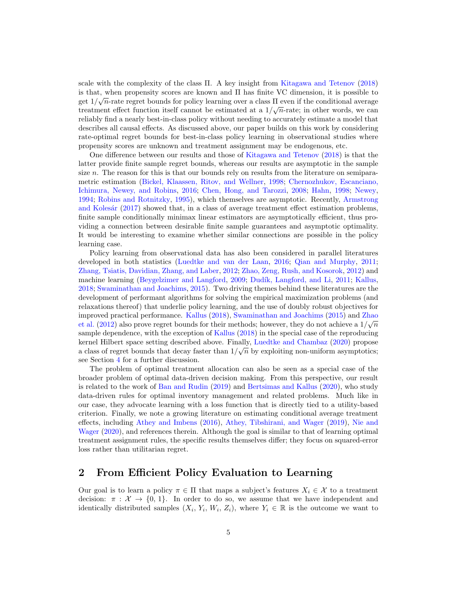scale with the complexity of the class Π. A key insight from [Kitagawa and Tetenov](#page-42-1) [\(2018\)](#page-42-1) is that, when propensity scores are known and  $\Pi$  has finite VC dimension, it is possible to get  $1/\sqrt{n}$ -rate regret bounds for policy learning over a class  $\Pi$  even if the conditional average treatment effect function itself cannot be estimated at a  $1/\sqrt{n}$ -rate; in other words, we can reliably find a nearly best-in-class policy without needing to accurately estimate a model that describes all causal effects. As discussed above, our paper builds on this work by considering rate-optimal regret bounds for best-in-class policy learning in observational studies where propensity scores are unknown and treatment assignment may be endogenous, etc.

One difference between our results and those of [Kitagawa and Tetenov](#page-42-1) [\(2018\)](#page-42-1) is that the latter provide finite sample regret bounds, whereas our results are asymptotic in the sample size  $n$ . The reason for this is that our bounds rely on results from the literature on semiparametric estimation [\(Bickel, Klaassen, Ritov, and Wellner,](#page-41-6) [1998;](#page-41-6) [Chernozhukov, Escanciano,](#page-41-0) [Ichimura, Newey, and Robins,](#page-41-0) [2016;](#page-41-0) [Chen, Hong, and Tarozzi,](#page-41-7) [2008;](#page-41-7) [Hahn,](#page-42-7) [1998;](#page-42-7) [Newey,](#page-43-4) [1994;](#page-43-4) [Robins and Rotnitzky,](#page-43-5) [1995\)](#page-43-5), which themselves are asymptotic. Recently, [Armstrong](#page-40-1) and Kolesár  $(2017)$  showed that, in a class of average treatment effect estimation problems, finite sample conditionally minimax linear estimators are asymptotically efficient, thus providing a connection between desirable finite sample guarantees and asymptotic optimality. It would be interesting to examine whether similar connections are possible in the policy learning case.

Policy learning from observational data has also been considered in parallel literatures developed in both statistics [\(Luedtke and van der Laan,](#page-42-8) [2016;](#page-42-8) [Qian and Murphy,](#page-43-6) [2011;](#page-43-6) [Zhang, Tsiatis, Davidian, Zhang, and Laber,](#page-44-6) [2012;](#page-44-6) [Zhao, Zeng, Rush, and Kosorok,](#page-44-3) [2012\)](#page-44-3) and machine learning [\(Beygelzimer and Langford,](#page-41-8) [2009;](#page-41-8) Dudík, Langford, and Li, [2011;](#page-41-2) [Kallus,](#page-42-5) [2018;](#page-42-5) [Swaminathan and Joachims,](#page-44-2) [2015\)](#page-44-2). Two driving themes behind these literatures are the development of performant algorithms for solving the empirical maximization problems (and relaxations thereof) that underlie policy learning, and the use of doubly robust objectives for improved practical performance. [Kallus](#page-42-5) [\(2018\)](#page-42-5), [Swaminathan and Joachims](#page-44-2) [\(2015\)](#page-44-2) and [Zhao](#page-44-3) √ [et al.](#page-44-3) [\(2012\)](#page-44-3) also prove regret bounds for their methods; however, they do not achieve a  $1/\sqrt{n}$ sample dependence, with the exception of [Kallus](#page-42-5) [\(2018\)](#page-42-5) in the special case of the reproducing kernel Hilbert space setting described above. Finally, [Luedtke and Chambaz](#page-42-9) [\(2020\)](#page-42-9) propose √ a class of regret bounds that decay faster than  $1/\sqrt{n}$  by exploiting non-uniform asymptotics; see Section [4](#page-15-0) for a further discussion.

The problem of optimal treatment allocation can also be seen as a special case of the broader problem of optimal data-driven decision making. From this perspective, our result is related to the work of [Ban and Rudin](#page-40-2) [\(2019\)](#page-40-2) and [Bertsimas and Kallus](#page-41-9) [\(2020\)](#page-41-9), who study data-driven rules for optimal inventory management and related problems. Much like in our case, they advocate learning with a loss function that is directly tied to a utility-based criterion. Finally, we note a growing literature on estimating conditional average treatment effects, including [Athey and Imbens](#page-40-3) [\(2016\)](#page-40-3), [Athey, Tibshirani, and Wager](#page-40-4) [\(2019\)](#page-40-4), [Nie and](#page-43-7) [Wager](#page-43-7) [\(2020\)](#page-43-7), and references therein. Although the goal is similar to that of learning optimal treatment assignment rules, the specific results themselves differ; they focus on squared-error loss rather than utilitarian regret.

### <span id="page-4-0"></span>2 From Efficient Policy Evaluation to Learning

Our goal is to learn a policy  $\pi \in \Pi$  that maps a subject's features  $X_i \in \mathcal{X}$  to a treatment decision:  $\pi : \mathcal{X} \to \{0, 1\}$ . In order to do so, we assume that we have independent and identically distributed samples  $(X_i, Y_i, W_i, Z_i)$ , where  $Y_i \in \mathbb{R}$  is the outcome we want to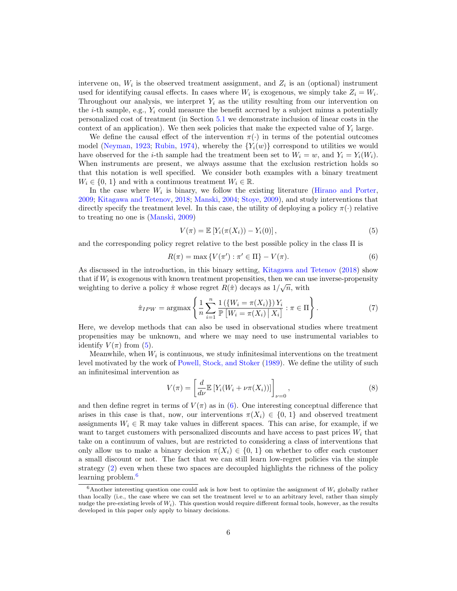intervene on,  $W_i$  is the observed treatment assignment, and  $Z_i$  is an (optional) instrument used for identifying causal effects. In cases where  $W_i$  is exogenous, we simply take  $Z_i = W_i$ . Throughout our analysis, we interpret  $Y_i$  as the utility resulting from our intervention on the *i*-th sample, e.g.,  $Y_i$  could measure the benefit accrued by a subject minus a potentially personalized cost of treatment (in Section [5.1](#page-18-0) we demonstrate inclusion of linear costs in the context of an application). We then seek policies that make the expected value of  $Y_i$  large.

We define the causal effect of the intervention  $\pi(\cdot)$  in terms of the potential outcomes model [\(Neyman,](#page-43-8) [1923;](#page-43-8) [Rubin,](#page-43-9) [1974\)](#page-43-9), whereby the  ${Y_i(w)}$  correspond to utilities we would have observed for the *i*-th sample had the treatment been set to  $W_i = w$ , and  $Y_i = Y_i(W_i)$ . When instruments are present, we always assume that the exclusion restriction holds so that this notation is well specified. We consider both examples with a binary treatment  $W_i \in \{0, 1\}$  and with a continuous treatment  $W_i \in \mathbb{R}$ .

In the case where  $W_i$  is binary, we follow the existing literature [\(Hirano and Porter,](#page-42-0) [2009;](#page-42-0) [Kitagawa and Tetenov,](#page-42-1) [2018;](#page-42-1) [Manski,](#page-43-0) [2004;](#page-43-0) [Stoye,](#page-44-0) [2009\)](#page-44-0), and study interventions that directly specify the treatment level. In this case, the utility of deploying a policy  $\pi(\cdot)$  relative to treating no one is [\(Manski,](#page-43-1) [2009\)](#page-43-1)

<span id="page-5-0"></span>
$$
V(\pi) = \mathbb{E}\left[Y_i(\pi(X_i)) - Y_i(0)\right],\tag{5}
$$

and the corresponding policy regret relative to the best possible policy in the class Π is

<span id="page-5-1"></span>
$$
R(\pi) = \max \{ V(\pi') : \pi' \in \Pi \} - V(\pi). \tag{6}
$$

As discussed in the introduction, in this binary setting, [Kitagawa and Tetenov](#page-42-1) [\(2018\)](#page-42-1) show that if  $W_i$  is exogenous with known treatment propensities, then we can use inverse-propensity weighting to derive a policy  $\hat{\pi}$  whose regret  $R(\hat{\pi})$  decays as  $1/\sqrt{n}$ , with

$$
\hat{\pi}_{IPW} = \operatorname{argmax} \left\{ \frac{1}{n} \sum_{i=1}^{n} \frac{1\left(\{W_i = \pi(X_i)\}\right) Y_i}{\mathbb{P}\left[W_i = \pi(X_i) \,|\, X_i\right]} : \pi \in \Pi \right\}.
$$
\n(7)

Here, we develop methods that can also be used in observational studies where treatment propensities may be unknown, and where we may need to use instrumental variables to identify  $V(\pi)$  from [\(5\)](#page-5-0).

Meanwhile, when  $W_i$  is continuous, we study infinitesimal interventions on the treatment level motivated by the work of [Powell, Stock, and Stoker](#page-43-10) [\(1989\)](#page-43-10). We define the utility of such an infinitesimal intervention as

$$
V(\pi) = \left[\frac{d}{d\nu} \mathbb{E}\left[Y_i(W_i + \nu \pi(X_i))\right]\right]_{\nu=0},\tag{8}
$$

and then define regret in terms of  $V(\pi)$  as in [\(6\)](#page-5-1). One interesting conceptual difference that arises in this case is that, now, our interventions  $\pi(X_i) \in \{0, 1\}$  and observed treatment assignments  $W_i \in \mathbb{R}$  may take values in different spaces. This can arise, for example, if we want to target customers with personalized discounts and have access to past prices  $W_i$  that take on a continuum of values, but are restricted to considering a class of interventions that only allow us to make a binary decision  $\pi(X_i) \in \{0, 1\}$  on whether to offer each customer a small discount or not. The fact that we can still learn low-regret policies via the simple strategy [\(2\)](#page-2-3) even when these two spaces are decoupled highlights the richness of the policy learning problem.<sup>[6](#page-5-2)</sup>

<span id="page-5-2"></span> $6$ Another interesting question one could ask is how best to optimize the assignment of  $W_i$  globally rather than locally (i.e., the case where we can set the treatment level  $w$  to an arbitrary level, rather than simply nudge the pre-existing levels of  $W_i$ ). This question would require different formal tools, however, as the results developed in this paper only apply to binary decisions.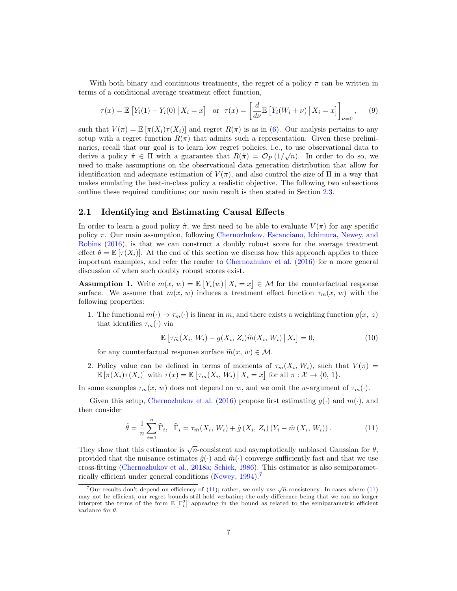With both binary and continuous treatments, the regret of a policy  $\pi$  can be written in terms of a conditional average treatment effect function,

$$
\tau(x) = \mathbb{E}\left[Y_i(1) - Y_i(0) \,|\, X_i = x\right] \quad \text{or} \quad \tau(x) = \left[\frac{d}{d\nu} \mathbb{E}\left[Y_i(W_i + \nu) \,|\, X_i = x\right]\right]_{\nu=0},\tag{9}
$$

such that  $V(\pi) = \mathbb{E} |\pi(X_i)\tau(X_i)|$  and regret  $R(\pi)$  is as in [\(6\)](#page-5-1). Our analysis pertains to any setup with a regret function  $R(\pi)$  that admits such a representation. Given these preliminaries, recall that our goal is to learn low regret policies, i.e., to use observational data to derive a policy  $\hat{\pi} \in \Pi$  with a guarantee that  $R(\hat{\pi}) = \mathcal{O}_P(1/\sqrt{n})$ . In order to do so, we need to make assumptions on the observational data generation distribution that allow for identification and adequate estimation of  $V(\pi)$ , and also control the size of  $\Pi$  in a way that makes emulating the best-in-class policy a realistic objective. The following two subsections outline these required conditions; our main result is then stated in Section [2.3.](#page-9-0)

#### <span id="page-6-0"></span>2.1 Identifying and Estimating Causal Effects

In order to learn a good policy  $\hat{\pi}$ , we first need to be able to evaluate  $V(\pi)$  for any specific policy  $\pi$ . Our main assumption, following [Chernozhukov, Escanciano, Ichimura, Newey, and](#page-41-0) [Robins](#page-41-0) [\(2016\)](#page-41-0), is that we can construct a doubly robust score for the average treatment effect  $\theta = \mathbb{E} [\tau(X_i)]$ . At the end of this section we discuss how this approach applies to three important examples, and refer the reader to [Chernozhukov et al.](#page-41-0) [\(2016\)](#page-41-0) for a more general discussion of when such doubly robust scores exist.

<span id="page-6-3"></span>**Assumption 1.** Write  $m(x, w) = \mathbb{E}\left[Y_i(w) \mid X_i = x\right] \in \mathcal{M}$  for the counterfactual response surface. We assume that  $m(x, w)$  induces a treatment effect function  $\tau_m(x, w)$  with the following properties:

1. The functional  $m(\cdot) \to \tau_m(\cdot)$  is linear in m, and there exists a weighting function  $g(x, z)$ that identifies  $\tau_m(\cdot)$  via

<span id="page-6-4"></span>
$$
\mathbb{E}\left[\tau_{\widetilde{m}}(X_i, W_i) - g(X_i, Z_i)\widetilde{m}(X_i, W_i) \,|\, X_i\right] = 0,\tag{10}
$$

for any counterfactual response surface  $\widetilde{m}(x, w) \in \mathcal{M}$ .

2. Policy value can be defined in terms of moments of  $\tau_m(X_i, W_i)$ , such that  $V(\pi) =$  $\mathbb{E} \left[ \pi(X_i) \tau(X_i) \right]$  with  $\tau(x) = \mathbb{E} \left[ \tau_m(X_i, W_i) \, \big| \, X_i = x \right]$  for all  $\pi : \mathcal{X} \to \{0, 1\}.$ 

In some examples  $\tau_m(x, w)$  does not depend on w, and we omit the w-argument of  $\tau_m(\cdot)$ .

Given this setup, [Chernozhukov et al.](#page-41-0) [\(2016\)](#page-41-0) propose first estimating  $g(\cdot)$  and  $m(\cdot)$ , and then consider

<span id="page-6-2"></span>
$$
\hat{\theta} = \frac{1}{n} \sum_{i=1}^{n} \widehat{\Gamma}_i, \quad \widehat{\Gamma}_i = \tau_{\hat{m}}(X_i, W_i) + \hat{g}(X_i, Z_i) (Y_i - \hat{m}(X_i, W_i)). \tag{11}
$$

They show that this estimator is  $\sqrt{n}$ -consistent and asymptotically unbiased Gaussian for  $\theta$ , provided that the nuisance estimates  $\hat{g}(\cdot)$  and  $\hat{m}(\cdot)$  converge sufficiently fast and that we use cross-fitting [\(Chernozhukov et al.,](#page-41-1) [2018a;](#page-41-1) [Schick,](#page-43-11) [1986\)](#page-43-11). This estimator is also semiparametrically efficient under general conditions [\(Newey,](#page-43-4) [1994\)](#page-43-4).[7](#page-6-1)

<span id="page-6-1"></span><sup>&</sup>lt;sup>7</sup>Our results don't depend on efficiency of [\(11\)](#page-6-2); rather, we only use  $\sqrt{n}$ -consistency. In cases where (11) may not be efficient, our regret bounds still hold verbatim; the only difference being that we can no longer interpret the terms of the form  $\mathbb{E}\left[\Gamma_i^2\right]$  appearing in the bound as related to the semiparametric efficient variance for  $\theta$ .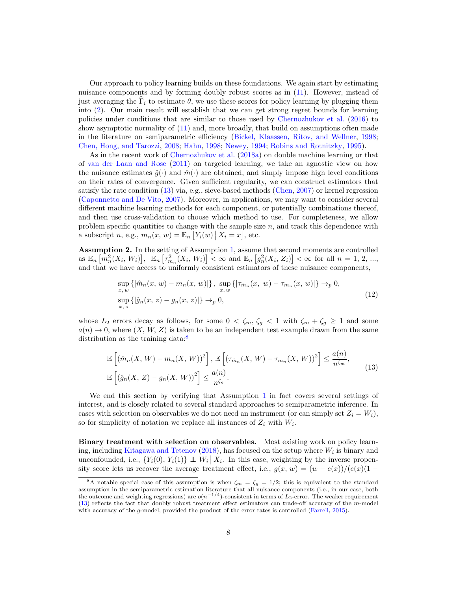Our approach to policy learning builds on these foundations. We again start by estimating nuisance components and by forming doubly robust scores as in [\(11\)](#page-6-2). However, instead of just averaging the  $\overline{\Gamma}_i$  to estimate  $\theta$ , we use these scores for policy learning by plugging them into [\(2\)](#page-2-3). Our main result will establish that we can get strong regret bounds for learning policies under conditions that are similar to those used by [Chernozhukov et al.](#page-41-0) [\(2016\)](#page-41-0) to show asymptotic normality of [\(11\)](#page-6-2) and, more broadly, that build on assumptions often made in the literature on semiparametric efficiency [\(Bickel, Klaassen, Ritov, and Wellner,](#page-41-6) [1998;](#page-41-6) [Chen, Hong, and Tarozzi,](#page-41-7) [2008;](#page-41-7) [Hahn,](#page-42-7) [1998;](#page-42-7) [Newey,](#page-43-4) [1994;](#page-43-4) [Robins and Rotnitzky,](#page-43-5) [1995\)](#page-43-5).

As in the recent work of [Chernozhukov et al.](#page-41-1) [\(2018a\)](#page-41-1) on double machine learning or that of [van der Laan and Rose](#page-44-4) [\(2011\)](#page-44-4) on targeted learning, we take an agnostic view on how the nuisance estimates  $\hat{g}(\cdot)$  and  $\hat{m}(\cdot)$  are obtained, and simply impose high level conditions on their rates of convergence. Given sufficient regularity, we can construct estimators that satisfy the rate condition [\(13\)](#page-7-0) via, e.g., sieve-based methods [\(Chen,](#page-41-10) [2007\)](#page-41-10) or kernel regression [\(Caponnetto and De Vito,](#page-41-11) [2007\)](#page-41-11). Moreover, in applications, we may want to consider several different machine learning methods for each component, or potentially combinations thereof, and then use cross-validation to choose which method to use. For completeness, we allow problem specific quantities to change with the sample size  $n$ , and track this dependence with a subscript n, e.g.,  $m_n(x, w) = \mathbb{E}_n \left[ Y_i(w) \, \big| \, X_i = x \right]$ , etc.

<span id="page-7-2"></span>Assumption 2. In the setting of Assumption [1,](#page-6-3) assume that second moments are controlled as  $\mathbb{E}_n \left[ m_n^2(X_i, W_i) \right]$ ,  $\mathbb{E}_n \left[ \tau_{m_n}^2(X_i, W_i) \right] < \infty$  and  $\mathbb{E}_n \left[ g_n^2(X_i, Z_i) \right] < \infty$  for all  $n = 1, 2, ...,$ and that we have access to uniformly consistent estimators of these nuisance components,

$$
\sup_{x, w} \{ |\hat{m}_n(x, w) - m_n(x, w)| \}, \sup_{x, w} \{ |\tau_{\hat{m}_n}(x, w) - \tau_{m_n}(x, w)| \} \to_p 0,\n\sup_{x, z} \{ |\hat{g}_n(x, z) - g_n(x, z)| \} \to_p 0,
$$
\n(12)

whose  $L_2$  errors decay as follows, for some  $0 < \zeta_m, \zeta_g < 1$  with  $\zeta_m + \zeta_g \ge 1$  and some  $a(n) \to 0$ , where  $(X, W, Z)$  is taken to be an independent test example drawn from the same distribution as the training data: $\delta$ 

<span id="page-7-0"></span>
$$
\mathbb{E}\left[\left(\hat{m}_n(X, W) - m_n(X, W)\right)^2\right], \mathbb{E}\left[\left(\tau_{\hat{m}_n}(X, W) - \tau_{m_n}(X, W)\right)^2\right] \le \frac{a(n)}{n^{\zeta_m}},
$$
\n
$$
\mathbb{E}\left[\left(\hat{g}_n(X, Z) - g_n(X, W)\right)^2\right] \le \frac{a(n)}{n^{\zeta_g}}.
$$
\n(13)

We end this section by verifying that Assumption [1](#page-6-3) in fact covers several settings of interest, and is closely related to several standard approaches to semiparametric inference. In cases with selection on observables we do not need an instrument (or can simply set  $Z_i = W_i$ ), so for simplicity of notation we replace all instances of  $Z_i$  with  $W_i$ .

Binary treatment with selection on observables. Most existing work on policy learn-ing, including [Kitagawa and Tetenov](#page-42-1) [\(2018\)](#page-42-1), has focused on the setup where  $W_i$  is binary and unconfounded, i.e.,  $\{Y_i(0), Y_i(1)\} \perp W_i | X_i$ . In this case, weighting by the inverse propensity score lets us recover the average treatment effect, i.e.,  $g(x, w) = (w - e(x))/(e(x)(1 -$ 

<span id="page-7-1"></span><sup>&</sup>lt;sup>8</sup>A notable special case of this assumption is when  $\zeta_m = \zeta_g = 1/2$ ; this is equivalent to the standard assumption in the semiparametric estimation literature that all nuisance components (i.e., in our case, both the outcome and weighting regressions) are  $o(n^{-1/4})$ -consistent in terms of  $L_2$ -error. The weaker requirement [\(13\)](#page-7-0) reflects the fact that doubly robust treatment effect estimators can trade-off accuracy of the m-model with accuracy of the *q*-model, provided the product of the error rates is controlled [\(Farrell,](#page-42-10) [2015\)](#page-42-10).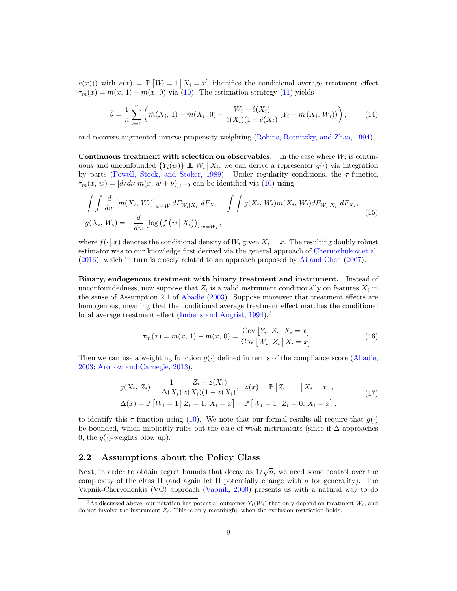$e(x)$ ) with  $e(x) = \mathbb{P}\left[W_i = 1 \mid X_i = x\right]$  identifies the conditional average treatment effect  $\tau_m(x) = m(x, 1) - m(x, 0)$  via [\(10\)](#page-6-4). The estimation strategy [\(11\)](#page-6-2) yields

$$
\hat{\theta} = \frac{1}{n} \sum_{i=1}^{n} \left( \hat{m}(X_i, 1) - \hat{m}(X_i, 0) + \frac{W_i - \hat{e}(X_i)}{\hat{e}(X_i)(1 - \hat{e}(X_i))} (Y_i - \hat{m}(X_i, W_i)) \right), \tag{14}
$$

and recovers augmented inverse propensity weighting [\(Robins, Rotnitzky, and Zhao,](#page-43-3) [1994\)](#page-43-3).

Continuous treatment with selection on observables. In the case where  $W_i$  is continuous and unconfounded  $\{Y_i(w)\}\perp W_i\mid X_i$ , we can derive a representer  $g(\cdot)$  via integration by parts [\(Powell, Stock, and Stoker,](#page-43-10) [1989\)](#page-43-10). Under regularity conditions, the  $\tau$ -function  $\tau_m(x, w) = [d/d\nu \, m(x, w + \nu)]_{\nu=0}$  can be identified via [\(10\)](#page-6-4) using

<span id="page-8-4"></span>
$$
\int \int \frac{d}{dw} \left[ m(X_i, W_i) \right]_{w=W} dF_{W_i|X_i} dF_{X_i} = \int \int g(X_i, W_i) m(X_i, W_i) dF_{W_i|X_i} dF_{X_i},
$$
\n
$$
g(X_i, W_i) = -\frac{d}{dw} \left[ \log \left( f(w | X_i) \right) \right]_{w=W_i},
$$
\n(15)

where  $f(\cdot | x)$  denotes the conditional density of  $W_i$  given  $X_i = x$ . The resulting doubly robust estimator was to our knowledge first derived via the general approach of [Chernozhukov et al.](#page-41-0) [\(2016\)](#page-41-0), which in turn is closely related to an approach proposed by [Ai and Chen](#page-40-5) [\(2007\)](#page-40-5).

Binary, endogenous treatment with binary treatment and instrument. Instead of unconfoundedness, now suppose that  $Z_i$  is a valid instrument conditionally on features  $X_i$  in the sense of Assumption 2.1 of [Abadie](#page-40-6) [\(2003\)](#page-40-6). Suppose moreover that treatment effects are homogenous, meaning that the conditional average treatment effect matches the conditional local average treatment effect [\(Imbens and Angrist,](#page-42-11)  $1994$  $1994$  $1994$ ),<sup>9</sup>

<span id="page-8-2"></span>
$$
\tau_m(x) = m(x, 1) - m(x, 0) = \frac{\text{Cov}[Y_i, Z_i | X_i = x]}{\text{Cov}[W_i, Z_i | X_i = x]}.
$$
\n(16)

Then we can use a weighting function  $q(\cdot)$  defined in terms of the compliance score [\(Abadie,](#page-40-6) [2003;](#page-40-6) [Aronow and Carnegie,](#page-40-7) [2013\)](#page-40-7),

$$
g(X_i, Z_i) = \frac{1}{\Delta(X_i)} \frac{Z_i - z(X_i)}{z(X_i)(1 - z(X_i)}, \quad z(x) = \mathbb{P}\left[Z_i = 1 \mid X_i = x\right],
$$
  
\n
$$
\Delta(x) = \mathbb{P}\left[W_i = 1 \mid Z_i = 1, X_i = x\right] - \mathbb{P}\left[W_i = 1 \mid Z_i = 0, X_i = x\right],
$$
\n(17)

<span id="page-8-3"></span>to identify this  $\tau$ -function using [\(10\)](#page-6-4). We note that our formal results all require that  $q(\cdot)$ be bounded, which implicitly rules out the case of weak instruments (since if  $\Delta$  approaches 0, the  $q(\cdot)$ -weights blow up).

### <span id="page-8-1"></span>2.2 Assumptions about the Policy Class

Next, in order to obtain regret bounds that decay as  $1/\sqrt{n}$ , we need some control over the complexity of the class  $\Pi$  (and again let  $\Pi$  potentially change with n for generality). The Vapnik-Chervonenkis (VC) approach [\(Vapnik,](#page-44-8) [2000\)](#page-44-8) presents us with a natural way to do

<span id="page-8-0"></span><sup>&</sup>lt;sup>9</sup>As discussed above, our notation has potential outcomes  $Y_i(W_i)$  that only depend on treatment  $W_i$ , and do not involve the instrument  $Z_i$ . This is only meaningful when the exclusion restriction holds.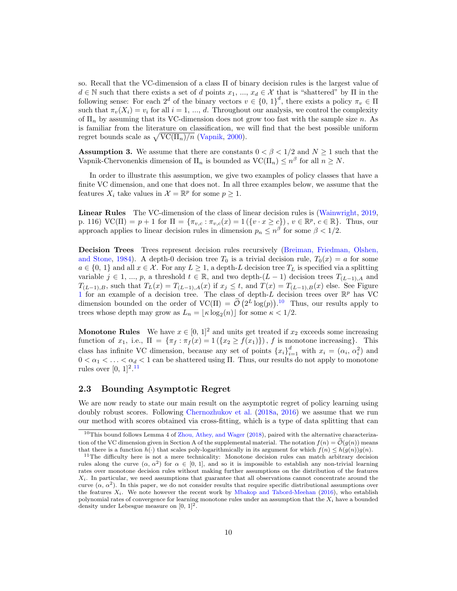so. Recall that the VC-dimension of a class Π of binary decision rules is the largest value of  $d \in \mathbb{N}$  such that there exists a set of d points  $x_1, ..., x_d \in \mathcal{X}$  that is "shattered" by  $\Pi$  in the following sense: For each  $2^d$  of the binary vectors  $v \in \{0, 1\}^d$ , there exists a policy  $\pi_v \in \Pi$ such that  $\pi_v(X_i) = v_i$  for all  $i = 1, ..., d$ . Throughout our analysis, we control the complexity of  $\Pi_n$  by assuming that its VC-dimension does not grow too fast with the sample size n. As is familiar from the literature on classification, we will find that the best possible uniform regret bounds scale as  $\sqrt{\text{VC}(\Pi_n)/n}$  [\(Vapnik,](#page-44-8) [2000\)](#page-44-8).

<span id="page-9-3"></span>**Assumption 3.** We assume that there are constants  $0 < \beta < 1/2$  and  $N \ge 1$  such that the Vapnik-Chervonenkis dimension of  $\Pi_n$  is bounded as  $\text{VC}(\Pi_n) \leq n^{\beta}$  for all  $n \geq N$ .

In order to illustrate this assumption, we give two examples of policy classes that have a finite VC dimension, and one that does not. In all three examples below, we assume that the features  $X_i$  take values in  $\mathcal{X} = \mathbb{R}^p$  for some  $p \geq 1$ .

Linear Rules The VC-dimension of the class of linear decision rules is [\(Wainwright,](#page-44-9) [2019,](#page-44-9) p. 116)  $\text{VC}(\Pi) = p + 1$  for  $\Pi = \{\pi_{v,c} : \pi_{v,c}(x) = 1\left(\{v \cdot x \ge c\}\right), v \in \mathbb{R}^p, c \in \mathbb{R}\}.$  Thus, our approach applies to linear decision rules in dimension  $p_n \n\t\leq n^{\beta}$  for some  $\beta \n\t< 1/2$ .

Decision Trees Trees represent decision rules recursively [\(Breiman, Friedman, Olshen,](#page-41-12) [and Stone,](#page-41-12) [1984\)](#page-41-12). A depth-0 decision tree  $T_0$  is a trivial decision rule,  $T_0(x) = a$  for some  $a \in \{0, 1\}$  and all  $x \in \mathcal{X}$ . For any  $L \geq 1$ , a depth-L decision tree  $T_L$  is specified via a splitting variable  $j \in 1, ..., p$ , a threshold  $t \in \mathbb{R}$ , and two depth- $(L-1)$  decision trees  $T_{(L-1),A}$  and  $T_{(L-1),B}$ , such that  $T_L(x) = T_{(L-1),A}(x)$  if  $x_j \le t$ , and  $T(x) = T_{(L-1),B}(x)$  else. See Figure [1](#page-20-0) for an example of a decision tree. The class of depth-L decision trees over  $\mathbb{R}^p$  has VC dimension bounded on the order of  $VC(\Pi) = \tilde{O}(2^L \log(p))$ .<sup>[10](#page-9-1)</sup> Thus, our results apply to trees whose depth may grow as  $L_n = \lfloor \kappa \log_2(n) \rfloor$  for some  $\kappa < 1/2$ .

**Monotone Rules** We have  $x \in [0, 1]^2$  and units get treated if  $x_2$  exceeds some increasing function of  $x_1$ , i.e.,  $\Pi = {\pi_f : \pi_f(x) = 1({x_2 \ge f(x_1)})}$ , f is monotone increasing}. This class has infinite VC dimension, because any set of points  $\{x_i\}_{i=1}^d$  with  $x_i = (\alpha_i, \alpha_i^2)$  and  $0 < \alpha_1 < \ldots < \alpha_d < 1$  can be shattered using  $\Pi$ . Thus, our results do not apply to monotone rules over  $[0, 1]^{2.11}$  $[0, 1]^{2.11}$  $[0, 1]^{2.11}$ 

#### <span id="page-9-0"></span>2.3 Bounding Asymptotic Regret

We are now ready to state our main result on the asymptotic regret of policy learning using doubly robust scores. Following [Chernozhukov et al.](#page-41-1) [\(2018a,](#page-41-1) [2016\)](#page-41-0) we assume that we run our method with scores obtained via cross-fitting, which is a type of data splitting that can

<span id="page-9-1"></span><sup>10</sup>This bound follows Lemma 4 of [Zhou, Athey, and Wager](#page-44-10) [\(2018\)](#page-44-10), paired with the alternative characterization of the VC dimension given in Section A of the supplemental material. The notation  $f(n) = \tilde{\mathcal{O}}(g(n))$  means that there is a function  $h(\cdot)$  that scales poly-logarithmically in its argument for which  $f(n) \leq h(g(n))g(n)$ .

<span id="page-9-2"></span><sup>&</sup>lt;sup>11</sup>The difficulty here is not a mere technicality: Monotone decision rules can match arbitrary decision rules along the curve  $(\alpha, \alpha^2)$  for  $\alpha \in [0, 1]$ , and so it is impossible to establish any non-trivial learning rates over monotone decision rules without making further assumptions on the distribution of the features  $X_i$ . In particular, we need assumptions that guarantee that all observations cannot concentrate around the curve  $(\alpha, \alpha^2)$ . In this paper, we do not consider results that require specific distributional assumptions over the features  $X_i$ . We note however the recent work by [Mbakop and Tabord-Meehan](#page-43-12) [\(2016\)](#page-43-12), who establish polynomial rates of convergence for learning monotone rules under an assumption that the  $X_i$  have a bounded density under Lebesgue measure on  $[0, 1]^2$ .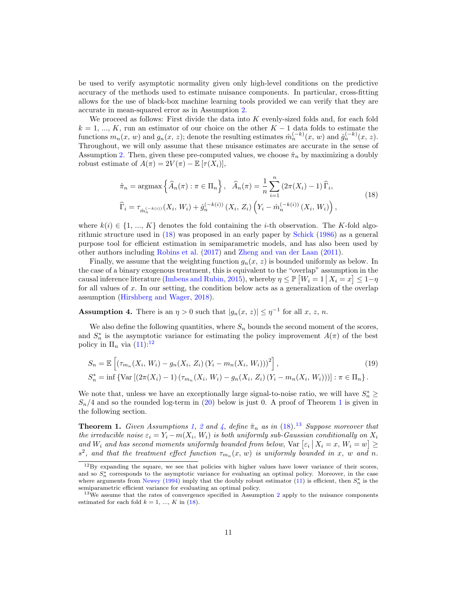be used to verify asymptotic normality given only high-level conditions on the predictive accuracy of the methods used to estimate nuisance components. In particular, cross-fitting allows for the use of black-box machine learning tools provided we can verify that they are accurate in mean-squared error as in Assumption [2.](#page-7-2)

We proceed as follows: First divide the data into  $K$  evenly-sized folds and, for each fold  $k = 1, ..., K$ , run an estimator of our choice on the other  $K - 1$  data folds to estimate the functions  $m_n(x, w)$  and  $g_n(x, z)$ ; denote the resulting estimates  $\hat{m}_n^{(-k)}(x, w)$  and  $\hat{g}_n^{(-k)}(x, z)$ . Throughout, we will only assume that these nuisance estimates are accurate in the sense of Assumption [2.](#page-7-2) Then, given these pre-computed values, we choose  $\hat{\pi}_n$  by maximizing a doubly robust estimate of  $A(\pi) = 2V(\pi) - \mathbb{E} [\tau(X_i)],$ 

$$
\hat{\pi}_n = \operatorname{argmax} \left\{ \hat{A}_n(\pi) : \pi \in \Pi_n \right\}, \quad \hat{A}_n(\pi) = \frac{1}{n} \sum_{i=1}^n \left( 2\pi(X_i) - 1 \right) \hat{\Gamma}_i,
$$
\n
$$
\hat{\Gamma}_i = \tau_{\hat{m}_n^{(-k(i))}}(X_i, W_i) + \hat{g}_n^{(-k(i))}(X_i, Z_i) \left( Y_i - \hat{m}_n^{(-k(i))}(X_i, W_i) \right),
$$
\n(18)

<span id="page-10-0"></span>where  $k(i) \in \{1, ..., K\}$  denotes the fold containing the *i*-th observation. The K-fold algorithmic structure used in [\(18\)](#page-10-0) was proposed in an early paper by [Schick](#page-43-11) [\(1986\)](#page-43-11) as a general purpose tool for efficient estimation in semiparametric models, and has also been used by other authors including [Robins et al.](#page-43-13) [\(2017\)](#page-43-13) and [Zheng and van der Laan](#page-44-11) [\(2011\)](#page-44-11).

Finally, we assume that the weighting function  $g_n(x, z)$  is bounded uniformly as below. In the case of a binary exogenous treatment, this is equivalent to the "overlap" assumption in the causal inference literature [\(Imbens and Rubin,](#page-42-3) [2015\)](#page-42-3), whereby  $\eta \leq \mathbb{P} [W_i = 1 | X_i = x] \leq 1 - \eta$ for all values of  $x$ . In our setting, the condition below acts as a generalization of the overlap assumption [\(Hirshberg and Wager,](#page-42-12) [2018\)](#page-42-12).

<span id="page-10-3"></span>**Assumption 4.** There is an  $\eta > 0$  such that  $|g_n(x, z)| \leq \eta^{-1}$  for all x, z, n.

We also define the following quantities, where  $S_n$  bounds the second moment of the scores, and  $S_n^*$  is the asymptotic variance for estimating the policy improvement  $A(\pi)$  of the best policy in  $\Pi_n$  via  $(11):^{12}$  $(11):^{12}$  $(11):^{12}$ 

<span id="page-10-5"></span>
$$
S_n = \mathbb{E}\left[\left(\tau_{m_n}(X_i, W_i) - g_n(X_i, Z_i) (Y_i - m_n(X_i, W_i))\right)^2\right],
$$
\n
$$
S_n^* = \inf \left\{\text{Var}\left[\left(2\pi(X_i) - 1\right)\left(\tau_{m_n}(X_i, W_i) - g_n(X_i, Z_i) (Y_i - m_n(X_i, W_i))\right)\right] : \pi \in \Pi_n\right\}.
$$
\n(19)

We note that, unless we have an exceptionally large signal-to-noise ratio, we will have  $S_n^* \geq$  $S_n/4$  and so the rounded log-term in [\(20\)](#page-11-0) below is just 0. A proof of Theorem [1](#page-10-2) is given in the following section.

<span id="page-10-2"></span>**Theorem 1.** Given Assumptions [1,](#page-6-3) [2](#page-7-2) and [4,](#page-10-3) define  $\hat{\pi}_n$  as in [\(18\)](#page-10-0).<sup>[13](#page-10-4)</sup> Suppose moreover that the irreducible noise  $\varepsilon_i = Y_i - m(X_i, W_i)$  is both uniformly sub-Gaussian conditionally on  $X_i$ and  $W_i$  and has second moments uniformly bounded from below,  $Var\left[\varepsilon_i \mid X_i = x, W_i = w\right] \ge$  $s^2$ , and that the treatment effect function  $\tau_{m_n}(x, w)$  is uniformly bounded in x, w and n.

<span id="page-10-1"></span><sup>&</sup>lt;sup>12</sup>By expanding the square, we see that policies with higher values have lower variance of their scores, and so  $S_n^*$  corresponds to the asymptotic variance for evaluating an optimal policy. Moreover, in the case where arguments from [Newey](#page-43-4) [\(1994\)](#page-43-4) imply that the doubly robust estimator [\(11\)](#page-6-2) is efficient, then  $S_n^*$  is the semiparametric efficient variance for evaluating an optimal policy.

<span id="page-10-4"></span> $13\text{We assume that the rates of convergence specified in Assumption 2 apply to the nuisance components.}$  $13\text{We assume that the rates of convergence specified in Assumption 2 apply to the nuisance components.}$  $13\text{We assume that the rates of convergence specified in Assumption 2 apply to the nuisance components.}$ estimated for each fold  $k = 1, ..., K$  in [\(18\)](#page-10-0).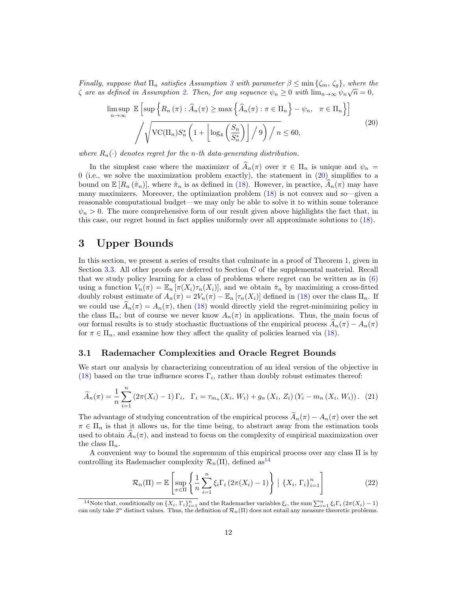Finally, suppose that  $\Pi_n$  satisfies Assumption [3](#page-9-3) with parameter  $\beta \leq \min \{\zeta_m, \zeta_g\}$ , where the  $\zeta$  are as defined in Assumption [2.](#page-7-2) Then, for any sequence  $\psi_n \geq 0$  with  $\lim_{n\to\infty} \psi_n \sqrt{n} = 0$ ,

<span id="page-11-0"></span>
$$
\limsup_{n \to \infty} \mathbb{E} \left[ \sup \left\{ R_n(\pi) : \widehat{A}_n(\pi) \ge \max \left\{ \widehat{A}_n(\pi) : \pi \in \Pi_n \right\} - \psi_n, \ \pi \in \Pi_n \right\} \right]
$$
\n
$$
\sqrt{\mathcal{V}(\Pi_n) S_n^* \left( 1 + \left\lfloor \log_4 \left( \frac{S_n}{S_n^*} \right) \right\rfloor / 9} \right) / n} \le 60,
$$
\n(20)

where  $R_n(\cdot)$  denotes regret for the n-th data-generating distribution.

In the simplest case where the maximizer of  $\widehat{A}_n(\pi)$  over  $\pi \in \Pi_n$  is unique and  $\psi_n =$  $0$  (i.e., we solve the maximization problem exactly), the statement in  $(20)$  simplifies to a bound on  $\mathbb{E}[R_n(\hat{\pi}_n)]$ , where  $\hat{\pi}_n$  is as defined in [\(18\)](#page-10-0). However, in practice,  $A_n(\pi)$  may have many maximizers. Moreover, the optimization problem [\(18\)](#page-10-0) is not convex and so—given a reasonable computational budget—we may only be able to solve it to within some tolerance  $\psi_n > 0$ . The more comprehensive form of our result given above highlights the fact that, in this case, our regret bound in fact applies uniformly over all approximate solutions to [\(18\)](#page-10-0).

# 3 Upper Bounds

In this section, we present a series of results that culminate in a proof of Theorem [1,](#page-10-2) given in Section [3.3.](#page-14-0) All other proofs are deferred to Section C of the supplemental material. Recall that we study policy learning for a class of problems where regret can be written as in [\(6\)](#page-5-1) using a function  $V_n(\pi) = \mathbb{E}_n [\pi(X_i)\tau_n(X_i)]$ , and we obtain  $\hat{\pi}_n$  by maximizing a cross-fitted doubly robust estimate of  $A_n(\pi) = 2V_n(\pi) - \mathbb{E}_n [\tau_n(X_i)]$  defined in [\(18\)](#page-10-0) over the class  $\Pi_n$ . If we could use  $\widehat{A}_n(\pi) = A_n(\pi)$ , then [\(18\)](#page-10-0) would directly yield the regret-minimizing policy in the class  $\Pi_n$ ; but of course we never know  $A_n(\pi)$  in applications. Thus, the main focus of our formal results is to study stochastic fluctuations of the empirical process  $\widehat{A}_n(\pi) - A_n(\pi)$ for  $\pi \in \Pi_n$ , and examine how they affect the quality of policies learned via [\(18\)](#page-10-0).

#### 3.1 Rademacher Complexities and Oracle Regret Bounds

We start our analysis by characterizing concentration of an ideal version of the objective in [\(18\)](#page-10-0) based on the true influence scores  $\Gamma_i$ , rather than doubly robust estimates thereof:

<span id="page-11-2"></span>
$$
\widetilde{A}_n(\pi) = \frac{1}{n} \sum_{i=1}^n (2\pi(X_i) - 1) \Gamma_i, \ \Gamma_i = \tau_{m_n}(X_i, W_i) + g_n(X_i, Z_i) (Y_i - m_n(X_i, W_i)). \tag{21}
$$

The advantage of studying concentration of the empirical process  $\tilde{A}_n(\pi) - A_n(\pi)$  over the set  $\pi \in \Pi_n$  is that it allows us, for the time being, to abstract away from the estimation tools used to obtain  $A_n(\pi)$ , and instead to focus on the complexity of empirical maximization over the class  $\Pi_n$ .

A convenient way to bound the supremum of this empirical process over any class Π is by controlling its Rademacher complexity  $\mathcal{R}_n(\Pi)$ , defined as<sup>[14](#page-11-1)</sup>

$$
\mathcal{R}_n(\Pi) = \mathbb{E}\left[\sup_{\pi \in \Pi} \left\{ \frac{1}{n} \sum_{i=1}^n \xi_i \Gamma_i \left(2\pi(X_i) - 1\right) \right\} \mid \{X_i, \Gamma_i\}_{i=1}^n \right] \tag{22}
$$

<span id="page-11-1"></span><sup>&</sup>lt;sup>14</sup>Note that, conditionally on  $\{X_i, \Gamma_i\}_{i=1}^n$  and the Rademacher variables  $\xi_i$ , the sum  $\sum_{i=1}^n \xi_i \Gamma_i (2\pi(X_i) - 1)$ <br>can only take  $2^n$  distinct values. Thus, the definition of  $\mathcal{R}_n(\Pi)$  does not entail any meas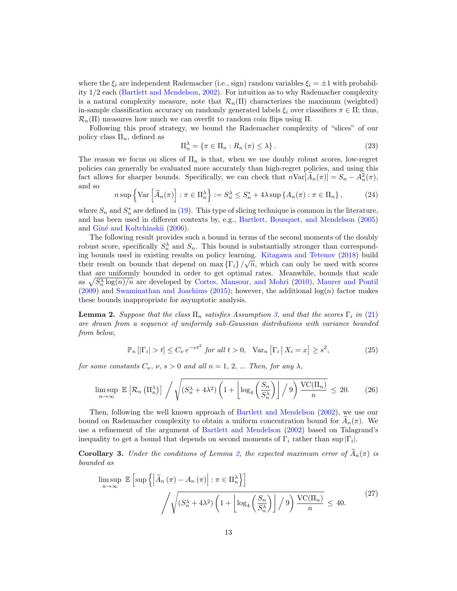where the  $\xi_i$  are independent Rademacher (i.e., sign) random variables  $\xi_i = \pm 1$  with probability 1/2 each [\(Bartlett and Mendelson,](#page-40-8) [2002\)](#page-40-8). For intuition as to why Rademacher complexity is a natural complexity measure, note that  $\mathcal{R}_n(\Pi)$  characterizes the maximum (weighted) in-sample classification accuracy on randomly generated labels  $\xi_i$  over classifiers  $\pi \in \Pi$ ; thus,  $\mathcal{R}_n(\Pi)$  measures how much we can overfit to random coin flips using  $\Pi$ .

Following this proof strategy, we bound the Rademacher complexity of "slices" of our policy class  $\Pi_n$ , defined as

$$
\Pi_n^{\lambda} = \{ \pi \in \Pi_n : R_n(\pi) \le \lambda \}. \tag{23}
$$

The reason we focus on slices of  $\Pi_n$  is that, when we use doubly robust scores, low-regret policies can generally be evaluated more accurately than high-regret policies, and using this fact allows for sharper bounds. Specifically, we can check that  $n\text{Var}[\tilde{A}_n(\pi)] = S_n - A_n^2(\pi)$ , and so

<span id="page-12-2"></span>
$$
n \sup \left\{ \text{Var} \left[ \tilde{A}_n(\pi) \right] : \pi \in \Pi_n^{\lambda} \right\} := S_n^{\lambda} \le S_n^* + 4\lambda \sup \left\{ A_n(\pi) : \pi \in \Pi_n \right\},\tag{24}
$$

where  $S_n$  and  $S_n^*$  are defined in [\(19\)](#page-10-5). This type of slicing technique is common in the literature, and has been used in different contexts by, e.g., [Bartlett, Bousquet, and Mendelson](#page-40-9) [\(2005\)](#page-40-9) and Giné and Koltchinskii [\(2006\)](#page-42-13).

The following result provides such a bound in terms of the second moments of the doubly robust score, specifically  $S_n^{\lambda}$  and  $S_n$ . This bound is substantially stronger than corresponding bounds used in existing results on policy learning. [Kitagawa and Tetenov](#page-42-1) [\(2018\)](#page-42-1) build √ their result on bounds that depend on  $\max{\{\Gamma_i\}}/\sqrt{n}$ , which can only be used with scores that are uniformly bounded in order to get optimal rates. Meanwhile, bounds that scale as  $\sqrt{S_n^{\lambda}\log(n)/n}$  are developed by [Cortes, Mansour, and Mohri](#page-41-13) [\(2010\)](#page-41-13), [Maurer and Pontil](#page-43-14)  $(2009)$  and [Swaminathan and Joachims](#page-44-2)  $(2015)$ ; however, the additional  $log(n)$  factor makes these bounds inappropriate for asymptotic analysis.

<span id="page-12-0"></span>**Lemma 2.** Suppose that the class  $\Pi_n$  satisfies Assumption [3,](#page-9-3) and that the scores  $\Gamma_i$  in [\(21\)](#page-11-2) are drawn from a sequence of uniformly sub-Gaussian distributions with variance bounded from below,

$$
\mathbb{P}_n\left[\left|\Gamma_i\right| > t\right] \le C_\nu \, e^{-\nu t^2} \text{ for all } t > 0, \quad \text{Var}_n\left[\Gamma_i \, \middle| \, X_i = x\right] \ge s^2,\tag{25}
$$

for some constants  $C_{\nu}$ ,  $\nu$ ,  $s > 0$  and all  $n = 1, 2, ...$  Then, for any  $\lambda$ ,

<span id="page-12-3"></span>
$$
\limsup_{n \to \infty} \mathbb{E}\left[\mathcal{R}_n\left(\Pi_n^{\lambda}\right)\right] / \sqrt{(S_n^{\lambda} + 4\lambda^2) \left(1 + \left\lfloor \log_4\left(\frac{S_n}{S_n^{\lambda}}\right) \right\rfloor / 9) \frac{\text{VC}(\Pi_n)}{n}} \leq 20. \tag{26}
$$

Then, following the well known approach of [Bartlett and Mendelson](#page-40-8) [\(2002\)](#page-40-8), we use our bound on Rademacher complexity to obtain a uniform concentration bound for  $A_n(\pi)$ . We use a refinement of the argument of [Bartlett and Mendelson](#page-40-8) [\(2002\)](#page-40-8) based on Talagrand's inequality to get a bound that depends on second moments of  $\Gamma_i$  rather than sup  $|\Gamma_i|$ .

<span id="page-12-1"></span>**Corollary 3.** Under the conditions of Lemma [2,](#page-12-0) the expected maximum error of  $A_n(\pi)$  is bounded as

$$
\limsup_{n \to \infty} \mathbb{E} \left[ \sup \left\{ \left| \tilde{A}_n \left( \pi \right) - A_n \left( \pi \right) \right| : \pi \in \Pi_n^{\lambda} \right\} \right]
$$
\n
$$
\sqrt{\sqrt{\left( S_n^{\lambda} + 4\lambda^2 \right) \left( 1 + \left[ \log_4 \left( \frac{S_n}{S_n^{\lambda}} \right) \right] / 9 \right) \frac{\text{VC}(\Pi_n)}{n}} } \leq 40. \tag{27}
$$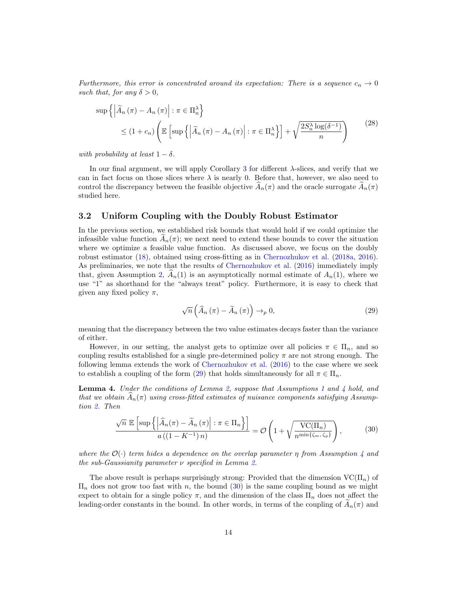Furthermore, this error is concentrated around its expectation: There is a sequence  $c_n \to 0$ such that, for any  $\delta > 0$ ,

<span id="page-13-3"></span>
$$
\sup \left\{ \left| \widetilde{A}_{n} \left( \pi \right) - A_{n} \left( \pi \right) \right| : \pi \in \Pi_{n}^{\lambda} \right\} \leq (1 + c_{n}) \left( \mathbb{E} \left[ \sup \left\{ \left| \widetilde{A}_{n} \left( \pi \right) - A_{n} \left( \pi \right) \right| : \pi \in \Pi_{n}^{\lambda} \right\} \right] + \sqrt{\frac{2S_{n}^{\lambda} \log(\delta^{-1})}{n}} \right) \tag{28}
$$

with probability at least  $1 - \delta$ .

In our final argument, we will apply Corollary [3](#page-12-1) for different λ-slices, and verify that we can in fact focus on those slices where  $\lambda$  is nearly 0. Before that, however, we also need to control the discrepancy between the feasible objective  $A_n(\pi)$  and the oracle surrogate  $A_n(\pi)$ studied here.

#### 3.2 Uniform Coupling with the Doubly Robust Estimator

In the previous section, we established risk bounds that would hold if we could optimize the infeasible value function  $A_n(\pi)$ ; we next need to extend these bounds to cover the situation where we optimize a feasible value function. As discussed above, we focus on the doubly robust estimator [\(18\)](#page-10-0), obtained using cross-fitting as in [Chernozhukov et al.](#page-41-1) [\(2018a,](#page-41-1) [2016\)](#page-41-0). As preliminaries, we note that the results of [Chernozhukov et al.](#page-41-0) [\(2016\)](#page-41-0) immediately imply that, given Assumption [2,](#page-7-2)  $\widehat{A}_n(1)$  is an asymptotically normal estimate of  $A_n(1)$ , where we use "1" as shorthand for the "always treat" policy. Furthermore, it is easy to check that given any fixed policy  $\pi$ ,

<span id="page-13-0"></span>
$$
\sqrt{n}\left(\widehat{A}_{n}\left(\pi\right)-\widetilde{A}_{n}\left(\pi\right)\right)\to_{p} 0, \tag{29}
$$

meaning that the discrepancy between the two value estimates decays faster than the variance of either.

However, in our setting, the analyst gets to optimize over all policies  $\pi \in \Pi_n$ , and so coupling results established for a single pre-determined policy  $\pi$  are not strong enough. The following lemma extends the work of [Chernozhukov et al.](#page-41-0) [\(2016\)](#page-41-0) to the case where we seek to establish a coupling of the form [\(29\)](#page-13-0) that holds simultaneously for all  $\pi \in \Pi_n$ .

<span id="page-13-2"></span>**Lemma [4](#page-10-3).** Under the conditions of Lemma [2,](#page-12-0) suppose that Assumptions [1](#page-6-3) and 4 hold, and that we obtain  $A_n(\pi)$  using cross-fitted estimates of nuisance components satisfying Assumption [2.](#page-7-2) Then

$$
\frac{\sqrt{n} \mathbb{E}\left[\sup\left\{\left|\widehat{A}_n(\pi) - \widetilde{A}_n(\pi)\right| : \pi \in \Pi_n\right\}\right]}{a\left((1 - K^{-1})n\right)} = \mathcal{O}\left(1 + \sqrt{\frac{\text{VC}(\Pi_n)}{n^{\min\{\zeta_m, \zeta_g\}}}}\right),\tag{30}
$$

<span id="page-13-1"></span>where the  $\mathcal{O}(\cdot)$  term hides a dependence on the overlap parameter  $\eta$  from Assumption [4](#page-10-3) and the sub-Gaussianity parameter  $\nu$  specified in Lemma [2.](#page-12-0)

The above result is perhaps surprisingly strong: Provided that the dimension  $\text{VC}(\Pi_n)$  of  $\Pi_n$  does not grow too fast with n, the bound [\(30\)](#page-13-1) is the same coupling bound as we might expect to obtain for a single policy  $\pi$ , and the dimension of the class  $\Pi_n$  does not affect the leading-order constants in the bound. In other words, in terms of the coupling of  $A_n(\pi)$  and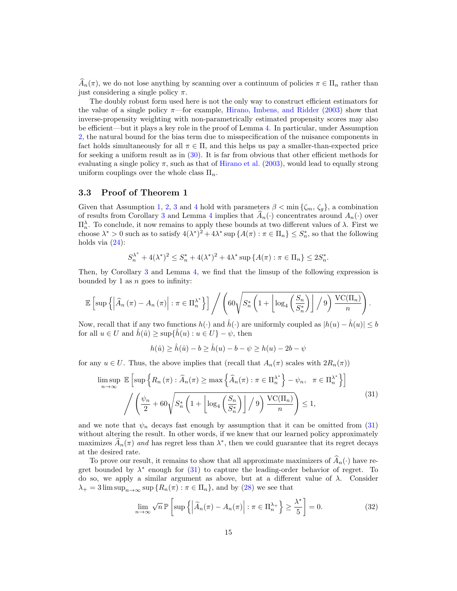$\widehat{A}_n(\pi)$ , we do not lose anything by scanning over a continuum of policies  $\pi \in \Pi_n$  rather than just considering a single policy  $\pi$ .

The doubly robust form used here is not the only way to construct efficient estimators for the value of a single policy  $\pi$ —for example, [Hirano, Imbens, and Ridder](#page-42-2) [\(2003\)](#page-42-2) show that inverse-propensity weighting with non-parametrically estimated propensity scores may also be efficient—but it plays a key role in the proof of Lemma [4.](#page-13-2) In particular, under Assumption [2,](#page-7-2) the natural bound for the bias term due to misspecification of the nuisance components in fact holds simultaneously for all  $\pi \in \Pi$ , and this helps us pay a smaller-than-expected price for seeking a uniform result as in [\(30\)](#page-13-1). It is far from obvious that other efficient methods for evaluating a single policy  $\pi$ , such as that of [Hirano et al.](#page-42-2) [\(2003\)](#page-42-2), would lead to equally strong uniform couplings over the whole class  $\Pi_n$ .

#### <span id="page-14-0"></span>3.3 Proof of Theorem 1

Given that Assumption [1,](#page-6-3) [2,](#page-7-2) [3](#page-9-3) and [4](#page-10-3) hold with parameters  $\beta < \min{\{\zeta_m, \zeta_g\}}$ , a combination of results from Corollary [3](#page-12-1) and Lemma [4](#page-13-2) implies that  $\widehat{A}_n(\cdot)$  concentrates around  $A_n(\cdot)$  over  $\Pi_n^{\lambda}$ . To conclude, it now remains to apply these bounds at two different values of  $\lambda$ . First we choose  $\lambda^* > 0$  such as to satisfy  $4(\lambda^*)^2 + 4\lambda^*$  sup  $\{A(\pi) : \pi \in \Pi_n\} \leq S_n^*$ , so that the following holds via  $(24)$ :

$$
S_n^{\lambda^*} + 4(\lambda^*)^2 \le S_n^* + 4(\lambda^*)^2 + 4\lambda^* \sup \{ A(\pi) : \pi \in \Pi_n \} \le 2S_n^*
$$

.

Then, by Corollary [3](#page-12-1) and Lemma [4,](#page-13-2) we find that the limsup of the following expression is bounded by 1 as  $n$  goes to infinity:

$$
\mathbb{E}\left[\sup\left\{\left|\widehat{A}_{n}\left(\pi\right)-A_{n}\left(\pi\right)\right|:\pi\in\Pi_{n}^{\lambda^{*}}\right\}\right]\Big/\left(60\sqrt{S_{n}^{*}\left(1+\left\lfloor\log_{4}\left(\frac{S_{n}}{S_{n}^{*}}\right)\right\rfloor\big/9\right)\frac{\mathrm{VC}(\Pi_{n})}{n}}\right).
$$

Now, recall that if any two functions  $h(\cdot)$  and  $\hat{h}(\cdot)$  are uniformly coupled as  $|h(u) - \hat{h}(u)| \leq b$ for all  $u \in U$  and  $\hat{h}(\hat{u}) \geq \sup{\{\hat{h}(u) : u \in U\}} - \psi$ , then

$$
h(\hat{u}) \ge \hat{h}(\hat{u}) - b \ge \hat{h}(u) - b - \psi \ge h(u) - 2b - \psi
$$

for any  $u \in U$ . Thus, the above implies that (recall that  $A_n(\pi)$  scales with  $2R_n(\pi)$ )

<span id="page-14-1"></span>
$$
\limsup_{n \to \infty} \mathbb{E} \left[ \sup \left\{ R_n(\pi) : \widehat{A}_n(\pi) \ge \max \left\{ \widehat{A}_n(\pi) : \pi \in \Pi_n^{\lambda^*} \right\} - \psi_n, \ \pi \in \Pi_n^{\lambda^*} \right\} \right]
$$
\n
$$
\left/ \left( \frac{\psi_n}{2} + 60 \sqrt{S_n^* \left( 1 + \left\lfloor \log_4 \left( \frac{S_n}{S_n^*} \right) \right\rfloor / 9} \right) \frac{\text{VC}(\Pi_n)}{n} \right) \le 1,
$$
\n
$$
(31)
$$

and we note that  $\psi_n$  decays fast enough by assumption that it can be omitted from [\(31\)](#page-14-1) without altering the result. In other words, if we knew that our learned policy approximately maximizes  $\widehat{A}_n(\pi)$  and has regret less than  $\lambda^*$ , then we could guarantee that its regret decays at the desired rate.

To prove our result, it remains to show that all approximate maximizers of  $\widehat{A}_n(\cdot)$  have regret bounded by  $\lambda^*$  enough for [\(31\)](#page-14-1) to capture the leading-order behavior of regret. To do so, we apply a similar argument as above, but at a different value of  $\lambda$ . Consider  $\lambda_+ = 3 \limsup_{n \to \infty} \sup \{ R_n(\pi) : \pi \in \Pi_n \},$  and by [\(28\)](#page-13-3) we see that

<span id="page-14-2"></span>
$$
\lim_{n \to \infty} \sqrt{n} \, \mathbb{P} \left[ \sup \left\{ \left| \widetilde{A}_n(\pi) - A_n(\pi) \right| : \pi \in \Pi_n^{\lambda_+} \right\} \ge \frac{\lambda^*}{5} \right] = 0. \tag{32}
$$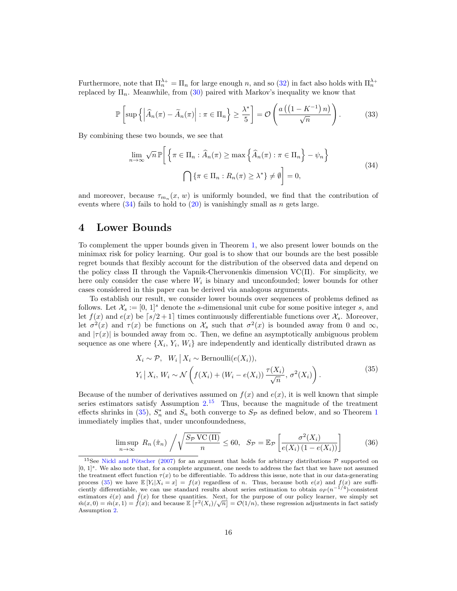Furthermore, note that  $\prod_n^{\lambda_+} = \prod_n$  for large enough n, and so [\(32\)](#page-14-2) in fact also holds with  $\prod_n^{\lambda_+}$ replaced by  $\Pi_n$ . Meanwhile, from [\(30\)](#page-13-1) paired with Markov's inequality we know that

$$
\mathbb{P}\left[\sup\left\{\left|\widehat{A}_n(\pi)-\widetilde{A}_n(\pi)\right|:\pi\in\Pi_n\right\}\geq\frac{\lambda^*}{5}\right]=\mathcal{O}\left(\frac{a\left(\left(1-K^{-1}\right)n\right)}{\sqrt{n}}\right).
$$
 (33)

<span id="page-15-1"></span>By combining these two bounds, we see that

$$
\lim_{n \to \infty} \sqrt{n} \mathbb{P} \bigg[ \bigg\{ \pi \in \Pi_n : \widehat{A}_n(\pi) \ge \max \bigg\{ \widehat{A}_n(\pi) : \pi \in \Pi_n \bigg\} - \psi_n \bigg\}
$$
\n
$$
\bigcap \{ \pi \in \Pi_n : R_n(\pi) \ge \lambda^* \} \neq \emptyset \bigg] = 0,
$$
\n(34)

and moreover, because  $\tau_{m_n}(x, w)$  is uniformly bounded, we find that the contribution of events where  $(34)$  fails to hold to  $(20)$  is vanishingly small as n gets large.

## <span id="page-15-0"></span>4 Lower Bounds

To complement the upper bounds given in Theorem [1,](#page-10-2) we also present lower bounds on the minimax risk for policy learning. Our goal is to show that our bounds are the best possible regret bounds that flexibly account for the distribution of the observed data and depend on the policy class  $\Pi$  through the Vapnik-Chervonenkis dimension  $\text{VC}(\Pi)$ . For simplicity, we here only consider the case where  $W_i$  is binary and unconfounded; lower bounds for other cases considered in this paper can be derived via analogous arguments.

To establish our result, we consider lower bounds over sequences of problems defined as follows. Let  $\mathcal{X}_s := [0, 1]^s$  denote the s-dimensional unit cube for some positive integer s, and let  $f(x)$  and  $e(x)$  be  $\lceil s/2 + 1 \rceil$  times continuously differentiable functions over  $\mathcal{X}_s$ . Moreover, let  $\sigma^2(x)$  and  $\tau(x)$  be functions on  $\mathcal{X}_s$  such that  $\sigma^2(x)$  is bounded away from 0 and  $\infty$ , and  $|\tau(x)|$  is bounded away from  $\infty$ . Then, we define an asymptotically ambiguous problem sequence as one where  $\{X_i, Y_i, W_i\}$  are independently and identically distributed drawn as

$$
X_i \sim \mathcal{P}, \quad W_i \mid X_i \sim \text{Bernoulli}(e(X_i)),
$$
\n
$$
Y_i \mid X_i, W_i \sim \mathcal{N}\left(f(X_i) + (W_i - e(X_i))\frac{\tau(X_i)}{\sqrt{n}}, \sigma^2(X_i)\right).
$$
\n
$$
(35)
$$

<span id="page-15-3"></span>Because of the number of derivatives assumed on  $f(x)$  and  $e(x)$ , it is well known that simple series estimators satisfy Assumption  $2^{15}$  $2^{15}$  $2^{15}$  Thus, because the magnitude of the treatment effects shrinks in [\(35\)](#page-15-3),  $S_n^*$  and  $S_n$  both converge to  $S_p$  as defined below, and so Theorem [1](#page-10-2) immediately implies that, under unconfoundedness,

<span id="page-15-4"></span>
$$
\limsup_{n \to \infty} R_n(\hat{\pi}_n) / \sqrt{\frac{S_{\mathcal{P}} \operatorname{VC}(\Pi)}{n}} \le 60, \quad S_{\mathcal{P}} = \mathbb{E}_{\mathcal{P}} \left[ \frac{\sigma^2(X_i)}{e(X_i)(1 - e(X_i))} \right] \tag{36}
$$

<span id="page-15-2"></span><sup>&</sup>lt;sup>15</sup>See Nickl and Pötscher [\(2007\)](#page-43-15) for an argument that holds for arbitrary distributions  $P$  supported on  $[0, 1]^s$ . We also note that, for a complete argument, one needs to address the fact that we have not assumed the treatment effect function  $\tau(x)$  to be differentiable. To address this issue, note that in our data-generating process [\(35\)](#page-15-3) we have  $\mathbb{E}[Y_i|X_i = x] = f(x)$  regardless of n. Thus, because both  $e(x)$  and  $f(x)$  are sufficiently differentiable, we can use standard results about series estimation to obtain  $o_P(n^{-1/4})$ -consistent estimators  $\hat{e}(x)$  and  $\hat{f}(x)$  for these quantities. Next, for the purpose of our policy learner, we simply set ESEDIMENT BOX  $e(x)$  and  $f(x)$  for these quantities. Next, for the purpose of our poncy realiter, we simply set  $\hat{m}(x,0) = \hat{m}(x,1) = \hat{f}(x)$ ; and because  $\mathbb{E}[\tau^2(X_i)/\sqrt{n}] = \mathcal{O}(1/n)$ , these regression adjustments in fact Assumption [2.](#page-7-2)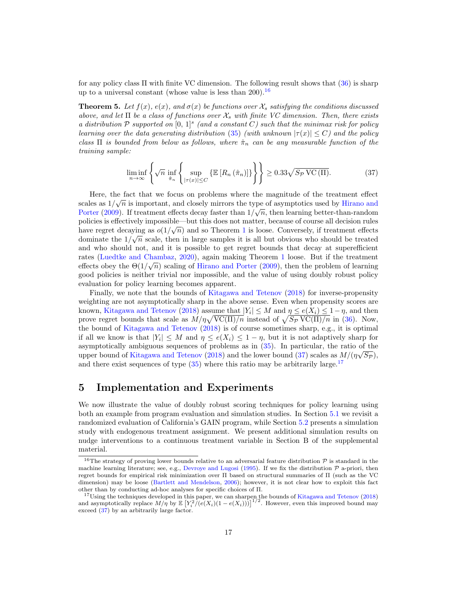for any policy class  $\Pi$  with finite VC dimension. The following result shows that  $(36)$  is sharp up to a universal constant (whose value is less than  $200$ ).<sup>[16](#page-16-0)</sup>

<span id="page-16-4"></span>**Theorem 5.** Let  $f(x)$ ,  $e(x)$ , and  $\sigma(x)$  be functions over  $\mathcal{X}_s$  satisfying the conditions discussed above, and let  $\Pi$  be a class of functions over  $\mathcal{X}_s$  with finite VC dimension. Then, there exists a distribution  $P$  supported on  $[0, 1]^s$  (and a constant C) such that the minimax risk for policy learning over the data generating distribution [\(35\)](#page-15-3) (with unknown  $|\tau(x)| \leq C$ ) and the policy class  $\Pi$  is bounded from below as follows, where  $\hat{\pi}_n$  can be any measurable function of the training sample:

<span id="page-16-1"></span>
$$
\liminf_{n \to \infty} \left\{ \sqrt{n} \inf_{\hat{\pi}_n} \left\{ \sup_{|\tau(x)| \le C} \left\{ \mathbb{E} \left[ R_n \left( \hat{\pi}_n \right) \right] \right\} \right\} \right\} \ge 0.33 \sqrt{S_{\mathcal{P}} \operatorname{VC}(\Pi)}. \tag{37}
$$

Here, the fact that we focus on problems where the magnitude of the treatment effect scales as  $1/\sqrt{n}$  is important, and closely mirrors the type of asymptotics used by [Hirano and](#page-42-0) [Porter](#page-42-0) [\(2009\)](#page-42-0). If treatment effects decay faster than  $1/\sqrt{n}$ , then learning better-than-random policies is effectively impossible—but this does not matter, because of course all decision rules have regret decaying as  $o(1/\sqrt{n})$  $o(1/\sqrt{n})$  $o(1/\sqrt{n})$  and so Theorem 1 is loose. Conversely, if treatment effects dominate the  $1/\sqrt{n}$  scale, then in large samples it is all but obvious who should be treated and who should not, and it is possible to get regret bounds that decay at superefficient rates [\(Luedtke and Chambaz,](#page-42-9) [2020\)](#page-42-9), again making Theorem [1](#page-10-2) loose. But if the treatment √ effects obey the  $\Theta(1/\sqrt{n})$  scaling of [Hirano and Porter](#page-42-0) [\(2009\)](#page-42-0), then the problem of learning good policies is neither trivial nor impossible, and the value of using doubly robust policy evaluation for policy learning becomes apparent.

Finally, we note that the bounds of [Kitagawa and Tetenov](#page-42-1) [\(2018\)](#page-42-1) for inverse-propensity weighting are not asymptotically sharp in the above sense. Even when propensity scores are known, [Kitagawa and Tetenov](#page-42-1) [\(2018\)](#page-42-1) assume that  $|Y_i| \leq M$  and  $\eta \leq e(X_i) \leq 1 - \eta$ , and then prove regret bounds that scale as  $M/\eta \sqrt{\text{VC}(\Pi)/n}$  instead of  $\sqrt{S_P \text{VC}(\Pi)/n}$  in [\(36\)](#page-15-4). Now, the bound of [Kitagawa and Tetenov](#page-42-1) [\(2018\)](#page-42-1) is of course sometimes sharp, e.g., it is optimal if all we know is that  $|Y_i| \leq M$  and  $\eta \leq e(X_i) \leq 1 - \eta$ , but it is not adaptively sharp for asymptotically ambiguous sequences of problems as in  $(35)$ . In particular, the ratio of the upper bound of [Kitagawa and Tetenov](#page-42-1) [\(2018\)](#page-42-1) and the lower bound [\(37\)](#page-16-1) scales as  $M/(\eta\sqrt{S_{\mathcal{P}}})$ , and there exist sequences of type  $(35)$  where this ratio may be arbitrarily large.<sup>[17](#page-16-2)</sup>

## <span id="page-16-3"></span>5 Implementation and Experiments

We now illustrate the value of doubly robust scoring techniques for policy learning using both an example from program evaluation and simulation studies. In Section [5.1](#page-18-0) we revisit a randomized evaluation of California's GAIN program, while Section [5.2](#page-21-0) presents a simulation study with endogenous treatment assignment. We present additional simulation results on nudge interventions to a continuous treatment variable in Section B of the supplemental material.

<span id="page-16-0"></span><sup>&</sup>lt;sup>16</sup>The strategy of proving lower bounds relative to an adversarial feature distribution  $\mathcal P$  is standard in the machine learning literature; see, e.g., [Devroye and Lugosi](#page-41-14) [\(1995\)](#page-41-14). If we fix the distribution  $P$  a-priori, then regret bounds for empirical risk minimization over Π based on structural summaries of Π (such as the VC dimension) may be loose [\(Bartlett and Mendelson,](#page-40-10) [2006\)](#page-40-10); however, it is not clear how to exploit this fact other than by conducting ad-hoc analyses for specific choices of Π.

<span id="page-16-2"></span> $17$ Using the techniques developed in this paper, we can sharpen the bounds of [Kitagawa and Tetenov](#page-42-1) [\(2018\)](#page-42-1) and asymptotically replace  $M/\eta$  by  $\mathbb{E}\left[Y_i^2/(e(X_i)(1-e(X_i)))\right]^{1/2}$ . However, even this improved bound may exceed [\(37\)](#page-16-1) by an arbitrarily large factor.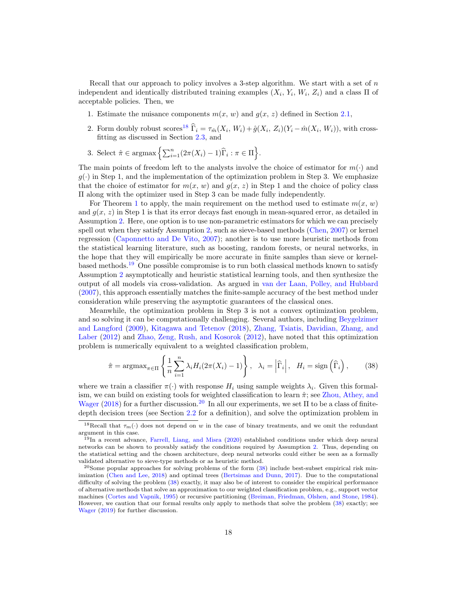Recall that our approach to policy involves a 3-step algorithm. We start with a set of  $n$ independent and identically distributed training examples  $(X_i, Y_i, W_i, Z_i)$  and a class  $\Pi$  of acceptable policies. Then, we

- 1. Estimate the nuisance components  $m(x, w)$  and  $g(x, z)$  defined in Section [2.1,](#page-6-0)
- 2. Form doubly robust scores<sup>[18](#page-17-0)</sup>  $\hat{\Gamma}_i = \tau_{\hat{m}}(X_i, W_i) + \hat{g}(X_i, Z_i)(Y_i \hat{m}(X_i, W_i))$ , with crossfitting as discussed in Section [2.3,](#page-9-0) and
- 3. Select  $\hat{\pi} \in \text{argmax}\left\{ \sum_{i=1}^n (2\pi(X_i) 1)\widehat{\Gamma}_i : \pi \in \Pi \right\}.$

The main points of freedom left to the analysts involve the choice of estimator for  $m(\cdot)$  and  $g(\cdot)$  in Step 1, and the implementation of the optimization problem in Step 3. We emphasize that the choice of estimator for  $m(x, w)$  and  $g(x, z)$  in Step 1 and the choice of policy class Π along with the optimizer used in Step 3 can be made fully independently.

For Theorem [1](#page-10-2) to apply, the main requirement on the method used to estimate  $m(x, w)$ and  $g(x, z)$  in Step 1 is that its error decays fast enough in mean-squared error, as detailed in Assumption [2.](#page-7-2) Here, one option is to use non-parametric estimators for which we can precisely spell out when they satisfy Assumption [2,](#page-7-2) such as sieve-based methods [\(Chen,](#page-41-10) [2007\)](#page-41-10) or kernel regression [\(Caponnetto and De Vito,](#page-41-11) [2007\)](#page-41-11); another is to use more heuristic methods from the statistical learning literature, such as boosting, random forests, or neural networks, in the hope that they will empirically be more accurate in finite samples than sieve or kernelbased methods.[19](#page-17-1) One possible compromise is to run both classical methods known to satisfy Assumption [2](#page-7-2) asymptotically and heuristic statistical learning tools, and then synthesize the output of all models via cross-validation. As argued in [van der Laan, Polley, and Hubbard](#page-44-12) [\(2007\)](#page-44-12), this approach essentially matches the finite-sample accuracy of the best method under consideration while preserving the asymptotic guarantees of the classical ones.

Meanwhile, the optimization problem in Step 3 is not a convex optimization problem, and so solving it can be computationally challenging. Several authors, including [Beygelzimer](#page-41-8) [and Langford](#page-41-8) [\(2009\)](#page-41-8), [Kitagawa and Tetenov](#page-42-1) [\(2018\)](#page-42-1), [Zhang, Tsiatis, Davidian, Zhang, and](#page-44-6) [Laber](#page-44-6) [\(2012\)](#page-44-6) and [Zhao, Zeng, Rush, and Kosorok](#page-44-3) [\(2012\)](#page-44-3), have noted that this optimization problem is numerically equivalent to a weighted classification problem,

$$
\hat{\pi} = \operatorname{argmax}_{\pi \in \Pi} \left\{ \frac{1}{n} \sum_{i=1}^{n} \lambda_i H_i (2\pi(X_i) - 1) \right\}, \quad \lambda_i = \left| \widehat{\Gamma}_i \right|, \quad H_i = \operatorname{sign} \left( \widehat{\Gamma}_i \right), \tag{38}
$$

<span id="page-17-3"></span>where we train a classifier  $\pi(\cdot)$  with response  $H_i$  using sample weights  $\lambda_i$ . Given this formalism, we can build on existing tools for weighted classification to learn  $\hat{\pi}$ ; see [Zhou, Athey, and](#page-44-10) [Wager](#page-44-10) [\(2018\)](#page-44-10) for a further discussion.<sup>[20](#page-17-2)</sup> In all our experiments, we set  $\Pi$  to be a class of finitedepth decision trees (see Section [2.2](#page-8-1) for a definition), and solve the optimization problem in

<span id="page-17-0"></span><sup>&</sup>lt;sup>18</sup>Recall that  $\tau_m(\cdot)$  does not depend on w in the case of binary treatments, and we omit the redundant argument in this case.

<span id="page-17-1"></span><sup>19</sup>In a recent advance, [Farrell, Liang, and Misra](#page-42-14) [\(2020\)](#page-42-14) established conditions under which deep neural networks can be shown to provably satisfy the conditions required by Assumption [2.](#page-7-2) Thus, depending on the statistical setting and the chosen architecture, deep neural networks could either be seen as a formally validated alternative to sieve-type methods or as heuristic method.

<span id="page-17-2"></span> $^{20}$ Some popular approaches for solving problems of the form  $(38)$  include best-subset empirical risk minimization [\(Chen and Lee,](#page-41-15) [2018\)](#page-41-15) and optimal trees [\(Bertsimas and Dunn,](#page-41-16) [2017\)](#page-41-16). Due to the computational difficulty of solving the problem  $(38)$  exactly, it may also be of interest to consider the empirical performance of alternative methods that solve an approximation to our weighted classification problem, e.g., support vector machines [\(Cortes and Vapnik,](#page-41-17) [1995\)](#page-41-17) or recursive partitioning [\(Breiman, Friedman, Olshen, and Stone,](#page-41-12) [1984\)](#page-41-12). However, we caution that our formal results only apply to methods that solve the problem [\(38\)](#page-17-3) exactly; see [Wager](#page-44-13) [\(2019\)](#page-44-13) for further discussion.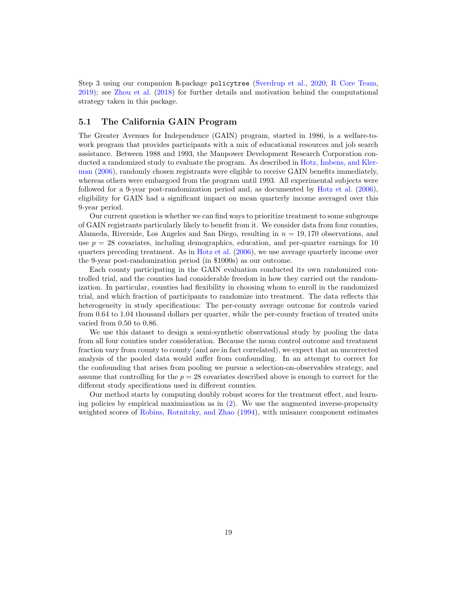Step 3 using our companion R-package policytree [\(Sverdrup et al.,](#page-44-14) [2020;](#page-44-14) [R Core Team,](#page-43-16) [2019\)](#page-43-16); see [Zhou et al.](#page-44-10) [\(2018\)](#page-44-10) for further details and motivation behind the computational strategy taken in this package.

#### <span id="page-18-0"></span>5.1 The California GAIN Program

The Greater Avenues for Independence (GAIN) program, started in 1986, is a welfare-towork program that provides participants with a mix of educational resources and job search assistance. Between 1988 and 1993, the Manpower Development Research Corporation conducted a randomized study to evaluate the program. As described in [Hotz, Imbens, and Kler](#page-42-15)[man](#page-42-15) [\(2006\)](#page-42-15), randomly chosen registrants were eligible to receive GAIN benefits immediately, whereas others were embargoed from the program until 1993. All experimental subjects were followed for a 9-year post-randomization period and, as documented by [Hotz et al.](#page-42-15) [\(2006\)](#page-42-15), eligibility for GAIN had a significant impact on mean quarterly income averaged over this 9-year period.

Our current question is whether we can find ways to prioritize treatment to some subgroups of GAIN registrants particularly likely to benefit from it. We consider data from four counties, Alameda, Riverside, Los Angeles and San Diego, resulting in  $n = 19,170$  observations, and use  $p = 28$  covariates, including demographics, education, and per-quarter earnings for 10 quarters preceding treatment. As in [Hotz et al.](#page-42-15) [\(2006\)](#page-42-15), we use average quarterly income over the 9-year post-randomization period (in \$1000s) as our outcome.

Each county participating in the GAIN evaluation conducted its own randomized controlled trial, and the counties had considerable freedom in how they carried out the randomization. In particular, counties had flexibility in choosing whom to enroll in the randomized trial, and which fraction of participants to randomize into treatment. The data reflects this heterogeneity in study specifications: The per-county average outcome for controls varied from 0.64 to 1.04 thousand dollars per quarter, while the per-county fraction of treated units varied from 0.50 to 0.86.

We use this dataset to design a semi-synthetic observational study by pooling the data from all four counties under consideration. Because the mean control outcome and treatment fraction vary from county to county (and are in fact correlated), we expect that an uncorrected analysis of the pooled data would suffer from confounding. In an attempt to correct for the confounding that arises from pooling we pursue a selection-on-observables strategy, and assume that controlling for the  $p = 28$  covariates described above is enough to correct for the different study specifications used in different counties.

Our method starts by computing doubly robust scores for the treatment effect, and learning policies by empirical maximization as in  $(2)$ . We use the augmented inverse-propensity weighted scores of [Robins, Rotnitzky, and Zhao](#page-43-3) [\(1994\)](#page-43-3), with nuisance component estimates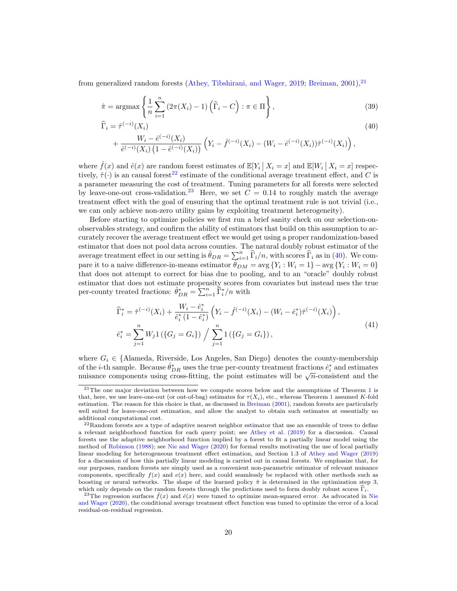from generalized random forests [\(Athey, Tibshirani, and Wager,](#page-40-4) [2019;](#page-40-4) [Breiman,](#page-41-18) [2001\)](#page-41-18).<sup>[21](#page-19-0)</sup>

$$
\hat{\pi} = \operatorname{argmax}\left\{ \frac{1}{n} \sum_{i=1}^{n} \left( 2\pi(X_i) - 1 \right) \left( \widehat{\Gamma}_i - C \right) : \pi \in \Pi \right\},\tag{39}
$$

$$
\hat{\Gamma}_i = \hat{\tau}^{(-i)}(X_i)
$$
\n
$$
+ \frac{W_i - \hat{e}^{(-i)}(X_i)}{W_i - \hat{e}^{(-i)}(X_i)} \quad (40)
$$
\n
$$
+ \frac{W_i - \hat{e}^{(-i)}(X_i)}{W_i - \hat{e}^{(-i)}(X_i)} \quad (41)
$$

<span id="page-19-4"></span><span id="page-19-3"></span>
$$
+\frac{W_i-e^{(-i)}(X_i)}{\hat{e}^{(-i)}(X_i)\left(1-\hat{e}^{(-i)}(X_i)\right)}\left(Y_i-\hat{f}^{(-i)}(X_i)-(W_i-\hat{e}^{(-i)}(X_i))\hat{\tau}^{(-i)}(X_i)\right),
$$

where  $\hat{f}(x)$  and  $\hat{e}(x)$  are random forest estimates of  $\mathbb{E}[Y_i | X_i = x]$  and  $\mathbb{E}[W_i | X_i = x]$  respectively,  $\hat{\tau}(\cdot)$  is an causal forest<sup>[22](#page-19-1)</sup> estimate of the conditional average treatment effect, and C is a parameter measuring the cost of treatment. Tuning parameters for all forests were selected by leave-one-out cross-validation.<sup>[23](#page-19-2)</sup> Here, we set  $C = 0.14$  to roughly match the average treatment effect with the goal of ensuring that the optimal treatment rule is not trivial (i.e., we can only achieve non-zero utility gains by exploiting treatment heterogeneity).

Before starting to optimize policies we first run a brief sanity check on our selection-onobservables strategy, and confirm the ability of estimators that build on this assumption to accurately recover the average treatment effect we would get using a proper randomization-based estimator that does not pool data across counties. The natural doubly robust estimator of the average treatment effect in our setting is  $\hat{\theta}_{DR} = \sum_{i=1}^{n} \hat{\Gamma}_i/n$ , with scores  $\hat{\Gamma}_i$  as in [\(40\)](#page-19-3). We compare it to a naive difference-in-means estimator  $\hat{\theta}_{DM} = \text{avg} \{ Y_i : W_i = 1 \} - \text{avg} \{ Y_i : W_i = 0 \}$ that does not attempt to correct for bias due to pooling, and to an "oracle" doubly robust estimator that does not estimate propensity scores from covariates but instead uses the true per-county treated fractions:  $\hat{\theta}_{DR}^* = \sum_{i=1}^n \hat{\Gamma}_i^*/n$  with

$$
\begin{split} \widehat{\Gamma}_{i}^{*} &= \widehat{\tau}^{(-i)}(X_{i}) + \frac{W_{i} - \widehat{e}_{i}^{*}}{\widehat{e}_{i}^{*}\left(1 - \widehat{e}_{i}^{*}\right)} \left(Y_{i} - \widehat{f}^{(-i)}(X_{i}) - (W_{i} - \widehat{e}_{i}^{*})\widehat{\tau}^{(-i)}(X_{i})\right), \\ \widehat{e}_{i}^{*} &= \sum_{j=1}^{n} W_{j} 1\left(\{G_{j} = G_{i}\}\right) / \sum_{j=1}^{n} 1\left(\{G_{j} = G_{i}\}\right), \end{split} \tag{41}
$$

<span id="page-19-5"></span>where  $G_i \in \{\text{Alameda}, \text{Riverside}, \text{Los Angeles}, \text{San Diego}\}\$  denotes the county-membership of the *i*-th sample. Because  $\hat{\theta}_{DR}^*$  uses the true per-county treatment fractions  $\hat{e}_i^*$  and estimates of the *t*-th sample. Because  $\sigma_{DR}$  uses the true per-county treatment fractions  $e_i$  and estimates muisance components using cross-fitting, the point estimates will be  $\sqrt{n}$ -consistent and the

<span id="page-19-0"></span> $21$  $21$ The one major deviation between how we compute scores below and the assumptions of Theorem 1 is that, here, we use leave-one-out (or out-of-bag) estimates for  $\tau(X_i)$ , etc., whereas Theorem [1](#page-10-2) assumed K-fold estimation. The reason for this choice is that, as discussed in [Breiman](#page-41-18) [\(2001\)](#page-41-18), random forests are particularly well suited for leave-one-out estimation, and allow the analyst to obtain such estimates at essentially no additional computational cost.

<span id="page-19-1"></span> $22$ Random forests are a type of adaptive nearest neighbor estimator that use an ensemble of trees to define a relevant neighborhood function for each query point; see [Athey et al.](#page-40-4) [\(2019\)](#page-40-4) for a discussion. Causal forests use the adaptive neighborhood function implied by a forest to fit a partially linear model using the method of [Robinson](#page-43-17) [\(1988\)](#page-43-17); see [Nie and Wager](#page-43-7) [\(2020\)](#page-43-7) for formal results motivating the use of local partially linear modeling for heterogeneous treatment effect estimation, and Section 1.3 of [Athey and Wager](#page-40-11) [\(2019\)](#page-40-11) for a discussion of how this partially linear modeling is carried out in causal forests. We emphasize that, for our purposes, random forests are simply used as a convenient non-parametric estimator of relevant nuisance components, specifically  $f(x)$  and  $e(x)$  here, and could seamlessly be replaced with other methods such as boosting or neural networks. The shape of the learned policy  $\hat{\pi}$  is determined in the optimization step 3, which only depends on the random forests through the predictions used to form doubly robust scores  $\hat{\Gamma}_i$ .

<span id="page-19-2"></span><sup>&</sup>lt;sup>23</sup>The regression surfaces  $\hat{f}(x)$  and  $\hat{e}(x)$  were tuned to optimize mean-squared error. As advocated in [Nie](#page-43-7) [and Wager](#page-43-7) [\(2020\)](#page-43-7), the conditional average treatment effect function was tuned to optimize the error of a local residual-on-residual regression.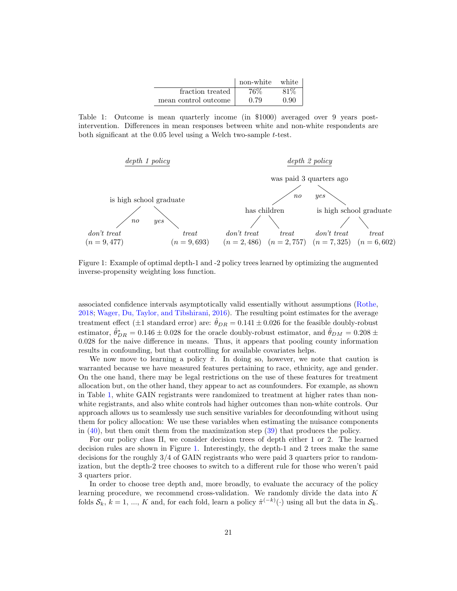|                      | non-white | white |
|----------------------|-----------|-------|
| fraction treated     | 76%       | 81\%  |
| mean control outcome | 0.79      | 0.90  |

<span id="page-20-1"></span>Table 1: Outcome is mean quarterly income (in \$1000) averaged over 9 years postintervention. Differences in mean responses between white and non-white respondents are both significant at the  $0.05$  level using a Welch two-sample  $t$ -test.

<span id="page-20-0"></span>

Figure 1: Example of optimal depth-1 and -2 policy trees learned by optimizing the augmented inverse-propensity weighting loss function.

associated confidence intervals asymptotically valid essentially without assumptions [\(Rothe,](#page-43-18) [2018;](#page-43-18) [Wager, Du, Taylor, and Tibshirani,](#page-44-15) [2016\)](#page-44-15). The resulting point estimates for the average treatment effect ( $\pm 1$  standard error) are:  $\hat{\theta}_{DR} = 0.141 \pm 0.026$  for the feasible doubly-robust estimator,  $\hat{\theta}_{DR}^* = 0.146 \pm 0.028$  for the oracle doubly-robust estimator, and  $\hat{\theta}_{DM} = 0.208 \pm 0.028$ 0.028 for the naive difference in means. Thus, it appears that pooling county information results in confounding, but that controlling for available covariates helps.

We now move to learning a policy  $\hat{\pi}$ . In doing so, however, we note that caution is warranted because we have measured features pertaining to race, ethnicity, age and gender. On the one hand, there may be legal restrictions on the use of these features for treatment allocation but, on the other hand, they appear to act as counfounders. For example, as shown in Table [1,](#page-20-1) white GAIN registrants were randomized to treatment at higher rates than nonwhite registrants, and also white controls had higher outcomes than non-white controls. Our approach allows us to seamlessly use such sensitive variables for deconfounding without using them for policy allocation: We use these variables when estimating the nuisance components in [\(40\)](#page-19-3), but then omit them from the maximization step [\(39\)](#page-19-4) that produces the policy.

For our policy class Π, we consider decision trees of depth either 1 or 2. The learned decision rules are shown in Figure [1.](#page-20-0) Interestingly, the depth-1 and 2 trees make the same decisions for the roughly 3/4 of GAIN registrants who were paid 3 quarters prior to randomization, but the depth-2 tree chooses to switch to a different rule for those who weren't paid 3 quarters prior.

In order to choose tree depth and, more broadly, to evaluate the accuracy of the policy learning procedure, we recommend cross-validation. We randomly divide the data into  $K$ folds  $S_k$ ,  $k = 1, ..., K$  and, for each fold, learn a policy  $\hat{\pi}^{(-k)}(\cdot)$  using all but the data in  $S_k$ .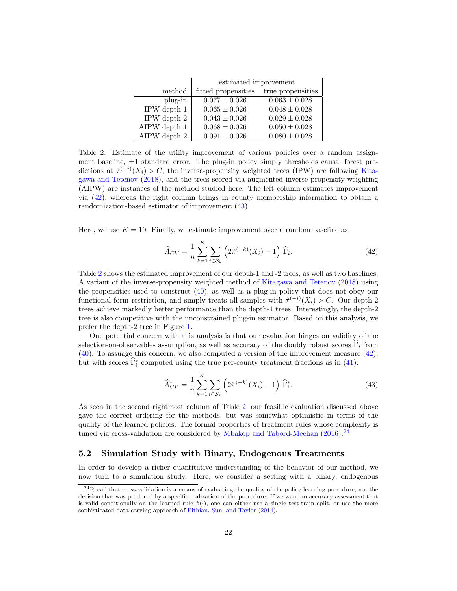<span id="page-21-3"></span>

|                | estimated improvement |                   |  |  |  |
|----------------|-----------------------|-------------------|--|--|--|
| method         | fitted propensities   | true propensities |  |  |  |
| plug-in        | $0.077 \pm 0.026$     | $0.063 \pm 0.028$ |  |  |  |
| IPW depth 1    | $0.065 \pm 0.026$     | $0.048 \pm 0.028$ |  |  |  |
| IPW depth 2    | $0.043 \pm 0.026$     | $0.029 \pm 0.028$ |  |  |  |
| AIPW depth 1   | $0.068 \pm 0.026$     | $0.050 \pm 0.028$ |  |  |  |
| AIPW depth $2$ | $0.091 \pm 0.026$     | $0.080 \pm 0.028$ |  |  |  |

Table 2: Estimate of the utility improvement of various policies over a random assignment baseline,  $\pm 1$  standard error. The plug-in policy simply thresholds causal forest predictions at  $\hat{\tau}^{(-i)}(X_i) > C$ , the inverse-propensity weighted trees (IPW) are following [Kita](#page-42-1)[gawa and Tetenov](#page-42-1) [\(2018\)](#page-42-1), and the trees scored via augmented inverse propensity-weighting (AIPW) are instances of the method studied here. The left column estimates improvement via [\(42\)](#page-21-1), whereas the right column brings in county membership information to obtain a randomization-based estimator of improvement [\(43\)](#page-21-2).

Here, we use  $K = 10$ . Finally, we estimate improvement over a random baseline as

<span id="page-21-1"></span>
$$
\widehat{A}_{CV} = \frac{1}{n} \sum_{k=1}^{K} \sum_{i \in \mathcal{S}_k} \left( 2\widehat{\pi}^{(-k)}(X_i) - 1 \right) \widehat{\Gamma}_i.
$$
\n(42)

Table [2](#page-21-3) shows the estimated improvement of our depth-1 and -2 trees, as well as two baselines: A variant of the inverse-propensity weighted method of [Kitagawa and Tetenov](#page-42-1) [\(2018\)](#page-42-1) using the propensities used to construct [\(40\)](#page-19-3), as well as a plug-in policy that does not obey our functional form restriction, and simply treats all samples with  $\hat{\tau}^{(-i)}(X_i) > C$ . Our depth-2 trees achieve markedly better performance than the depth-1 trees. Interestingly, the depth-2 tree is also competitive with the unconstrained plug-in estimator. Based on this analysis, we prefer the depth-2 tree in Figure [1.](#page-20-0)

One potential concern with this analysis is that our evaluation hinges on validity of the selection-on-observables assumption, as well as accuracy of the doubly robust scores  $\hat{\Gamma}_i$  from [\(40\)](#page-19-3). To assuage this concern, we also computed a version of the improvement measure [\(42\)](#page-21-1), but with scores  $\hat{\Gamma}_i^*$  computed using the true per-county treatment fractions as in [\(41\)](#page-19-5):

<span id="page-21-2"></span>
$$
\widehat{A}_{CV}^{*} = \frac{1}{n} \sum_{k=1}^{K} \sum_{i \in S_k} \left( 2\widehat{\pi}^{(-k)}(X_i) - 1 \right) \widehat{\Gamma}_i^{*}.
$$
\n(43)

As seen in the second rightmost column of Table [2,](#page-21-3) our feasible evaluation discussed above gave the correct ordering for the methods, but was somewhat optimistic in terms of the quality of the learned policies. The formal properties of treatment rules whose complexity is tuned via cross-validation are considered by [Mbakop and Tabord-Meehan](#page-43-12)  $(2016)$ <sup>[24](#page-21-4)</sup>

#### <span id="page-21-0"></span>5.2 Simulation Study with Binary, Endogenous Treatments

In order to develop a richer quantitative understanding of the behavior of our method, we now turn to a simulation study. Here, we consider a setting with a binary, endogenous

<span id="page-21-4"></span><sup>&</sup>lt;sup>24</sup>Recall that cross-validation is a means of evaluating the quality of the policy learning procedure, not the decision that was produced by a specific realization of the procedure. If we want an accuracy assessment that is valid conditionally on the learned rule  $\hat{\pi}(\cdot)$ , one can either use a single test-train split, or use the more sophisticated data carving approach of [Fithian, Sun, and Taylor](#page-42-16) [\(2014\)](#page-42-16).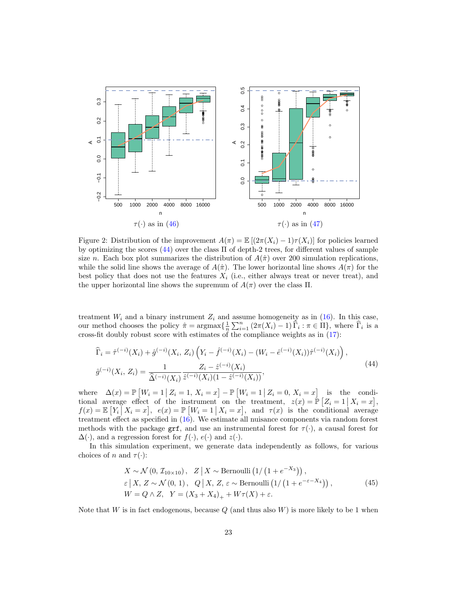<span id="page-22-1"></span>

Figure 2: Distribution of the improvement  $A(\pi) = \mathbb{E}[(2\pi(X_i) - 1)\tau(X_i)]$  for policies learned by optimizing the scores [\(44\)](#page-22-0) over the class Π of depth-2 trees, for different values of sample size n. Each box plot summarizes the distribution of  $A(\hat{\pi})$  over 200 simulation replications, while the solid line shows the average of  $A(\hat{\pi})$ . The lower horizontal line shows  $A(\pi)$  for the best policy that does not use the features  $X_i$  (i.e., either always treat or never treat), and the upper horizontal line shows the supremum of  $A(\pi)$  over the class  $\Pi$ .

treatment  $W_i$  and a binary instrument  $Z_i$  and assume homogeneity as in [\(16\)](#page-8-2). In this case, our method chooses the policy  $\hat{\pi} = \arg \max \{ \frac{1}{n} \sum_{i=1}^{n} (2\pi(X_i) - 1) \hat{\Gamma}_i : \pi \in \Pi \}$ , where  $\hat{\Gamma}_i$  is a cross-fit doubly robust score with estimates of the compliance weights as in [\(17\)](#page-8-3):

<span id="page-22-0"></span>
$$
\widehat{\Gamma}_{i} = \widehat{\tau}^{(-i)}(X_{i}) + \widehat{g}^{(-i)}(X_{i}, Z_{i}) \left(Y_{i} - \widehat{f}^{(-i)}(X_{i}) - (W_{i} - \widehat{e}^{(-i)}(X_{i}))\widehat{\tau}^{(-i)}(X_{i})\right),
$$
\n
$$
\widehat{g}^{(-i)}(X_{i}, Z_{i}) = \frac{1}{\widehat{\Delta}^{(-i)}(X_{i})} \frac{Z_{i} - \widehat{z}^{(-i)}(X_{i})}{\widehat{z}^{(-i)}(X_{i})(1 - \widehat{z}^{(-i)}(X_{i}))},
$$
\n(44)

where  $\Delta(x) = \mathbb{P}\left[W_i = 1 \mid Z_i = 1, X_i = x\right] - \mathbb{P}\left[W_i = 1 \mid Z_i = 0, X_i = x\right]$  is the conditional average effect of the instrument on the treatment,  $z(x) = \mathbb{P}\left[Z_i = 1 \mid X_i = x\right]$ ,  $f(x) = \mathbb{E}\left[Y_i\right]X_i = x\right], e(x) = \mathbb{P}\left[W_i = 1 \mid X_i = x\right],$  and  $\tau(x)$  is the conditional average treatment effect as specified in [\(16\)](#page-8-2). We estimate all nuisance components via random forest methods with the package grf, and use an instrumental forest for  $\tau(\cdot)$ , a causal forest for  $\Delta(\cdot)$ , and a regression forest for  $f(\cdot)$ ,  $e(\cdot)$  and  $z(\cdot)$ .

In this simulation experiment, we generate data independently as follows, for various choices of n and  $\tau(\cdot)$ :

$$
X \sim \mathcal{N}(0, \mathcal{I}_{10 \times 10}), \quad Z \mid X \sim \text{Bernoulli}\left(1/\left(1 + e^{-X_3}\right)\right),
$$
  
\n
$$
\varepsilon \mid X, Z \sim \mathcal{N}(0, 1), \quad Q \mid X, Z, \varepsilon \sim \text{Bernoulli}\left(1/\left(1 + e^{-\varepsilon - X_4}\right)\right),
$$
  
\n
$$
W = Q \wedge Z, \quad Y = (X_3 + X_4)_+ + W\tau(X) + \varepsilon.
$$
\n(45)

Note that W is in fact endogenous, because  $Q$  (and thus also W) is more likely to be 1 when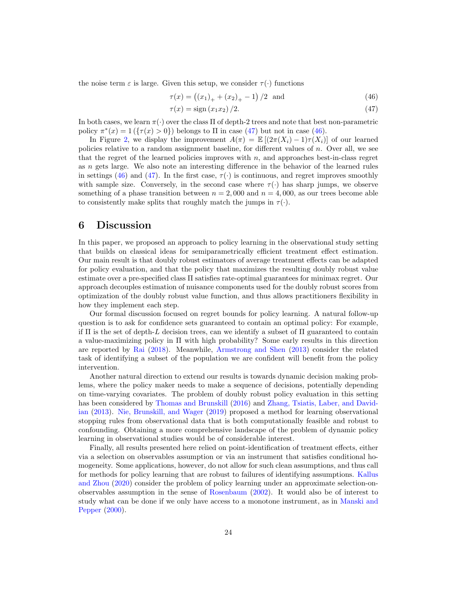the noise term  $\varepsilon$  is large. Given this setup, we consider  $\tau(\cdot)$  functions

$$
\tau(x) = ((x_1)_+ + (x_2)_+ - 1)/2 \text{ and } (46)
$$

<span id="page-23-1"></span><span id="page-23-0"></span>
$$
\tau(x) = \text{sign}(x_1 x_2) / 2. \tag{47}
$$

In both cases, we learn  $\pi(\cdot)$  over the class II of depth-2 trees and note that best non-parametric policy  $\pi^*(x) = 1$  ( $\{\tau(x) > 0\}$ ) belongs to  $\Pi$  in case [\(47\)](#page-23-1) but not in case [\(46\)](#page-23-0).

In Figure [2,](#page-22-1) we display the improvement  $A(\pi) = \mathbb{E}[(2\pi(X_i)-1)\tau(X_i)]$  of our learned policies relative to a random assignment baseline, for different values of n. Over all, we see that the regret of the learned policies improves with  $n$ , and approaches best-in-class regret as n gets large. We also note an interesting difference in the behavior of the learned rules in settings [\(46\)](#page-23-0) and [\(47\)](#page-23-1). In the first case,  $\tau(\cdot)$  is continuous, and regret improves smoothly with sample size. Conversely, in the second case where  $\tau(\cdot)$  has sharp jumps, we observe something of a phase transition between  $n = 2,000$  and  $n = 4,000$ , as our trees become able to consistently make splits that roughly match the jumps in  $\tau(\cdot)$ .

## 6 Discussion

In this paper, we proposed an approach to policy learning in the observational study setting that builds on classical ideas for semiparametrically efficient treatment effect estimation. Our main result is that doubly robust estimators of average treatment effects can be adapted for policy evaluation, and that the policy that maximizes the resulting doubly robust value estimate over a pre-specified class Π satisfies rate-optimal guarantees for minimax regret. Our approach decouples estimation of nuisance components used for the doubly robust scores from optimization of the doubly robust value function, and thus allows practitioners flexibility in how they implement each step.

Our formal discussion focused on regret bounds for policy learning. A natural follow-up question is to ask for confidence sets guaranteed to contain an optimal policy: For example, if  $\Pi$  is the set of depth-L decision trees, can we identify a subset of  $\Pi$  guaranteed to contain a value-maximizing policy in  $\Pi$  with high probability? Some early results in this direction are reported by [Rai](#page-43-19) [\(2018\)](#page-43-19). Meanwhile, [Armstrong and Shen](#page-40-0) [\(2013\)](#page-40-0) consider the related task of identifying a subset of the population we are confident will benefit from the policy intervention.

Another natural direction to extend our results is towards dynamic decision making problems, where the policy maker needs to make a sequence of decisions, potentially depending on time-varying covariates. The problem of doubly robust policy evaluation in this setting has been considered by [Thomas and Brunskill](#page-44-16) [\(2016\)](#page-44-16) and [Zhang, Tsiatis, Laber, and David](#page-44-17)[ian](#page-44-17) [\(2013\)](#page-44-17). [Nie, Brunskill, and Wager](#page-43-20) [\(2019\)](#page-43-20) proposed a method for learning observational stopping rules from observational data that is both computationally feasible and robust to confounding. Obtaining a more comprehensive landscape of the problem of dynamic policy learning in observational studies would be of considerable interest.

Finally, all results presented here relied on point-identification of treatment effects, either via a selection on observables assumption or via an instrument that satisfies conditional homogeneity. Some applications, however, do not allow for such clean assumptions, and thus call for methods for policy learning that are robust to failures of identifying assumptions. [Kallus](#page-42-17) [and Zhou](#page-42-17) [\(2020\)](#page-42-17) consider the problem of policy learning under an approximate selection-onobservables assumption in the sense of [Rosenbaum](#page-43-21) [\(2002\)](#page-43-21). It would also be of interest to study what can be done if we only have access to a monotone instrument, as in [Manski and](#page-43-22) [Pepper](#page-43-22) [\(2000\)](#page-43-22).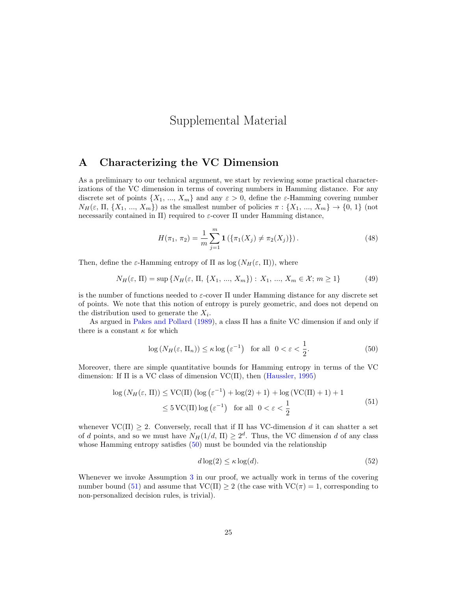# Supplemental Material

### A Characterizing the VC Dimension

As a preliminary to our technical argument, we start by reviewing some practical characterizations of the VC dimension in terms of covering numbers in Hamming distance. For any discrete set of points  $\{X_1, ..., X_m\}$  and any  $\varepsilon > 0$ , define the  $\varepsilon$ -Hamming covering number  $N_H(\varepsilon, \Pi, \{X_1, ..., X_m\})$  as the smallest number of policies  $\pi : \{X_1, ..., X_m\} \to \{0, 1\}$  (not necessarily contained in Π) required to  $\varepsilon$ -cover Π under Hamming distance,

$$
H(\pi_1, \pi_2) = \frac{1}{m} \sum_{j=1}^{m} \mathbf{1} \left( \{ \pi_1(X_j) \neq \pi_2(X_j) \} \right). \tag{48}
$$

Then, define the  $\varepsilon$ -Hamming entropy of  $\Pi$  as  $\log(N_H(\varepsilon, \Pi))$ , where

$$
N_H(\varepsilon, \Pi) = \sup \{ N_H(\varepsilon, \Pi, \{X_1, ..., X_m\}) : X_1, ..., X_m \in \mathcal{X}; m \ge 1 \}
$$
(49)

is the number of functions needed to  $\varepsilon$ -cover  $\Pi$  under Hamming distance for any discrete set of points. We note that this notion of entropy is purely geometric, and does not depend on the distribution used to generate the  $X_i$ .

As argued in [Pakes and Pollard](#page-43-23) [\(1989\)](#page-43-23), a class Π has a finite VC dimension if and only if there is a constant  $\kappa$  for which

<span id="page-24-0"></span>
$$
\log\left(N_H(\varepsilon, \Pi_n)\right) \le \kappa \log\left(\varepsilon^{-1}\right) \quad \text{for all} \quad 0 < \varepsilon < \frac{1}{2}.\tag{50}
$$

Moreover, there are simple quantitative bounds for Hamming entropy in terms of the VC dimension: If  $\Pi$  is a VC class of dimension VC( $\Pi$ ), then [\(Haussler,](#page-42-18) [1995\)](#page-42-18)

$$
\log (N_H(\varepsilon, \Pi)) \le \text{VC}(\Pi) \left( \log \left( \varepsilon^{-1} \right) + \log(2) + 1 \right) + \log (\text{VC}(\Pi) + 1) + 1
$$
  

$$
\le 5 \text{VC}(\Pi) \log \left( \varepsilon^{-1} \right) \text{ for all } 0 < \varepsilon < \frac{1}{2}
$$
 (51)

<span id="page-24-1"></span>whenever  $VC(\Pi) \geq 2$ . Conversely, recall that if  $\Pi$  has VC-dimension d it can shatter a set of d points, and so we must have  $N_H(1/d, \Pi) \geq 2^d$ . Thus, the VC dimension d of any class whose Hamming entropy satisfies [\(50\)](#page-24-0) must be bounded via the relationship

$$
d\log(2) \le \kappa \log(d). \tag{52}
$$

Whenever we invoke Assumption [3](#page-9-3) in our proof, we actually work in terms of the covering number bound [\(51\)](#page-24-1) and assume that  $VC(\Pi) > 2$  (the case with  $VC(\pi) = 1$ , corresponding to non-personalized decision rules, is trivial).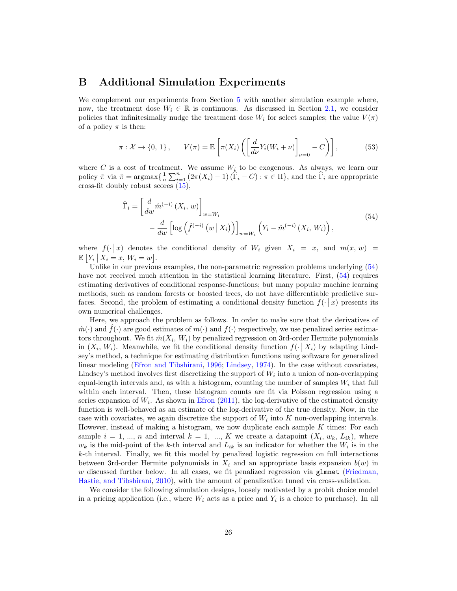### B Additional Simulation Experiments

We complement our experiments from Section [5](#page-16-3) with another simulation example where, now, the treatment dose  $W_i \in \mathbb{R}$  is continuous. As discussed in Section [2.1,](#page-6-0) we consider policies that infinitesimally nudge the treatment dose  $W_i$  for select samples; the value  $V(\pi)$ of a policy  $\pi$  is then:

$$
\pi: \mathcal{X} \to \{0, 1\}, \qquad V(\pi) = \mathbb{E}\left[\pi(X_i) \left(\left[\frac{d}{d\nu} Y_i(W_i + \nu)\right]_{\nu=0} - C\right)\right],\tag{53}
$$

where C is a cost of treatment. We assume  $W_i$  to be exogenous. As always, we learn our policy  $\hat{\pi}$  via  $\hat{\pi} = \operatorname{argmax} \{ \frac{1}{n} \sum_{i=1}^{n} (2\pi(X_i) - 1) (\hat{\Gamma}_i - C) : \pi \in \Pi \}$ , and the  $\hat{\Gamma}_i$  are appropriate cross-fit doubly robust scores [\(15\)](#page-8-4),

$$
\widehat{\Gamma}_{i} = \left[\frac{d}{dw}\widehat{m}^{(-i)}\left(X_{i}, w\right)\right]_{w = W_{i}} - \frac{d}{dw}\left[\log\left(\widehat{f}^{(-i)}\left(w \mid X_{i}\right)\right)\right]_{w = W_{i}}\left(Y_{i} - \widehat{m}^{(-i)}\left(X_{i}, W_{i}\right)\right),\tag{54}
$$

<span id="page-25-0"></span>where  $f(\cdot | x)$  denotes the conditional density of  $W_i$  given  $X_i = x$ , and  $m(x, w) =$  $\mathbb{E}\left[Y_i \mid X_i = x, W_i = w\right].$ 

Unlike in our previous examples, the non-parametric regression problems underlying [\(54\)](#page-25-0) have not received much attention in the statistical learning literature. First,  $(54)$  requires estimating derivatives of conditional response-functions; but many popular machine learning methods, such as random forests or boosted trees, do not have differentiable predictive surfaces. Second, the problem of estimating a conditional density function  $f(\cdot | x)$  presents its own numerical challenges.

Here, we approach the problem as follows. In order to make sure that the derivatives of  $\hat{m}(\cdot)$  and  $f(\cdot)$  are good estimates of  $m(\cdot)$  and  $f(\cdot)$  respectively, we use penalized series estimators throughout. We fit  $\hat{m}(X_i, W_i)$  by penalized regression on 3rd-order Hermite polynomials in  $(X_i, W_i)$ . Meanwhile, we fit the conditional density function  $f(\cdot | X_i)$  by adapting Lindsey's method, a technique for estimating distribution functions using software for generalized linear modeling [\(Efron and Tibshirani,](#page-42-19) [1996;](#page-42-19) [Lindsey,](#page-42-20) [1974\)](#page-42-20). In the case without covariates, Lindsey's method involves first discretizing the support of  $W_i$  into a union of non-overlapping equal-length intervals and, as with a histogram, counting the number of samples  $W_i$  that fall within each interval. Then, these histogram counts are fit via Poisson regression using a series expansion of  $W_i$ . As shown in [Efron](#page-41-19)  $(2011)$ , the log-derivative of the estimated density function is well-behaved as an estimate of the log-derivative of the true density. Now, in the case with covariates, we again discretize the support of  $W_i$  into  $K$  non-overlapping intervals. However, instead of making a histogram, we now duplicate each sample  $K$  times: For each sample  $i = 1, ..., n$  and interval  $k = 1, ..., K$  we create a datapoint  $(X_i, w_k, L_{ik})$ , where  $w_k$  is the mid-point of the k-th interval and  $L_{ik}$  is an indicator for whether the  $W_i$  is in the k-th interval. Finally, we fit this model by penalized logistic regression on full interactions between 3rd-order Hermite polynomials in  $X_i$  and an appropriate basis expansion  $b(w)$  in w discussed further below. In all cases, we fit penalized regression via glmnet [\(Friedman,](#page-42-21) [Hastie, and Tibshirani,](#page-42-21) [2010\)](#page-42-21), with the amount of penalization tuned via cross-validation.

We consider the following simulation designs, loosely motivated by a probit choice model in a pricing application (i.e., where  $W_i$  acts as a price and  $Y_i$  is a choice to purchase). In all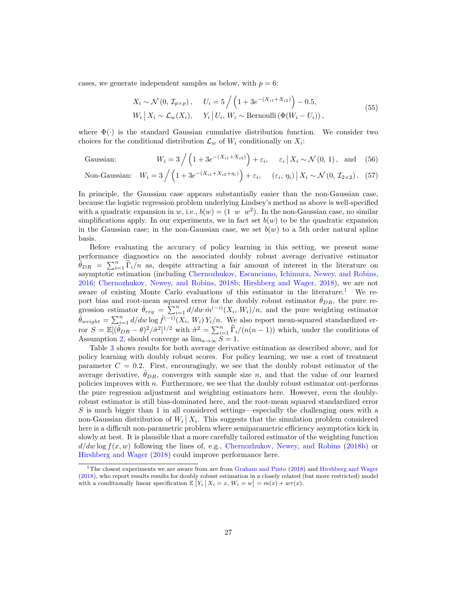<span id="page-26-1"></span>cases, we generate independent samples as below, with  $p = 6$ :

<span id="page-26-3"></span><span id="page-26-2"></span>
$$
X_i \sim \mathcal{N}(0, \mathcal{I}_{p \times p}), \quad U_i = 5 \Big/ \Big( 1 + 3e^{-(X_{i1} + X_{i2})} \Big) - 0.5,
$$
  
\n
$$
W_i \Big| X_i \sim \mathcal{L}_w(X_i), \quad Y_i \Big| U_i, W_i \sim \text{Bernoulli} \left( \Phi(W_i - U_i) \right),
$$
\n
$$
(55)
$$

where  $\Phi(\cdot)$  is the standard Gaussian cumulative distribution function. We consider two choices for the conditional distribution  $\mathcal{L}_w$  of  $W_i$  conditionally on  $X_i$ :

Gaussian: 
$$
W_i = 3 / (1 + 3e^{-(X_{i1} + X_{i3})}) + \varepsilon_i, \quad \varepsilon_i | X_i \sim \mathcal{N}(0, 1), \text{ and } (56)
$$

Non-Gaussian: 
$$
W_i = 3 / (1 + 3e^{-(X_{i1} + X_{i3} + \eta_i)}) + \varepsilon_i
$$
,  $(\varepsilon_i, \eta_i) | X_i \sim \mathcal{N}(0, \mathcal{I}_{2 \times 2})$ . (57)

In principle, the Gaussian case appears substantially easier than the non-Gaussian case, because the logistic regression problem underlying Lindsey's method as above is well-specified with a quadratic expansion in w, i.e.,  $b(w) = (1 \ w \ w^2)$ . In the non-Gaussian case, no similar simplifications apply. In our experiments, we in fact set  $b(w)$  to be the quadratic expansion in the Gaussian case; in the non-Gaussian case, we set  $b(w)$  to a 5th order natural spline basis.

Before evaluating the accuracy of policy learning in this setting, we present some performance diagnostics on the associated doubly robust average derivative estimator  $\hat{\theta}_{DR} = \sum_{i=1}^{n} \hat{\Gamma}_i/n$  as, despite attracting a fair amount of interest in the literature on asymptotic estimation (including [Chernozhukov, Escanciano, Ichimura, Newey, and Robins,](#page-41-0) [2016;](#page-41-0) [Chernozhukov, Newey, and Robins,](#page-41-20) [2018b;](#page-41-20) [Hirshberg and Wager,](#page-42-12) [2018\)](#page-42-12), we are not aware of existing Monte Carlo evaluations of this estimator in the literature.<sup>[1](#page-26-0)</sup> We report bias and root-mean squared error for the doubly robust estimator  $\hat{\theta}_{DR}$ , the pure regression estimator  $\hat{\theta}_{reg} = \sum_{i=1}^{n} d/dw \, \hat{m}^{(-i)}(X_i, W_i)/n$ , and the pure weighting estimator  $\hat{\theta}_{weight} = \sum_{i=1}^{n} d/dw \log \hat{f}^{(-i)}(X_i, W_i) Y_i/n$ . We also report mean-squared standardized error  $S = \mathbb{E}[(\hat{\theta}_{DR} - \theta)^2/\hat{\sigma}^2]^{1/2}$  with  $\hat{\sigma}^2 = \sum_{i=1}^n \hat{\Gamma}_i/(n(n-1))$  which, under the conditions of Assumption [2,](#page-7-2) should converge as  $\lim_{n\to\infty} S = 1$ .

Table [3](#page-27-0) shows results for both average derivative estimation as described above, and for policy learning with doubly robust scores. For policy learning, we use a cost of treatment parameter  $C = 0.2$ . First, encouragingly, we see that the doubly robust estimator of the average derivative,  $\hat{\theta}_{DR}$ , converges with sample size n, and that the value of our learned policies improves with  $n$ . Furthermore, we see that the doubly robust estimator out-performs the pure regression adjustment and weighting estimators here. However, even the doublyrobust estimator is still bias-dominated here, and the root-mean squared standardized error  $S$  is much bigger than 1 in all considered settings—especially the challenging ones with a non-Gaussian distribution of  $W_i | X_i$ . This suggests that the simulation problem considered here is a difficult non-parametric problem where semiparametric efficiency asymptotics kick in slowly at best. It is plausible that a more carefully tailored estimator of the weighting function  $d/dw \log f(x, w)$  following the lines of, e.g., [Chernozhukov, Newey, and Robins](#page-41-20) [\(2018b\)](#page-41-20) or [Hirshberg and Wager](#page-42-12) [\(2018\)](#page-42-12) could improve performance here.

<span id="page-26-0"></span><sup>&</sup>lt;sup>1</sup>The closest experiments we are aware from are from [Graham and Pinto](#page-42-22) [\(2018\)](#page-42-22) and [Hirshberg and Wager](#page-42-12) [\(2018\)](#page-42-12), who report results results for doubly robust estimation in a closely related (but more restricted) model with a conditionally linear specification  $\mathbb{E}\left[Y_i \mid X_i = x, W_i = w\right] = m(x) + w\tau(x)$ .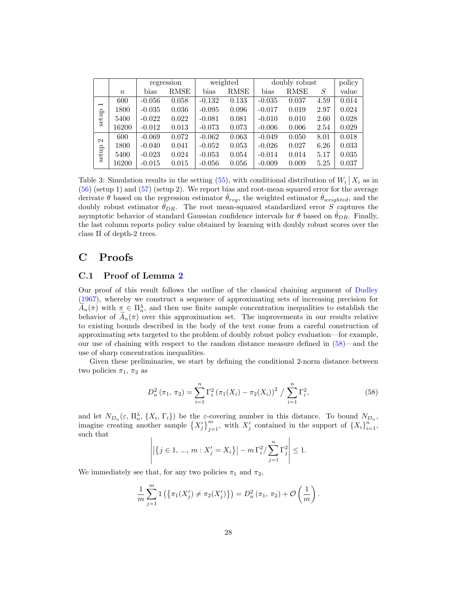<span id="page-27-0"></span>

|                                   |                  |          | weighted<br>regression |          |             | doubly robust |             |      | policy |
|-----------------------------------|------------------|----------|------------------------|----------|-------------|---------------|-------------|------|--------|
|                                   | $\boldsymbol{n}$ | bias     | <b>RMSE</b>            | bias     | <b>RMSE</b> | bias          | <b>RMSE</b> | S    | value  |
| $\overline{\phantom{0}}$<br>setup | 600              | $-0.056$ | 0.058                  | $-0.132$ | 0.133       | $-0.035$      | 0.037       | 4.59 | 0.014  |
|                                   | 1800             | $-0.035$ | 0.036                  | $-0.095$ | 0.096       | $-0.017$      | 0.019       | 2.97 | 0.024  |
|                                   | 5400             | $-0.022$ | 0.022                  | $-0.081$ | 0.081       | $-0.010$      | 0.010       | 2.60 | 0.028  |
|                                   | 16200            | $-0.012$ | 0.013                  | $-0.073$ | 0.073       | $-0.006$      | 0.006       | 2.54 | 0.029  |
| $\mathbf{\Omega}$<br>setup        | 600              | $-0.069$ | 0.072                  | $-0.062$ | 0.063       | $-0.049$      | 0.050       | 8.01 | 0.018  |
|                                   | 1800             | $-0.040$ | 0.041                  | $-0.052$ | 0.053       | $-0.026$      | 0.027       | 6.26 | 0.033  |
|                                   | 5400             | $-0.023$ | 0.024                  | $-0.053$ | 0.054       | $-0.014$      | 0.014       | 5.17 | 0.035  |
|                                   | 16200            | $-0.015$ | 0.015                  | $-0.056$ | 0.056       | $-0.009$      | 0.009       | 5.25 | 0.037  |

Table 3: Simulation results in the setting [\(55\)](#page-26-1), with conditional distribution of  $W_i | X_i$  as in [\(56\)](#page-26-2) (setup 1) and [\(57\)](#page-26-3) (setup 2). We report bias and root-mean squared error for the average derivate  $\theta$  based on the regression estimator  $\hat{\theta}_{reg}$ , the weighted estimator  $\hat{\theta}_{weighted}$ , and the doubly robust estimator  $\hat{\theta}_{DR}$ . The root mean-squared standardized error S captures the asymptotic behavior of standard Gaussian confidence intervals for  $\theta$  based on  $\theta_{DR}$ . Finally, the last column reports policy value obtained by learning with doubly robust scores over the class Π of depth-2 trees.

## C Proofs

### C.1 Proof of Lemma [2](#page-12-0)

Our proof of this result follows the outline of the classical chaining argument of [Dudley](#page-41-21) [\(1967\)](#page-41-21), whereby we construct a sequence of approximating sets of increasing precision for  $\widetilde{A}_n(\pi)$  with  $\pi \in \Pi_n^{\lambda}$ , and then use finite sample concentration inequalities to establish the behavior of  $A_n(\pi)$  over this approximation set. The improvements in our results relative to existing bounds described in the body of the text come from a careful construction of approximating sets targeted to the problem of doubly robust policy evaluation—for example, our use of chaining with respect to the random distance measure defined in [\(58\)](#page-27-1)—and the use of sharp concentration inequalities.

Given these preliminaries, we start by defining the conditional 2-norm distance between two policies  $\pi_1$ ,  $\pi_2$  as

<span id="page-27-1"></span>
$$
D_n^2(\pi_1, \pi_2) = \sum_{i=1}^n \Gamma_i^2 (\pi_1(X_i) - \pi_2(X_i))^2 / \sum_{i=1}^n \Gamma_i^2,
$$
 (58)

and let  $N_{D_n}(\varepsilon, \Pi_n^{\lambda}, \{X_i, \Gamma_i\})$  be the  $\varepsilon$ -covering number in this distance. To bound  $N_{D_n}$ , imagine creating another sample  $\left\{X_j'\right\}_{j=1}^m$ , with  $X_j'$  contained in the support of  $\left\{X_i\right\}_{i=1}^n$ , such that  $\overline{\phantom{a}}$ 

$$
\left| |\{ j \in 1, ..., m : X'_j = X_i \}| - m \Gamma_i^2 / \sum_{j=1}^n \Gamma_j^2 \right| \le 1.
$$

We immediately see that, for any two policies  $\pi_1$  and  $\pi_2$ ,

$$
\frac{1}{m}\sum_{j=1}^{m}1(\{\pi_1(X'_j)\neq\pi_2(X'_j)\})=D_n^2(\pi_1,\pi_2)+\mathcal{O}\left(\frac{1}{m}\right).
$$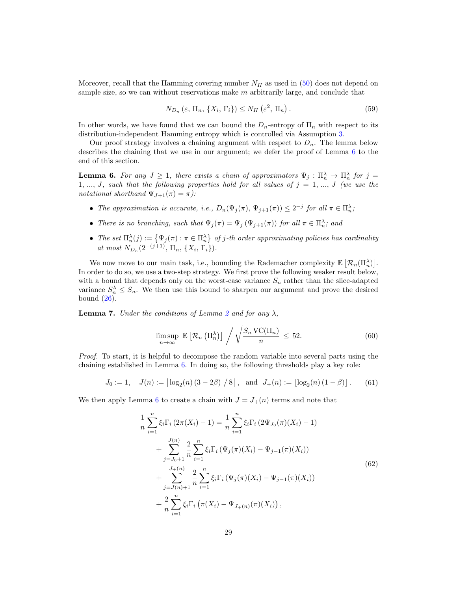Moreover, recall that the Hamming covering number  $N_H$  as used in [\(50\)](#page-24-0) does not depend on sample size, so we can without reservations make  $m$  arbitrarily large, and conclude that

<span id="page-28-2"></span>
$$
N_{D_n}(\varepsilon, \Pi_n, \{X_i, \Gamma_i\}) \le N_H(\varepsilon^2, \Pi_n). \tag{59}
$$

In other words, we have found that we can bound the  $D_n$ -entropy of  $\Pi_n$  with respect to its distribution-independent Hamming entropy which is controlled via Assumption [3.](#page-9-3)

Our proof strategy involves a chaining argument with respect to  $D_n$ . The lemma below describes the chaining that we use in our argument; we defer the proof of Lemma [6](#page-28-0) to the end of this section.

<span id="page-28-0"></span>**Lemma 6.** For any  $J \geq 1$ , there exists a chain of approximators  $\Psi_j : \Pi_n^{\lambda} \to \Pi_n^{\lambda}$  for  $j =$ 1, ..., J, such that the following properties hold for all values of  $j = 1, ..., J$  (we use the notational shorthand  $\Psi_{J+1}(\pi) = \pi$ ):

- The approximation is accurate, i.e.,  $D_n(\Psi_j(\pi), \Psi_{j+1}(\pi)) \leq 2^{-j}$  for all  $\pi \in \Pi_n^{\lambda}$ ;
- There is no branching, such that  $\Psi_j(\pi) = \Psi_j(\Psi_{j+1}(\pi))$  for all  $\pi \in \Pi_n^{\lambda}$ ; and
- The set  $\Pi_n^{\lambda}(j) := \{ \Psi_j(\pi) : \pi \in \Pi_n^{\lambda} \}$  of j-th order approximating policies has cardinality at most  $N_{D_n}(2^{-(j+1)}, \Pi_n, \{X_i, \Gamma_i\}).$

We now move to our main task, i.e., bounding the Rademacher complexity  $\mathbb{E}\left[\mathcal{R}_n(\Pi_n^{\lambda})\right]$ . In order to do so, we use a two-step strategy. We first prove the following weaker result below, with a bound that depends only on the worst-case variance  $S_n$  rather than the slice-adapted variance  $S_n^{\lambda} \leq S_n$ . We then use this bound to sharpen our argument and prove the desired bound  $(26)$ .

<span id="page-28-5"></span>**Lemma 7.** Under the conditions of Lemma [2](#page-12-0) and for any  $\lambda$ ,

<span id="page-28-1"></span>
$$
\limsup_{n \to \infty} \mathbb{E}\left[\mathcal{R}_n\left(\Pi_n^{\lambda}\right)\right] \bigg/ \sqrt{\frac{S_n \operatorname{VC}(\Pi_n)}{n}} \leq 52. \tag{60}
$$

Proof. To start, it is helpful to decompose the random variable into several parts using the chaining established in Lemma [6.](#page-28-0) In doing so, the following thresholds play a key role:

$$
J_0 := 1
$$
,  $J(n) := \lfloor \log_2(n) (3 - 2\beta) / 8 \rfloor$ , and  $J_+(n) := \lfloor \log_2(n) (1 - \beta) \rfloor$ . (61)

<span id="page-28-4"></span><span id="page-28-3"></span>We then apply Lemma [6](#page-28-0) to create a chain with  $J = J_{+}(n)$  terms and note that

$$
\frac{1}{n} \sum_{i=1}^{n} \xi_i \Gamma_i (2\pi(X_i) - 1) = \frac{1}{n} \sum_{i=1}^{n} \xi_i \Gamma_i (2\Psi_{J_0}(\pi)(X_i) - 1) \n+ \sum_{j=J_0+1}^{J(n)} \frac{2}{n} \sum_{i=1}^{n} \xi_i \Gamma_i (\Psi_j(\pi)(X_i) - \Psi_{j-1}(\pi)(X_i)) \n+ \sum_{j=J(n)+1}^{J+(n)} \frac{2}{n} \sum_{i=1}^{n} \xi_i \Gamma_i (\Psi_j(\pi)(X_i) - \Psi_{j-1}(\pi)(X_i)) \n+ \frac{2}{n} \sum_{i=1}^{n} \xi_i \Gamma_i (\pi(X_i) - \Psi_{J_+(n)}(\pi)(X_i)),
$$
\n(62)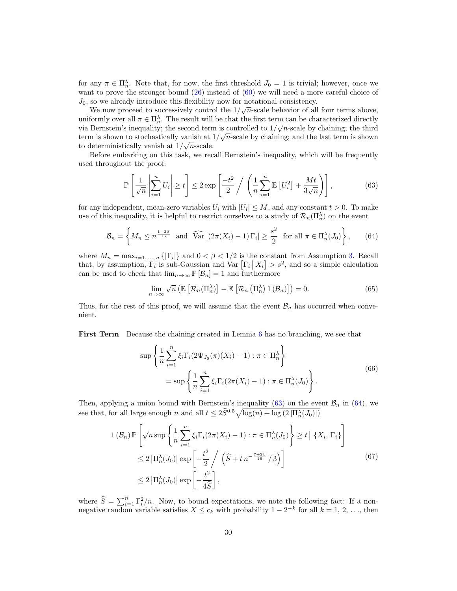for any  $\pi \in \Pi_n^{\lambda}$ . Note that, for now, the first threshold  $J_0 = 1$  is trivial; however, once we want to prove the stronger bound  $(26)$  instead of  $(60)$  we will need a more careful choice of  $J_0$ , so we already introduce this flexibility now for notational consistency.

We now proceed to successively control the  $1/\sqrt{n}$ -scale behavior of all four terms above, uniformly over all  $\pi \in \Pi_n^{\lambda}$ . The result will be that the first term can be characterized directly via Bernstein's inequality; the second term is controlled to  $1/\sqrt{n}$ -scale by chaining; the third term is shown to stochastically vanish at  $1/\sqrt{n}$ -scale by chaining; and the last term is shown to deterministically vanish at  $1/\sqrt{n}$ -scale.

Before embarking on this task, we recall Bernstein's inequality, which will be frequently used throughout the proof:

<span id="page-29-0"></span>
$$
\mathbb{P}\left[\frac{1}{\sqrt{n}}\left|\sum_{i=1}^{n}U_i\right|\geq t\right]\leq 2\exp\left[\frac{-t^2}{2}\bigg/\left(\frac{1}{n}\sum_{i=1}^{n}\mathbb{E}\left[U_i^2\right]+\frac{Mt}{3\sqrt{n}}\right)\right],\tag{63}
$$

for any independent, mean-zero variables  $U_i$  with  $|U_i| \leq M$ , and any constant  $t > 0$ . To make use of this inequality, it is helpful to restrict ourselves to a study of  $\mathcal{R}_n(\Pi_n^{\lambda})$  on the event

<span id="page-29-1"></span>
$$
\mathcal{B}_n = \left\{ M_n \le n^{\frac{1-2\beta}{16}} \text{ and } \widehat{\text{Var}}\left[ (2\pi(X_i) - 1) \Gamma_i \right] \ge \frac{s^2}{2} \text{ for all } \pi \in \Pi_n^{\lambda}(J_0) \right\},\qquad(64)
$$

where  $M_n = \max_{i=1,\dots,n} \{| \Gamma_i | \}$  and  $0 < \beta < 1/2$  is the constant from Assumption [3.](#page-9-3) Recall that, by assumption,  $\Gamma_i$  is sub-Gaussian and  $\text{Var}\left[\Gamma_i \mid X_i\right] > s^2$ , and so a simple calculation can be used to check that  $\lim_{n\to\infty} \mathbb{P} [\mathcal{B}_n] = 1$  and furthermore

$$
\lim_{n \to \infty} \sqrt{n} \left( \mathbb{E} \left[ \mathcal{R}_n(\Pi_n^{\lambda}) \right] - \mathbb{E} \left[ \mathcal{R}_n \left( \Pi_n^{\lambda} \right) 1 \left( \mathcal{B}_n \right) \right] \right) = 0. \tag{65}
$$

Thus, for the rest of this proof, we will assume that the event  $B_n$  has occurred when convenient.

<span id="page-29-2"></span>First Term Because the chaining created in Lemma [6](#page-28-0) has no branching, we see that

$$
\sup \left\{ \frac{1}{n} \sum_{i=1}^{n} \xi_i \Gamma_i (2\Psi_{J_0}(\pi)(X_i) - 1) : \pi \in \Pi_n^{\lambda} \right\}
$$
  
= 
$$
\sup \left\{ \frac{1}{n} \sum_{i=1}^{n} \xi_i \Gamma_i (2\pi(X_i) - 1) : \pi \in \Pi_n^{\lambda}(J_0) \right\}.
$$
 (66)

Then, applying a union bound with Bernstein's inequality [\(63\)](#page-29-0) on the event  $\mathcal{B}_n$  in [\(64\)](#page-29-1), we see that, for all large enough n and all  $t \leq 2\widehat{S}^{0.5}\sqrt{\log(n) + \log(2|\Pi_n^{\lambda}(J_0)|)}$ 

<span id="page-29-3"></span>
$$
1(\mathcal{B}_n) \mathbb{P}\left[\sqrt{n}\sup\left\{\frac{1}{n}\sum_{i=1}^n\xi_i\Gamma_i(2\pi(X_i)-1) : \pi \in \Pi_n^{\lambda}(J_0)\right\} \ge t \mid \{X_i, \Gamma_i\}\right]
$$
  
\n
$$
\le 2\left|\Pi_n^{\lambda}(J_0)\right| \exp\left[-\frac{t^2}{2}\bigg/\left(\widehat{S} + t n^{-\frac{7+2\beta}{16}}/3\right)\right]
$$
  
\n
$$
\le 2\left|\Pi_n^{\lambda}(J_0)\right| \exp\left[-\frac{t^2}{4\widehat{S}}\right],
$$
\n(67)

where  $\widehat{S} = \sum_{i=1}^n \Gamma_i^2/n$ . Now, to bound expectations, we note the following fact: If a nonnegative random variable satisfies  $X \leq c_k$  with probability  $1 - 2^{-k}$  for all  $k = 1, 2, \ldots$ , then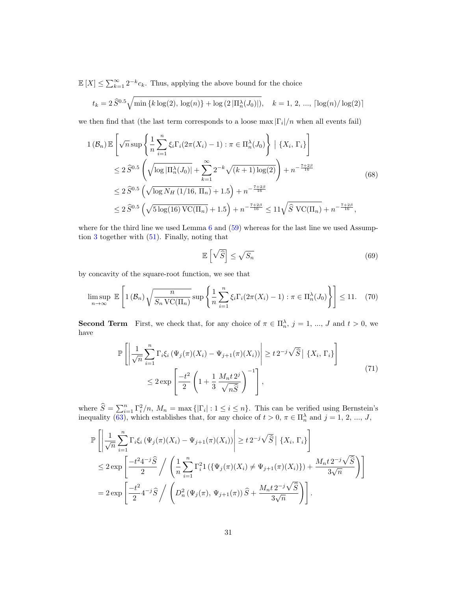$\mathbb{E}[X] \leq \sum_{k=1}^{\infty} 2^{-k} c_k$ . Thus, applying the above bound for the choice

$$
t_k = 2\,\widehat{S}^{0.5}\sqrt{\min\left\{k\log(2),\,\log(n)\right\} + \log\left(2\left|\Pi_n^{\lambda}(J_0)\right|\right)}, \quad k = 1, \, 2, \, \dots, \, \lceil \log(n) / \log(2) \rceil
$$

we then find that (the last term corresponds to a loose  $\max |\Gamma_i|/n$  when all events fail)

<span id="page-30-1"></span>
$$
1(\mathcal{B}_n) \mathbb{E}\left[\sqrt{n}\sup\left\{\frac{1}{n}\sum_{i=1}^n\xi_i\Gamma_i(2\pi(X_i)-1) : \pi \in \Pi_n^{\lambda}(J_0)\right\} \mid \{X_i, \Gamma_i\}\right]
$$
  
\n
$$
\leq 2\widehat{S}^{0.5}\left(\sqrt{\log|\Pi_n^{\lambda}(J_0)|} + \sum_{k=1}^{\infty}2^{-k}\sqrt{k+1}\log(2)\right) + n^{-\frac{7+2\beta}{16}}
$$
  
\n
$$
\leq 2\widehat{S}^{0.5}\left(\sqrt{\log N_H(1/16, \Pi_n)} + 1.5\right) + n^{-\frac{7+2\beta}{16}}
$$
  
\n
$$
\leq 2\widehat{S}^{0.5}\left(\sqrt{5\log(16)\operatorname{VC}(\Pi_n)} + 1.5\right) + n^{-\frac{7+2\beta}{16}} \leq 11\sqrt{\widehat{S}\operatorname{VC}(\Pi_n)} + n^{-\frac{7+2\beta}{16}},
$$
\n(68)

where for the third line we used Lemma  $6$  and  $(59)$  whereas for the last line we used Assumption [3](#page-9-3) together with [\(51\)](#page-24-1). Finally, noting that

<span id="page-30-2"></span>
$$
\mathbb{E}\left[\sqrt{\widehat{S}}\right] \le \sqrt{S_n} \tag{69}
$$

by concavity of the square-root function, we see that

<span id="page-30-3"></span>
$$
\limsup_{n \to \infty} \mathbb{E}\left[1\left(\mathcal{B}_n\right)\sqrt{\frac{n}{S_n \operatorname{VC}(\Pi_n)}} \sup \left\{\frac{1}{n} \sum_{i=1}^n \xi_i \Gamma_i (2\pi(X_i) - 1) : \pi \in \Pi_n^{\lambda}(J_0)\right\}\right] \le 11. \tag{70}
$$

**Second Term** First, we check that, for any choice of  $\pi \in \Pi_n^{\lambda}$ ,  $j = 1, ..., J$  and  $t > 0$ , we have

$$
\mathbb{P}\left[\left|\frac{1}{\sqrt{n}}\sum_{i=1}^{n}\Gamma_{i}\xi_{i}\left(\Psi_{j}(\pi)(X_{i})-\Psi_{j+1}(\pi)(X_{i})\right)\right| \geq t\,2^{-j}\sqrt{\hat{S}}\left|\left\{X_{i},\,\Gamma_{i}\right\}\right]
$$
\n
$$
\leq 2\exp\left[\frac{-t^{2}}{2}\left(1+\frac{1}{3}\frac{M_{n}t\,2^{j}}{\sqrt{n\hat{S}}}\right)^{-1}\right],\tag{71}
$$

<span id="page-30-0"></span>where  $\hat{S} = \sum_{i=1}^{n} \Gamma_i^2/n$ ,  $M_n = \max\{| \Gamma_i | : 1 \le i \le n\}$ . This can be verified using Bernstein's inequality [\(63\)](#page-29-0), which establishes that, for any choice of  $t > 0$ ,  $\pi \in \Pi_n^{\lambda}$  and  $j = 1, 2, ..., J$ ,

$$
\mathbb{P}\left[\left|\frac{1}{\sqrt{n}}\sum_{i=1}^{n}\Gamma_{i}\xi_{i}\left(\Psi_{j}(\pi)(X_{i})-\Psi_{j+1}(\pi)(X_{i})\right)\right| \geq t\,2^{-j}\sqrt{\widehat{S}}\left|\left\{X_{i},\,\Gamma_{i}\right\}\right]
$$
\n
$$
\leq 2\exp\left[\frac{-t^{2}4^{-j}\widehat{S}}{2}\right/\left(\frac{1}{n}\sum_{i=1}^{n}\Gamma_{i}^{2}1\left(\{\Psi_{j}(\pi)(X_{i})\neq\Psi_{j+1}(\pi)(X_{i})\}\right)+\frac{M_{n}t\,2^{-j}\sqrt{\widehat{S}}}{3\sqrt{n}}\right)\right]
$$
\n
$$
=2\exp\left[\frac{-t^{2}}{2}4^{-j}\widehat{S}\right/\left(D_{n}^{2}\left(\Psi_{j}(\pi),\,\Psi_{j+1}(\pi)\right)\widehat{S}+\frac{M_{n}t\,2^{-j}\sqrt{\widehat{S}}}{3\sqrt{n}}\right)\right].
$$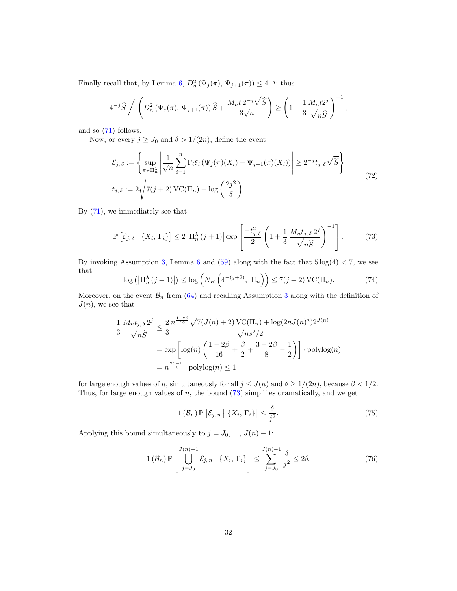Finally recall that, by Lemma [6,](#page-28-0)  $D_n^2(\Psi_j(\pi), \Psi_{j+1}(\pi)) \leq 4^{-j}$ ; thus

$$
4^{-j}\widehat{S}\Bigg/\left(D_n^2\left(\Psi_j(\pi),\Psi_{j+1}(\pi)\right)\widehat{S}+\frac{M_nt2^{-j}\sqrt{\widehat{S}}}{3\sqrt{n}}\right)\geq \left(1+\frac{1}{3}\frac{M_nt2^j}{\sqrt{n\widehat{S}}}\right)^{-1},
$$

and so [\(71\)](#page-30-0) follows.

Now, or every  $j \geq J_0$  and  $\delta > 1/(2n)$ , define the event

$$
\mathcal{E}_{j,\delta} := \left\{ \sup_{\pi \in \Pi_n^{\lambda}} \left| \frac{1}{\sqrt{n}} \sum_{i=1}^n \Gamma_i \xi_i \left( \Psi_j(\pi)(X_i) - \Psi_{j+1}(\pi)(X_i) \right) \right| \ge 2^{-j} t_{j,\delta} \sqrt{\widehat{S}} \right\}
$$
\n
$$
t_{j,\delta} := 2 \sqrt{7(j+2) \operatorname{VC}(\Pi_n) + \log \left( \frac{2j^2}{\delta} \right)}.
$$
\n(72)

By [\(71\)](#page-30-0), we immediately see that

<span id="page-31-0"></span>
$$
\mathbb{P}\left[\mathcal{E}_{j,\delta} \mid \{X_i, \Gamma_i\}\right] \le 2 \left|\Pi_n^{\lambda}(j+1)\right| \exp\left[\frac{-t_{j,\delta}^2}{2} \left(1 + \frac{1}{3} \frac{M_n t_{j,\delta} 2^j}{\sqrt{n\hat{S}}} \right)^{-1}\right].
$$
 (73)

By invoking Assumption [3,](#page-9-3) Lemma [6](#page-28-0) and  $(59)$  along with the fact that  $5 \log(4) < 7$ , we see that

$$
\log\left(\left|\Pi_n^{\lambda}(j+1)\right|\right) \le \log\left(N_H\left(4^{-(j+2)}, \Pi_n\right)\right) \le 7(j+2)\,\text{VC}(\Pi_n). \tag{74}
$$

Moreover, on the event  $\mathcal{B}_n$  from [\(64\)](#page-29-1) and recalling Assumption [3](#page-9-3) along with the definition of  $J(n)$ , we see that

$$
\frac{1}{3} \frac{M_n t_{j, \delta} 2^j}{\sqrt{n\hat{S}}} \le \frac{2}{3} \frac{n^{\frac{1-2\beta}{16}} \sqrt{7(J(n)+2) \operatorname{VC}(\Pi_n) + \log(2nJ(n)^2)} 2^{J(n)}}{\sqrt{n s^2/2}}
$$

$$
= \exp \left[ \log(n) \left( \frac{1-2\beta}{16} + \frac{\beta}{2} + \frac{3-2\beta}{8} - \frac{1}{2} \right) \right] \cdot \operatorname{polylog}(n)
$$

$$
= n^{\frac{2\beta - 1}{16}} \cdot \operatorname{polylog}(n) \le 1
$$

for large enough values of n, simultaneously for all  $j \leq J(n)$  and  $\delta \geq 1/(2n)$ , because  $\beta < 1/2$ . Thus, for large enough values of  $n$ , the bound  $(73)$  simplifies dramatically, and we get

$$
1(\mathcal{B}_n) \mathbb{P}\left[\mathcal{E}_{j,n} \mid \{X_i, \Gamma_i\}\right] \le \frac{\delta}{j^2}.\tag{75}
$$

Applying this bound simultaneously to  $j = J_0, ..., J(n) - 1$ :

$$
1\left(\mathcal{B}_n\right) \mathbb{P}\left[\bigcup_{j=J_0}^{J(n)-1} \mathcal{E}_{j,n} \mid \{X_i, \Gamma_i\}\right] \le \sum_{j=J_0}^{J(n)-1} \frac{\delta}{j^2} \le 2\delta. \tag{76}
$$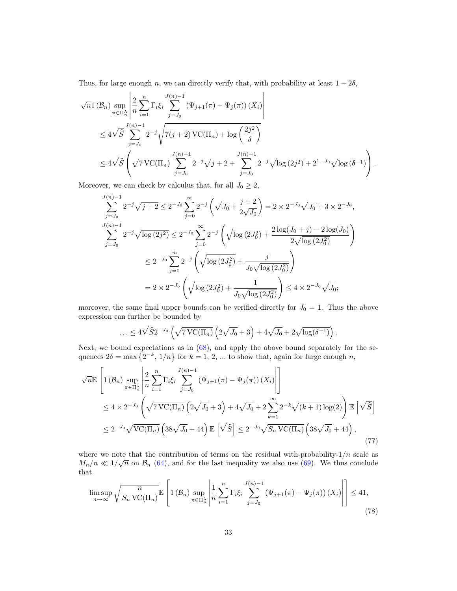Thus, for large enough n, we can directly verify that, with probability at least  $1 - 2\delta$ ,

$$
\sqrt{n}1(\mathcal{B}_n) \sup_{\pi \in \Pi_n^{\lambda}} \left| \frac{2}{n} \sum_{i=1}^n \Gamma_i \xi_i \sum_{j=J_0}^{J(n)-1} (\Psi_{j+1}(\pi) - \Psi_j(\pi)) (X_i) \right|
$$
  

$$
\leq 4\sqrt{\widehat{S}} \sum_{j=J_0}^{J(n)-1} 2^{-j} \sqrt{7(j+2) \operatorname{VC}(\Pi_n) + \log \left( \frac{2j^2}{\delta} \right)}
$$
  

$$
\leq 4\sqrt{\widehat{S}} \left( \sqrt{7 \operatorname{VC}(\Pi_n)} \sum_{j=J_0}^{J(n)-1} 2^{-j} \sqrt{j+2} + \sum_{j=J_0}^{J(n)-1} 2^{-j} \sqrt{\log(2j^2)} + 2^{1-J_0} \sqrt{\log(\delta^{-1})} \right).
$$

Moreover, we can check by calculus that, for all  $J_0 \geq 2$ ,

$$
\sum_{j=J_0}^{J(n)-1} 2^{-j} \sqrt{j+2} \le 2^{-J_0} \sum_{j=0}^{\infty} 2^{-j} \left( \sqrt{J_0} + \frac{j+2}{2\sqrt{J_0}} \right) = 2 \times 2^{-J_0} \sqrt{J_0} + 3 \times 2^{-J_0},
$$
  

$$
\sum_{j=J_0}^{J(n)-1} 2^{-j} \sqrt{\log(2j^2)} \le 2^{-J_0} \sum_{j=0}^{\infty} 2^{-j} \left( \sqrt{\log(2J_0^2)} + \frac{2 \log(J_0 + j) - 2 \log(J_0)}{2 \sqrt{\log(2J_0^2)}} \right)
$$
  

$$
\le 2^{-J_0} \sum_{j=0}^{\infty} 2^{-j} \left( \sqrt{\log(2J_0^2)} + \frac{j}{J_0 \sqrt{\log(2J_0^2)}} \right)
$$
  

$$
= 2 \times 2^{-J_0} \left( \sqrt{\log(2J_0^2)} + \frac{1}{J_0 \sqrt{\log(2J_0^2)}} \right) \le 4 \times 2^{-J_0} \sqrt{J_0};
$$

moreover, the same final upper bounds can be verified directly for  $J_0 = 1$ . Thus the above expression can further be bounded by

$$
\ldots \leq 4\sqrt{\widehat{S}} 2^{-J_0} \left(\sqrt{7\,\mathrm{VC}(\Pi_n)}\left(2\sqrt{J_0}+3\right)+4\sqrt{J_0}+2\sqrt{\log(\delta^{-1})}\right).
$$

Next, we bound expectations as in [\(68\)](#page-30-1), and apply the above bound separately for the sequences  $2\delta = \max\{2^{-k}, 1/n\}$  for  $k = 1, 2, ...$  to show that, again for large enough n,

<span id="page-32-1"></span>
$$
\sqrt{n}\mathbb{E}\left[1(\mathcal{B}_n)\sup_{\pi\in\Pi_n^{\lambda}}\left|\frac{2}{n}\sum_{i=1}^n\Gamma_i\xi_i\sum_{j=J_0}^{J(n)-1}(\Psi_{j+1}(\pi)-\Psi_j(\pi))(X_i)\right|\right]
$$
  
\n
$$
\leq 4 \times 2^{-J_0}\left(\sqrt{7\,\text{VC}(\Pi_n)}\left(2\sqrt{J_0}+3\right)+4\sqrt{J_0}+2\sum_{k=1}^{\infty}2^{-k}\sqrt{(k+1)\log(2)}\right)\mathbb{E}\left[\sqrt{\widehat{S}}\right]
$$
  
\n
$$
\leq 2^{-J_0}\sqrt{\text{VC}(\Pi_n)}\left(38\sqrt{J_0}+44\right)\mathbb{E}\left[\sqrt{\widehat{S}}\right]\leq 2^{-J_0}\sqrt{S_n\,\text{VC}(\Pi_n)}\left(38\sqrt{J_0}+44\right),\tag{77}
$$

where we note that the contribution of terms on the residual with-probability-1/n scale as  $M_n/n \ll 1/\sqrt{n}$  on  $\mathcal{B}_n$  [\(64\)](#page-29-1), and for the last inequality we also use [\(69\)](#page-30-2). We thus conclude that

<span id="page-32-0"></span>
$$
\limsup_{n \to \infty} \sqrt{\frac{n}{S_n \operatorname{VC}(\Pi_n)}} \mathbb{E}\left[1\left(\mathcal{B}_n\right) \sup_{\pi \in \Pi_n^{\lambda}} \left| \frac{1}{n} \sum_{i=1}^n \Gamma_i \xi_i \sum_{j=J_0}^{J(n)-1} \left(\Psi_{j+1}(\pi) - \Psi_j(\pi)\right) \left(X_i\right) \right| \right] \le 41,
$$
\n(78)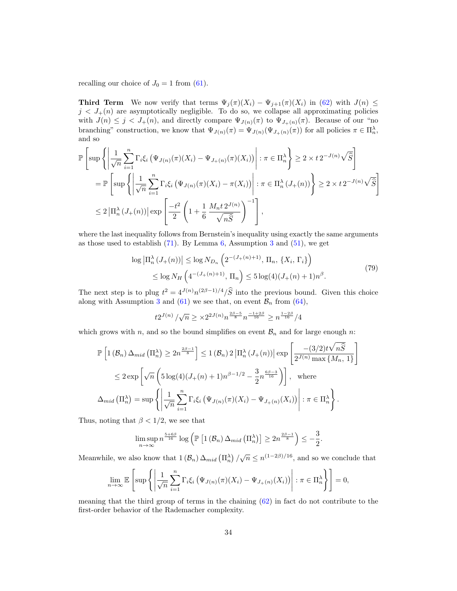recalling our choice of  $J_0 = 1$  from [\(61\)](#page-28-3).

Third Term We now verify that terms  $\Psi_j(\pi)(X_i) - \Psi_{j+1}(\pi)(X_i)$  in [\(62\)](#page-28-4) with  $J(n) \leq$  $j < J_{+}(n)$  are asymptotically negligible. To do so, we collapse all approximating policies with  $J(n) \leq j < J_{+}(n)$ , and directly compare  $\Psi_{J(n)}(\pi)$  to  $\Psi_{J_{+}(n)}(\pi)$ . Because of our "no branching" construction, we know that  $\Psi_{J(n)}(\pi) = \Psi_{J(n)}(\Psi_{J_n(n)}(\pi))$  for all policies  $\pi \in \Pi_n^{\lambda}$ , and so

$$
\mathbb{P}\left[\sup\left\{\left|\frac{1}{\sqrt{n}}\sum_{i=1}^{n}\Gamma_{i}\xi_{i}\left(\Psi_{J(n)}(\pi)(X_{i})-\Psi_{J_{+}(n)}(\pi)(X_{i})\right)\right|:\pi\in\Pi_{n}^{\lambda}\right\}\geq 2\times t 2^{-J(n)}\sqrt{\hat{S}}\right]
$$
\n
$$
=\mathbb{P}\left[\sup\left\{\left|\frac{1}{\sqrt{n}}\sum_{i=1}^{n}\Gamma_{i}\xi_{i}\left(\Psi_{J(n)}(\pi)(X_{i})-\pi(X_{i})\right)\right|:\pi\in\Pi_{n}^{\lambda}(J_{+}(n))\right\}\geq 2\times t 2^{-J(n)}\sqrt{\hat{S}}\right]
$$
\n
$$
\leq 2\left|\Pi_{n}^{\lambda}(J_{+}(n))\right|\exp\left[\frac{-t^{2}}{2}\left(1+\frac{1}{6}\frac{M_{n}t 2^{J(n)}}{\sqrt{n\hat{S}}}\right)^{-1}\right],
$$

where the last inequality follows from Bernstein's inequality using exactly the same arguments as those used to establish  $(71)$ . By Lemma [6,](#page-28-0) Assumption [3](#page-9-3) and  $(51)$ , we get

$$
\log |\Pi_n^{\lambda} (J_+(n))| \le \log N_{D_n} \left( 2^{-(J_+(n)+1)}, \Pi_n, \{ X_i, \Gamma_i \} \right)
$$
  

$$
\le \log N_H \left( 4^{-(J_+(n)+1)}, \Pi_n \right) \le 5 \log(4) (J_+(n)+1) n^{\beta}.
$$
 (79)

The next step is to plug  $t^2 = 4^{J(n)} n^{(2\beta-1)/4} / \widehat{S}$  into the previous bound. Given this choice along with Assumption [3](#page-9-3) and [\(61\)](#page-28-3) we see that, on event  $\mathcal{B}_n$  from [\(64\)](#page-29-1),

$$
t2^{J(n)} / \sqrt{n} \geq \times 2^{2J(n)} n^{\frac{2\beta - 5}{8}} n^{\frac{-1 + 2\beta}{16}} \geq n^{\frac{1 - 2\beta}{16}} / 4
$$

which grows with n, and so the bound simplifies on event  $B_n$  and for large enough n:

$$
\mathbb{P}\left[1\left(\mathcal{B}_n\right)\Delta_{mid}\left(\Pi_n^{\lambda}\right) \geq 2n^{\frac{2\beta-1}{8}}\right] \leq 1\left(\mathcal{B}_n\right)2\left|\Pi_n^{\lambda}\left(J_+(n)\right)\right| \exp\left[\frac{-(3/2)t\sqrt{n\hat{S}}}{2^{J(n)}\max\{M_n, 1\}}\right]
$$
  

$$
\leq 2\exp\left[\sqrt{n}\left(5\log(4)(J_+(n)+1)n^{\beta-1/2}-\frac{3}{2}n^{\frac{6\beta-3}{16}}\right)\right], \text{ where}
$$
  

$$
\Delta_{mid}\left(\Pi_n^{\lambda}\right) = \sup\left\{\left|\frac{1}{\sqrt{n}}\sum_{i=1}^n\Gamma_i\xi_i\left(\Psi_{J(n)}(\pi)(X_i)-\Psi_{J_+(n)}(X_i)\right)\right| : \pi \in \Pi_n^{\lambda}\right\}.
$$

Thus, noting that  $\beta < 1/2$ , we see that

$$
\limsup_{n\to\infty} n^{\frac{5+6\beta}{16}} \log \left( \mathbb{P} \left[ 1\left(\mathcal{B}_n\right) \Delta_{mid} \left(\Pi_n^{\lambda}\right) \right] \geq 2n^{\frac{2\beta-1}{8}} \right) \leq -\frac{3}{2}.
$$

Meanwhile, we also know that  $1(B_n) \Delta_{mid} (\Pi_n^{\lambda}) / \sqrt{n} \leq n^{(1-2\beta)/16}$ , and so we conclude that

$$
\lim_{n \to \infty} \mathbb{E} \left[ \sup \left\{ \left| \frac{1}{\sqrt{n}} \sum_{i=1}^{n} \Gamma_i \xi_i \left( \Psi_{J(n)}(\pi) (X_i) - \Psi_{J_+(n)}(X_i) \right) \right| : \pi \in \Pi_n^{\lambda} \right\} \right] = 0,
$$

meaning that the third group of terms in the chaining  $(62)$  in fact do not contribute to the first-order behavior of the Rademacher complexity.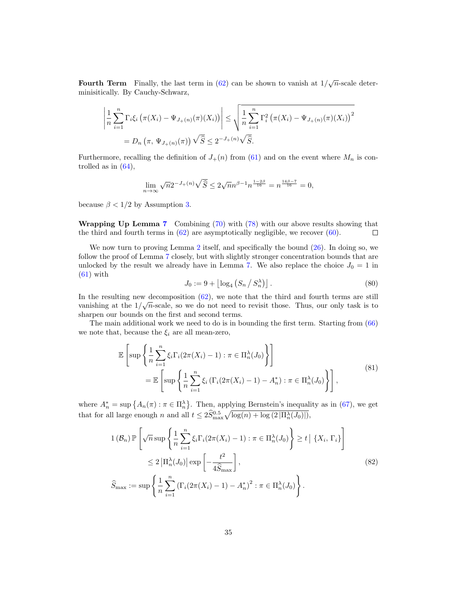Fourth Term Finally, the last term in [\(62\)](#page-28-4) can be shown to vanish at  $1/\sqrt{n}$ -scale determinisitically. By Cauchy-Schwarz,

$$
\left| \frac{1}{n} \sum_{i=1}^{n} \Gamma_{i} \xi_{i} \left( \pi(X_{i}) - \Psi_{J_{+}(n)}(\pi)(X_{i}) \right) \right| \leq \sqrt{\frac{1}{n} \sum_{i=1}^{n} \Gamma_{i}^{2} \left( \pi(X_{i}) - \Psi_{J_{+}(n)}(\pi)(X_{i}) \right)^{2}}
$$
  
=  $D_{n} \left( \pi, \Psi_{J_{+}(n)}(\pi) \right) \sqrt{\hat{S}} \leq 2^{-J_{+}(n)} \sqrt{\hat{S}}.$ 

Furthermore, recalling the definition of  $J_+(n)$  from [\(61\)](#page-28-3) and on the event where  $M_n$  is controlled as in  $(64)$ ,

$$
\lim_{n \to \infty} \sqrt{n} 2^{-J_+(n)} \sqrt{\hat{S}} \le 2\sqrt{n} n^{\beta - 1} n^{\frac{1 - 2\beta}{16}} = n^{\frac{14\beta - 7}{16}} = 0,
$$

because  $\beta < 1/2$  by Assumption [3.](#page-9-3)

Wrapping Up Lemma [7](#page-28-5) Combining [\(70\)](#page-30-3) with [\(78\)](#page-32-0) with our above results showing that the third and fourth terms in  $(62)$  are asymptotically negligible, we recover  $(60)$ .  $\Box$ 

We now turn to proving Lemma [2](#page-12-0) itself, and specifically the bound  $(26)$ . In doing so, we follow the proof of Lemma [7](#page-28-5) closely, but with slightly stronger concentration bounds that are unlocked by the result we already have in Lemma [7.](#page-28-5) We also replace the choice  $J_0 = 1$  in  $(61)$  with

$$
J_0 := 9 + \left\lfloor \log_4 \left( S_n / S_n^{\lambda} \right) \right\rfloor. \tag{80}
$$

In the resulting new decomposition  $(62)$ , we note that the third and fourth terms are still vanishing at the  $1/\sqrt{n}$ -scale, so we do not need to revisit those. Thus, our only task is to sharpen our bounds on the first and second terms.

The main additional work we need to do is in bounding the first term. Starting from [\(66\)](#page-29-2) we note that, because the  $\xi_i$  are all mean-zero,

$$
\mathbb{E}\left[\sup\left\{\frac{1}{n}\sum_{i=1}^{n}\xi_{i}\Gamma_{i}(2\pi(X_{i})-1):\pi\in\Pi_{n}^{\lambda}(J_{0})\right\}\right]
$$
\n
$$
=\mathbb{E}\left[\sup\left\{\frac{1}{n}\sum_{i=1}^{n}\xi_{i}\left(\Gamma_{i}(2\pi(X_{i})-1)-A_{n}^{*}\right):\pi\in\Pi_{n}^{\lambda}(J_{0})\right\}\right],
$$
\n(81)

where  $A_n^* = \sup \{ A_n(\pi) : \pi \in \Pi_n^{\lambda} \}.$  Then, applying Bernstein's inequality as in [\(67\)](#page-29-3), we get that for all large enough n and all  $t \leq 2\widehat{S}_{\max}^{0.5} \sqrt{\log(n) + \log(2|\Pi_n^{\lambda}(J_0)|)},$ 

$$
1(\mathcal{B}_n) \mathbb{P}\left[\sqrt{n} \sup\left\{\frac{1}{n}\sum_{i=1}^n \xi_i \Gamma_i (2\pi(X_i) - 1) : \pi \in \Pi_n^{\lambda}(J_0)\right\} \ge t \mid \{X_i, \Gamma_i\}\right]
$$
  
\n
$$
\le 2 \left|\Pi_n^{\lambda}(J_0)\right| \exp\left[-\frac{t^2}{4\widehat{S}_{\text{max}}}\right],
$$
  
\n
$$
\widehat{S}_{\text{max}} := \sup\left\{\frac{1}{n}\sum_{i=1}^n \left(\Gamma_i (2\pi(X_i) - 1) - A_n^*\right)^2 : \pi \in \Pi_n^{\lambda}(J_0)\right\}.
$$
\n
$$
(82)
$$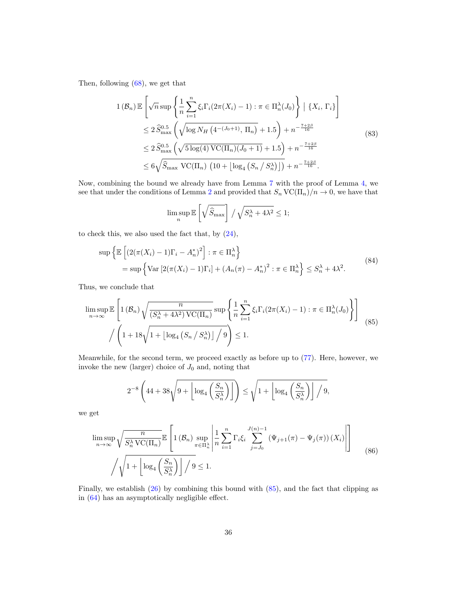Then, following [\(68\)](#page-30-1), we get that

$$
1(\mathcal{B}_n) \mathbb{E}\left[\sqrt{n} \sup\left\{\frac{1}{n} \sum_{i=1}^n \xi_i \Gamma_i (2\pi(X_i) - 1) : \pi \in \Pi_n^{\lambda}(J_0)\right\} \mid \{X_i, \Gamma_i\}\right]
$$
  
\n
$$
\leq 2 \widehat{S}_{\max}^{0.5} \left(\sqrt{\log N_H \left(4^{-(J_0+1)}, \Pi_n\right)} + 1.5\right) + n^{-\frac{7+2\beta}{16}}
$$
  
\n
$$
\leq 2 \widehat{S}_{\max}^{0.5} \left(\sqrt{5 \log(4) \text{VC}(\Pi_n)(J_0+1)} + 1.5\right) + n^{-\frac{7+2\beta}{16}}
$$
  
\n
$$
\leq 6\sqrt{\widehat{S}_{\max} \text{VC}(\Pi_n) \left(10 + \left[\log_4 \left(S_n / S_n^{\lambda}\right)\right]\right)} + n^{-\frac{7+2\beta}{16}}.
$$
\n
$$
(83)
$$

Now, combining the bound we already have from Lemma [7](#page-28-5) with the proof of Lemma [4,](#page-13-2) we see that under the conditions of Lemma [2](#page-12-0) and provided that  $S_n \text{VC}(\Pi_n)/n \to 0$ , we have that

$$
\limsup_{n} \mathbb{E}\left[\sqrt{\widehat{S}_{\max}}\right] / \sqrt{S_{n}^{\lambda} + 4\lambda^{2}} \leq 1;
$$

to check this, we also used the fact that, by  $(24)$ ,

$$
\sup \left\{ \mathbb{E} \left[ \left( 2(\pi(X_i) - 1)\Gamma_i - A_n^* \right)^2 \right] : \pi \in \Pi_n^{\lambda} \right\}
$$
  
= 
$$
\sup \left\{ \text{Var} \left[ 2(\pi(X_i) - 1)\Gamma_i \right] + \left( A_n(\pi) - A_n^* \right)^2 : \pi \in \Pi_n^{\lambda} \right\} \le S_n^{\lambda} + 4\lambda^2.
$$
 (84)

Thus, we conclude that

<span id="page-35-0"></span>
$$
\limsup_{n \to \infty} \mathbb{E}\left[1(\mathcal{B}_n)\sqrt{\frac{n}{(S_n^{\lambda} + 4\lambda^2)\,\text{VC}(\Pi_n)}}\sup\left\{\frac{1}{n}\sum_{i=1}^n \xi_i\Gamma_i(2\pi(X_i) - 1) : \pi \in \Pi_n^{\lambda}(J_0)\right\}\right]
$$
\n
$$
\left/\left(1 + 18\sqrt{1 + \left[\log_4\left(S_n\right/S_n^{\lambda}\right)\right] / 9}\right) \le 1.
$$
\n(85)

Meanwhile, for the second term, we proceed exactly as before up to [\(77\)](#page-32-1). Here, however, we invoke the new (larger) choice of  $J_0$  and, noting that

$$
2^{-8}\left(44+38\sqrt{9+\left\lfloor \log_4\left(\frac{S_n}{S_n^{\lambda}}\right)\right\rfloor}\right) \le \sqrt{1+\left\lfloor \log_4\left(\frac{S_n}{S_n^{\lambda}}\right)\right\rfloor/9},
$$

we get

$$
\limsup_{n \to \infty} \sqrt{\frac{n}{S_n^{\lambda} \text{VC}(\Pi_n)}} \mathbb{E}\left[1(\mathcal{B}_n) \sup_{\pi \in \Pi_n^{\lambda}} \left| \frac{1}{n} \sum_{i=1}^n \Gamma_i \xi_i \sum_{j=J_0}^{J(n)-1} (\Psi_{j+1}(\pi) - \Psi_j(\pi)) (X_i) \right| \right]
$$
\n
$$
\sqrt{\sqrt{1 + \left[\log_4\left(\frac{S_n}{S_n^{\lambda}}\right)\right] / 9} \le 1.
$$
\n(86)

Finally, we establish [\(26\)](#page-12-3) by combining this bound with [\(85\)](#page-35-0), and the fact that clipping as in [\(64\)](#page-29-1) has an asymptotically negligible effect.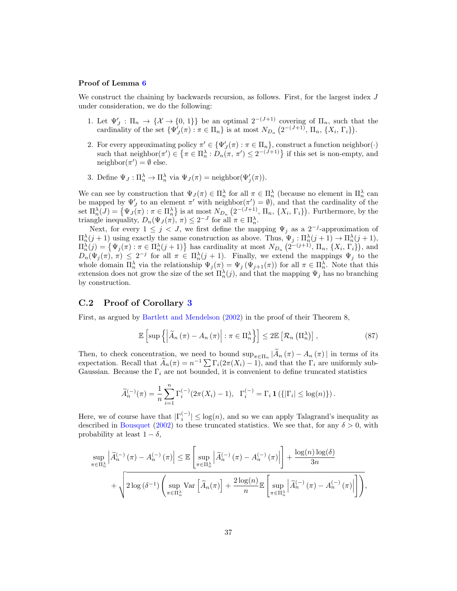#### Proof of Lemma [6](#page-28-0)

We construct the chaining by backwards recursion, as follows. First, for the largest index J under consideration, we do the following:

- 1. Let  $\Psi'_J : \Pi_n \to \{X \to \{0, 1\}\}\$ be an optimal  $2^{-(J+1)}$  covering of  $\Pi_n$ , such that the cardinality of the set  $\{\Psi'_{J}(\pi) : \pi \in \Pi_n\}$  is at most  $N_{D_n}$   $(2^{-(J+1)}, \Pi_n, \{X_i, \Gamma_i\})$ .
- 2. For every approximating policy  $\pi' \in {\Psi'_J(\pi) : \pi \in \Pi_n}$ , construct a function neighbor( $\cdot$ ) such that neighbor $(\pi') \in {\pi \in \Pi_n^{\lambda} : D_n(\pi, \pi') \leq 2^{-(J+1)}}$  if this set is non-empty, and neighbor $(\pi') = \emptyset$  else.
- 3. Define  $\Psi_J: \Pi_n^{\lambda} \to \Pi_n^{\lambda}$  via  $\Psi_J(\pi) = \text{neighbor}(\Psi'_j(\pi)).$

We can see by construction that  $\Psi_J(\pi) \in \Pi_n^{\lambda}$  for all  $\pi \in \Pi_n^{\lambda}$  (because no element in  $\Pi_n^{\lambda}$  can be mapped by  $\Psi'_{J}$  to an element  $\pi'$  with neighbor $(\pi') = \emptyset$ , and that the cardinality of the set  $\Pi_n^{\lambda}(J) = \{ \Psi_J(\pi) : \pi \in \Pi_n^{\lambda} \}$  is at most  $N_{D_n} (2^{-(J+1)}, \Pi_n, \{X_i, \Gamma_i\})$ . Furthermore, by the triangle inequality,  $D_n(\Psi_J(\pi), \pi) \leq 2^{-J}$  for all  $\pi \in \Pi_n^{\lambda}$ .

Next, for every  $1 \leq j < J$ , we first define the mapping  $\Psi_j$  as a 2<sup>-j</sup>-approximation of  $\Pi_n^{\lambda}(j+1)$  using exactly the same construction as above. Thus,  $\Psi_j: \Pi_n^{\lambda}(j+1) \to \Pi_n^{\lambda}(j+1)$ ,  $\Pi_n^{\lambda}(j) = \left\{ \Psi_j(\pi) : \pi \in \Pi_n^{\lambda}(j+1) \right\}$  has cardinality at most  $N_{D_n}$   $(2^{-(j+1)}, \Pi_n, \{X_i, \Gamma_i\})$ , and  $D_n(\Psi_j(\pi), \pi) \leq 2^{-j}$  for all  $\pi \in \Pi_n^{\lambda}(j + 1)$ . Finally, we extend the mappings  $\Psi_j$  to the whole domain  $\Pi_n^{\lambda}$  via the relationship  $\Psi_j(\pi) = \Psi_j(\Psi_{j+1}(\pi))$  for all  $\pi \in \Pi_n^{\lambda}$ . Note that this extension does not grow the size of the set  $\Pi_n^{\lambda}(j)$ , and that the mapping  $\Psi_j$  has no branching by construction.

#### C.2 Proof of Corollary [3](#page-12-1)

First, as argued by [Bartlett and Mendelson](#page-40-8) [\(2002\)](#page-40-8) in the proof of their Theorem 8,

<span id="page-36-0"></span>
$$
\mathbb{E}\left[\sup\left\{\left|\widetilde{A}_{n}\left(\pi\right)-A_{n}\left(\pi\right)\right|:\pi\in\Pi_{n}^{\lambda}\right\}\right]\leq2\mathbb{E}\left[\mathcal{R}_{n}\left(\Pi_{n}^{\lambda}\right)\right],\tag{87}
$$

Then, to check concentration, we need to bound  $\sup_{\pi \in \Pi_n} |A_n(\pi) - A_n(\pi)|$  in terms of its expectation. Recall that  $\widetilde{A}_n(\pi) = n^{-1} \sum \Gamma_i(2\pi(X_i) - 1)$ , and that the  $\Gamma_i$  are uniformly sub-Gaussian. Because the  $\Gamma_i$  are not bounded, it is convenient to define truncated statistics

$$
\widetilde{A}_n^{(-)}(\pi) = \frac{1}{n} \sum_{i=1}^n \Gamma_i^{(-)}(2\pi(X_i) - 1), \ \ \Gamma_i^{(-)} = \Gamma_i \mathbf{1}(\{|\Gamma_i| \le \log(n)\}).
$$

Here, we of course have that  $|\Gamma_i^{(-)}| \leq \log(n)$ , and so we can apply Talagrand's inequality as described in [Bousquet](#page-41-22) [\(2002\)](#page-41-22) to these truncated statistics. We see that, for any  $\delta > 0$ , with probability at least  $1 - \delta$ ,

$$
\sup_{\pi \in \Pi_n^{\lambda}} \left| \widetilde{A}_n^{(-)}\left(\pi\right) - A_n^{(-)}\left(\pi\right) \right| \leq \mathbb{E} \left[ \sup_{\pi \in \Pi_n^{\lambda}} \left| \widetilde{A}_n^{(-)}\left(\pi\right) - A_n^{(-)}\left(\pi\right) \right| \right] + \frac{\log(n) \log(\delta)}{3n}
$$

$$
+ \sqrt{2 \log\left(\delta^{-1}\right) \left( \sup_{\pi \in \Pi_n^{\lambda}} \text{Var}\left[ \widetilde{A}_n(\pi) \right] + \frac{2 \log(n)}{n} \mathbb{E} \left[ \sup_{\pi \in \Pi_n^{\lambda}} \left| \widetilde{A}_n^{(-)}\left(\pi\right) - A_n^{(-)}\left(\pi\right) \right| \right] \right)},
$$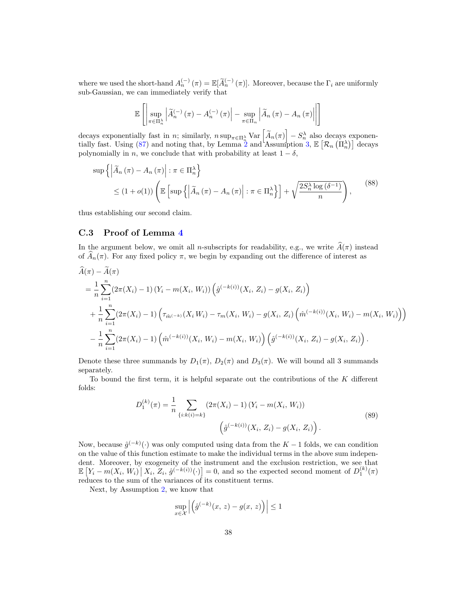where we used the short-hand  $A_n^{(-)}(\pi) = \mathbb{E}[\widetilde{A}_n^{(-)}(\pi)]$ . Moreover, because the  $\Gamma_i$  are uniformly sub-Gaussian, we can immediately verify that

$$
\mathbb{E}\left[\left|\sup_{\pi\in\Pi_{n}^{\lambda}}\left|\widetilde{A}_{n}^{(-)}\left(\pi\right)-A_{n}^{(-)}\left(\pi\right)\right|-\sup_{\pi\in\Pi_{n}}\left|\widetilde{A}_{n}\left(\pi\right)-A_{n}\left(\pi\right)\right|\right|\right]
$$

decays exponentially fast in n; similarly,  $n \sup_{\pi \in \Pi_{\mathcal{R}}^{\lambda}} \text{Var}\left[\tilde{A}_n(\pi)\right] - S_n^{\lambda}$  also decays exponen-tially fast. Using [\(87\)](#page-36-0) and noting that, by Lemma [2](#page-12-0) and Assumption [3,](#page-9-3)  $\mathbb{E}\left[\mathcal{R}_n\left(\Pi_n^{\lambda}\right)\right]$  decays polynomially in n, we conclude that with probability at least  $1 - \delta$ ,

$$
\sup \left\{ \left| \widetilde{A}_{n} \left( \pi \right) - A_{n} \left( \pi \right) \right| : \pi \in \Pi_{n}^{\lambda} \right\} \leq (1 + o(1)) \left( \mathbb{E} \left[ \sup \left\{ \left| \widetilde{A}_{n} \left( \pi \right) - A_{n} \left( \pi \right) \right| : \pi \in \Pi_{n}^{\lambda} \right\} \right] + \sqrt{\frac{2S_{n}^{\lambda} \log \left( \delta^{-1} \right)}{n}} \right), \tag{88}
$$

thus establishing our second claim.

### C.3 Proof of Lemma [4](#page-13-2)

In the argument below, we omit all n-subscripts for readability, e.g., we write  $\widehat{A}(\pi)$  instead of  $\hat{A}_n(\pi)$ . For any fixed policy  $\pi$ , we begin by expanding out the difference of interest as

$$
\tilde{A}(\pi) - A(\pi) \n= \frac{1}{n} \sum_{i=1}^{n} (2\pi(X_i) - 1) (Y_i - m(X_i, W_i)) \left( \hat{g}^{(-k(i))}(X_i, Z_i) - g(X_i, Z_i) \right) \n+ \frac{1}{n} \sum_{i=1}^{n} (2\pi(X_i) - 1) \left( \tau_{\hat{m}^{(-k)}}(X_i W_i) - \tau_m(X_i, W_i) - g(X_i, Z_i) \left( \hat{m}^{(-k(i))}(X_i, W_i) - m(X_i, W_i) \right) \right) \n- \frac{1}{n} \sum_{i=1}^{n} (2\pi(X_i) - 1) \left( \hat{m}^{(-k(i))}(X_i, W_i) - m(X_i, W_i) \right) \left( \hat{g}^{(-k(i))}(X_i, Z_i) - g(X_i, Z_i) \right).
$$

Denote these three summands by  $D_1(\pi)$ ,  $D_2(\pi)$  and  $D_3(\pi)$ . We will bound all 3 summands separately.

To bound the first term, it is helpful separate out the contributions of the  $K$  different folds:

$$
D_1^{(k)}(\pi) = \frac{1}{n} \sum_{\{i:k(i)=k\}} (2\pi(X_i) - 1) (Y_i - m(X_i, W_i))
$$
  

$$
\left(\hat{g}^{(-k(i))}(X_i, Z_i) - g(X_i, Z_i)\right).
$$
 (89)

<span id="page-37-0"></span>Now, because  $\hat{g}^{(-k)}(\cdot)$  was only computed using data from the  $K-1$  folds, we can condition on the value of this function estimate to make the individual terms in the above sum independent. Moreover, by exogeneity of the instrument and the exclusion restriction, we see that  $\mathbb{E}\left[Y_i - m(X_i, W_i) \, \middle| \, X_i, Z_i, \hat{g}^{(-k(i))}(\cdot)\right] = 0$ , and so the expected second moment of  $D_1^{(k)}(\pi)$ reduces to the sum of the variances of its constituent terms.

Next, by Assumption [2,](#page-7-2) we know that

$$
\sup_{x \in \mathcal{X}} \left| \left( \hat{g}^{(-k)}(x, z) - g(x, z) \right) \right| \le 1
$$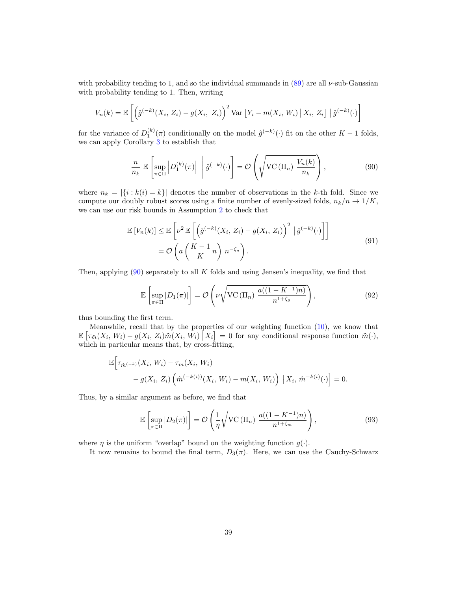with probability tending to 1, and so the individual summands in  $(89)$  are all  $\nu$ -sub-Gaussian with probability tending to 1. Then, writing

$$
V_n(k) = \mathbb{E}\left[\left(\hat{g}^{(-k)}(X_i, Z_i) - g(X_i, Z_i)\right)^2 \text{Var}\left[Y_i - m(X_i, W_i) \,|\, X_i, Z_i\right] \,|\, \hat{g}^{(-k)}(\cdot)\right]
$$

for the variance of  $D_1^{(k)}(\pi)$  conditionally on the model  $\hat{g}^{(-k)}(\cdot)$  fit on the other  $K-1$  folds, we can apply Corollary [3](#page-12-1) to establish that

<span id="page-38-0"></span>
$$
\frac{n}{n_k} \mathbb{E}\left[\sup_{\pi \in \Pi} \left| D_1^{(k)}(\pi) \right| \middle| \hat{g}^{(-k)}(\cdot) \right] = \mathcal{O}\left(\sqrt{\text{VC}\left(\Pi_n\right) \frac{V_n(k)}{n_k}}\right),\tag{90}
$$

where  $n_k = |\{i : k(i) = k\}|$  denotes the number of observations in the k-th fold. Since we compute our doubly robust scores using a finite number of evenly-sized folds,  $n_k/n \rightarrow 1/K$ , we can use our risk bounds in Assumption [2](#page-7-2) to check that

$$
\mathbb{E}\left[V_n(k)\right] \leq \mathbb{E}\left[\nu^2 \mathbb{E}\left[\left(\hat{g}^{(-k)}(X_i, Z_i) - g(X_i, Z_i)\right)^2 \mid \hat{g}^{(-k)}(\cdot)\right]\right]
$$
\n
$$
= \mathcal{O}\left(a\left(\frac{K-1}{K}n\right)n^{-\zeta_g}\right).
$$
\n(91)

Then, applying  $(90)$  separately to all K folds and using Jensen's inequality, we find that

$$
\mathbb{E}\left[\sup_{\pi \in \Pi} |D_1(\pi)|\right] = \mathcal{O}\left(\nu \sqrt{\text{VC}\left(\Pi_n\right) \frac{a((1 - K^{-1})n)}{n^{1 + \zeta_g}}}\right),\tag{92}
$$

thus bounding the first term.

Meanwhile, recall that by the properties of our weighting function  $(10)$ , we know that  $\mathbb{E}\left[\tau_{\tilde{m}}(X_i, W_i) - g(X_i, Z_i)\tilde{m}(X_i, W_i) \,|\, X_i\right] = 0$  for any conditional response function  $\tilde{m}(\cdot),$ which in particular means that, by cross-fitting,

$$
\mathbb{E}\Big[\tau_{\hat{m}^{(-k)}}(X_i, W_i) - \tau_m(X_i, W_i) - g(X_i, Z_i)\left(\hat{m}^{(-k(i))}(X_i, W_i) - m(X_i, W_i)\right) | X_i, \hat{m}^{-k(i)}(\cdot) \Big] = 0.
$$

Thus, by a similar argument as before, we find that

$$
\mathbb{E}\left[\sup_{\pi \in \Pi} |D_2(\pi)|\right] = \mathcal{O}\left(\frac{1}{\eta} \sqrt{\text{VC}\left(\Pi_n\right) \frac{a((1-K^{-1})n)}{n^{1+\zeta_m}}}\right),\tag{93}
$$

where  $\eta$  is the uniform "overlap" bound on the weighting function  $g(\cdot)$ .

It now remains to bound the final term,  $D_3(\pi)$ . Here, we can use the Cauchy-Schwarz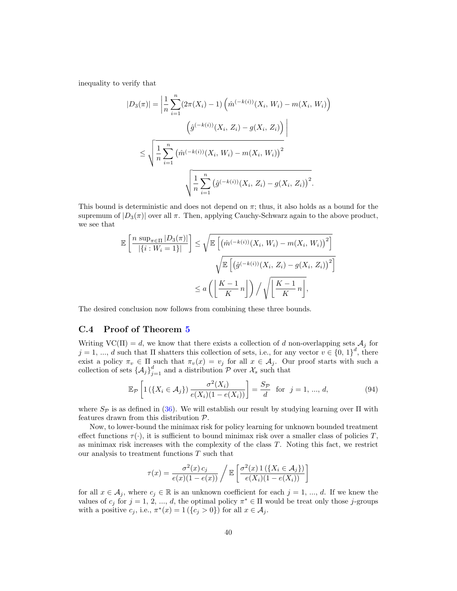inequality to verify that

$$
|D_3(\pi)| = \left| \frac{1}{n} \sum_{i=1}^n (2\pi(X_i) - 1) \left( \hat{m}^{(-k(i))}(X_i, W_i) - m(X_i, W_i) \right) \right|
$$
  

$$
\left( \hat{g}^{(-k(i))}(X_i, Z_i) - g(X_i, Z_i) \right) \right|
$$
  

$$
\leq \sqrt{\frac{1}{n} \sum_{i=1}^n \left( \hat{m}^{(-k(i))}(X_i, W_i) - m(X_i, W_i) \right)^2}
$$
  

$$
\sqrt{\frac{1}{n} \sum_{i=1}^n \left( \hat{g}^{(-k(i))}(X_i, Z_i) - g(X_i, Z_i) \right)^2}.
$$

This bound is deterministic and does not depend on  $\pi$ ; thus, it also holds as a bound for the supremum of  $|D_3(\pi)|$  over all  $\pi$ . Then, applying Cauchy-Schwarz again to the above product, we see that

$$
\mathbb{E}\left[\frac{n \sup_{\pi \in \Pi} |D_3(\pi)|}{|\{i : W_i = 1\}|}\right] \leq \sqrt{\mathbb{E}\left[\left(\hat{m}^{(-k(i))}(X_i, W_i) - m(X_i, W_i)\right)^2\right]}\sqrt{\mathbb{E}\left[\left(\hat{g}^{(-k(i))}(X_i, Z_i) - g(X_i, Z_i)\right)^2\right]}\n\n
$$
\leq a \left(\left\lfloor \frac{K-1}{K}n \right\rfloor\right) / \sqrt{\left\lfloor \frac{K-1}{K}n \right\rfloor},
$$
$$

The desired conclusion now follows from combining these three bounds.

#### C.4 Proof of Theorem [5](#page-16-4)

Writing  $\text{VC}(\Pi) = d$ , we know that there exists a collection of d non-overlapping sets  $\mathcal{A}_j$  for  $j = 1, ..., d$  such that  $\Pi$  shatters this collection of sets, i.e., for any vector  $v \in \{0, 1\}^d$ , there exist a policy  $\pi_v \in \Pi$  such that  $\pi_v(x) = v_j$  for all  $x \in A_j$ . Our proof starts with such a collection of sets  $\{\mathcal{A}_j\}_{j=1}^d$  and a distribution  $\mathcal P$  over  $\mathcal X_s$  such that

<span id="page-39-0"></span>
$$
\mathbb{E}_{\mathcal{P}}\left[1\left(\left\{X_i \in \mathcal{A}_j\right\}\right) \frac{\sigma^2(X_i)}{e(X_i)(1 - e(X_i))}\right] = \frac{S_{\mathcal{P}}}{d} \quad \text{for} \quad j = 1, ..., d,
$$
\n(94)

where  $S_{\mathcal{P}}$  is as defined in [\(36\)](#page-15-4). We will establish our result by studying learning over  $\Pi$  with features drawn from this distribution P.

Now, to lower-bound the minimax risk for policy learning for unknown bounded treatment effect functions  $\tau(\cdot)$ , it is sufficient to bound minimax risk over a smaller class of policies T, as minimax risk increases with the complexity of the class T. Noting this fact, we restrict our analysis to treatment functions  $T$  such that

$$
\tau(x) = \frac{\sigma^2(x) c_j}{e(x)(1 - e(x))} / \mathbb{E}\left[\frac{\sigma^2(x) \, 1\left(\{X_i \in \mathcal{A}_j\}\right)}{e(X_i)(1 - e(X_i))}\right]
$$

for all  $x \in A_j$ , where  $c_j \in \mathbb{R}$  is an unknown coefficient for each  $j = 1, ..., d$ . If we knew the values of  $c_j$  for  $j = 1, 2, ..., d$ , the optimal policy  $\pi^* \in \Pi$  would be treat only those j-groups with a positive  $c_j$ , i.e.,  $\pi^*(x) = 1$  ( $\{c_j > 0\}$ ) for all  $x \in A_j$ .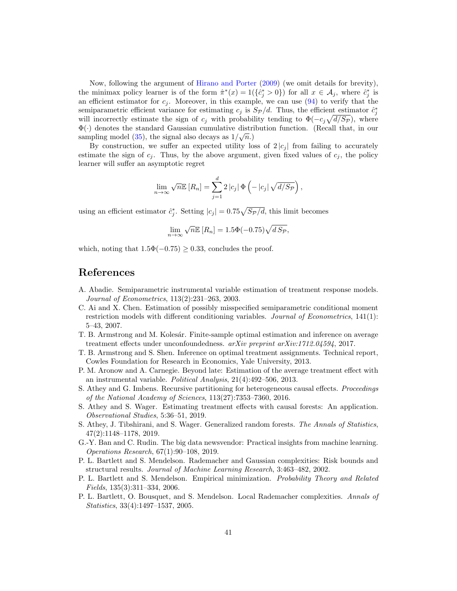Now, following the argument of [Hirano and Porter](#page-42-0) [\(2009\)](#page-42-0) (we omit details for brevity), the minimax policy learner is of the form  $\hat{\pi}^*(x) = 1(\{\hat{c}_j^* > 0\})$  for all  $x \in A_j$ , where  $\hat{c}_j^*$  is an efficient estimator for  $c_j$ . Moreover, in this example, we can use  $(94)$  to verify that the semiparametric efficient variance for estimating  $c_j$  is  $S_{\mathcal{P}}/d$ . Thus, the efficient estimator  $\hat{c}_j^*$ will incorrectly estimate the sign of  $c_j$  with probability tending to  $\Phi(-c_j\sqrt{d/S_P})$ , where  $\Phi(\cdot)$  denotes the standard Gaussian cumulative distribution function. (Recall that, in our sampling model [\(35\)](#page-15-3), the signal also decays as  $1/\sqrt{n}$ .

By construction, we suffer an expected utility loss of  $2 |c_j|$  from failing to accurately estimate the sign of  $c_j$ . Thus, by the above argument, given fixed values of  $c_j$ , the policy learner will suffer an asymptotic regret

$$
\lim_{n \to \infty} \sqrt{n} \mathbb{E} [R_n] = \sum_{j=1}^d 2 |c_j| \Phi \left( -|c_j| \sqrt{d/S_p} \right),
$$

using an efficient estimator  $\hat{c}_j^*$ . Setting  $|c_j| = 0.75\sqrt{Sp/d}$ , this limit becomes

$$
\lim_{n \to \infty} \sqrt{n} \mathbb{E} [R_n] = 1.5\Phi(-0.75)\sqrt{d \, S_{\mathcal{P}}},
$$

which, noting that  $1.5\Phi(-0.75) \geq 0.33$ , concludes the proof.

## References

- <span id="page-40-6"></span>A. Abadie. Semiparametric instrumental variable estimation of treatment response models. Journal of Econometrics, 113(2):231–263, 2003.
- <span id="page-40-5"></span>C. Ai and X. Chen. Estimation of possibly misspecified semiparametric conditional moment restriction models with different conditioning variables. Journal of Econometrics, 141(1): 5–43, 2007.
- <span id="page-40-1"></span>T. B. Armstrong and M. Kolesár. Finite-sample optimal estimation and inference on average treatment effects under unconfoundedness.  $arXiv$  preprint  $arXiv:1712.04594$ , 2017.
- <span id="page-40-0"></span>T. B. Armstrong and S. Shen. Inference on optimal treatment assignments. Technical report, Cowles Foundation for Research in Economics, Yale University, 2013.
- <span id="page-40-7"></span>P. M. Aronow and A. Carnegie. Beyond late: Estimation of the average treatment effect with an instrumental variable. Political Analysis, 21(4):492–506, 2013.
- <span id="page-40-3"></span>S. Athey and G. Imbens. Recursive partitioning for heterogeneous causal effects. Proceedings of the National Academy of Sciences, 113(27):7353–7360, 2016.
- <span id="page-40-11"></span>S. Athey and S. Wager. Estimating treatment effects with causal forests: An application. Observational Studies, 5:36–51, 2019.
- <span id="page-40-4"></span>S. Athey, J. Tibshirani, and S. Wager. Generalized random forests. The Annals of Statistics, 47(2):1148–1178, 2019.
- <span id="page-40-2"></span>G.-Y. Ban and C. Rudin. The big data newsvendor: Practical insights from machine learning. Operations Research, 67(1):90–108, 2019.
- <span id="page-40-8"></span>P. L. Bartlett and S. Mendelson. Rademacher and Gaussian complexities: Risk bounds and structural results. Journal of Machine Learning Research, 3:463–482, 2002.
- <span id="page-40-10"></span>P. L. Bartlett and S. Mendelson. Empirical minimization. Probability Theory and Related Fields, 135(3):311–334, 2006.
- <span id="page-40-9"></span>P. L. Bartlett, O. Bousquet, and S. Mendelson. Local Rademacher complexities. Annals of Statistics, 33(4):1497–1537, 2005.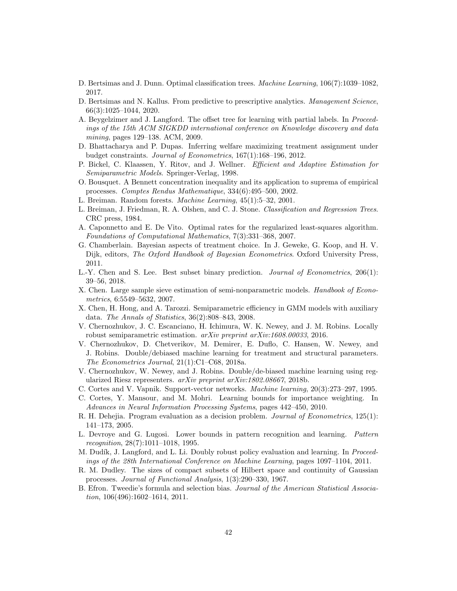- <span id="page-41-16"></span>D. Bertsimas and J. Dunn. Optimal classification trees. Machine Learning, 106(7):1039–1082, 2017.
- <span id="page-41-9"></span>D. Bertsimas and N. Kallus. From predictive to prescriptive analytics. Management Science, 66(3):1025–1044, 2020.
- <span id="page-41-8"></span>A. Beygelzimer and J. Langford. The offset tree for learning with partial labels. In Proceedings of the 15th ACM SIGKDD international conference on Knowledge discovery and data mining, pages 129–138. ACM, 2009.
- <span id="page-41-3"></span>D. Bhattacharya and P. Dupas. Inferring welfare maximizing treatment assignment under budget constraints. Journal of Econometrics, 167(1):168–196, 2012.
- <span id="page-41-6"></span>P. Bickel, C. Klaassen, Y. Ritov, and J. Wellner. Efficient and Adaptive Estimation for Semiparametric Models. Springer-Verlag, 1998.
- <span id="page-41-22"></span>O. Bousquet. A Bennett concentration inequality and its application to suprema of empirical processes. Comptes Rendus Mathematique, 334(6):495–500, 2002.
- <span id="page-41-18"></span>L. Breiman. Random forests. Machine Learning, 45(1):5–32, 2001.
- <span id="page-41-12"></span>L. Breiman, J. Friedman, R. A. Olshen, and C. J. Stone. Classification and Regression Trees. CRC press, 1984.
- <span id="page-41-11"></span>A. Caponnetto and E. De Vito. Optimal rates for the regularized least-squares algorithm. Foundations of Computational Mathematics, 7(3):331–368, 2007.
- <span id="page-41-4"></span>G. Chamberlain. Bayesian aspects of treatment choice. In J. Geweke, G. Koop, and H. V. Dijk, editors, The Oxford Handbook of Bayesian Econometrics. Oxford University Press, 2011.
- <span id="page-41-15"></span>L.-Y. Chen and S. Lee. Best subset binary prediction. Journal of Econometrics, 206(1): 39–56, 2018.
- <span id="page-41-10"></span>X. Chen. Large sample sieve estimation of semi-nonparametric models. Handbook of Econometrics, 6:5549–5632, 2007.
- <span id="page-41-7"></span>X. Chen, H. Hong, and A. Tarozzi. Semiparametric efficiency in GMM models with auxiliary data. The Annals of Statistics, 36(2):808–843, 2008.
- <span id="page-41-0"></span>V. Chernozhukov, J. C. Escanciano, H. Ichimura, W. K. Newey, and J. M. Robins. Locally robust semiparametric estimation. arXiv preprint arXiv:1608.00033, 2016.
- <span id="page-41-1"></span>V. Chernozhukov, D. Chetverikov, M. Demirer, E. Duflo, C. Hansen, W. Newey, and J. Robins. Double/debiased machine learning for treatment and structural parameters. The Econometrics Journal, 21(1):C1–C68, 2018a.
- <span id="page-41-20"></span>V. Chernozhukov, W. Newey, and J. Robins. Double/de-biased machine learning using regularized Riesz representers. arXiv preprint arXiv:1802.08667, 2018b.
- <span id="page-41-17"></span>C. Cortes and V. Vapnik. Support-vector networks. Machine learning, 20(3):273–297, 1995.
- <span id="page-41-13"></span>C. Cortes, Y. Mansour, and M. Mohri. Learning bounds for importance weighting. In Advances in Neural Information Processing Systems, pages 442–450, 2010.
- <span id="page-41-5"></span>R. H. Dehejia. Program evaluation as a decision problem. Journal of Econometrics, 125(1): 141–173, 2005.
- <span id="page-41-14"></span>L. Devroye and G. Lugosi. Lower bounds in pattern recognition and learning. Pattern recognition, 28(7):1011–1018, 1995.
- <span id="page-41-2"></span>M. Dudík, J. Langford, and L. Li. Doubly robust policy evaluation and learning. In Proceedings of the 28th International Conference on Machine Learning, pages 1097–1104, 2011.
- <span id="page-41-21"></span>R. M. Dudley. The sizes of compact subsets of Hilbert space and continuity of Gaussian processes. Journal of Functional Analysis, 1(3):290–330, 1967.
- <span id="page-41-19"></span>B. Efron. Tweedie's formula and selection bias. Journal of the American Statistical Association, 106(496):1602–1614, 2011.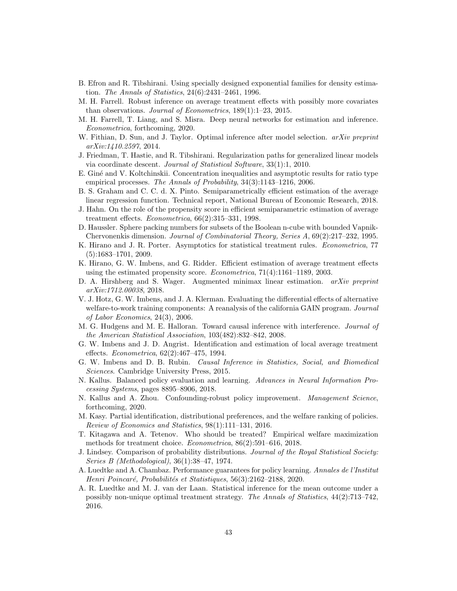- <span id="page-42-19"></span>B. Efron and R. Tibshirani. Using specially designed exponential families for density estimation. The Annals of Statistics, 24(6):2431–2461, 1996.
- <span id="page-42-10"></span>M. H. Farrell. Robust inference on average treatment effects with possibly more covariates than observations. Journal of Econometrics, 189(1):1–23, 2015.
- <span id="page-42-14"></span>M. H. Farrell, T. Liang, and S. Misra. Deep neural networks for estimation and inference. Econometrica, forthcoming, 2020.
- <span id="page-42-16"></span>W. Fithian, D. Sun, and J. Taylor. Optimal inference after model selection. *arXiv preprint* arXiv:1410.2597, 2014.
- <span id="page-42-21"></span>J. Friedman, T. Hastie, and R. Tibshirani. Regularization paths for generalized linear models via coordinate descent. Journal of Statistical Software, 33(1):1, 2010.
- <span id="page-42-13"></span>E. Giné and V. Koltchinskii. Concentration inequalities and asymptotic results for ratio type empirical processes. The Annals of Probability, 34(3):1143–1216, 2006.
- <span id="page-42-22"></span>B. S. Graham and C. C. d. X. Pinto. Semiparametrically efficient estimation of the average linear regression function. Technical report, National Bureau of Economic Research, 2018.
- <span id="page-42-7"></span>J. Hahn. On the role of the propensity score in efficient semiparametric estimation of average treatment effects. Econometrica, 66(2):315–331, 1998.
- <span id="page-42-18"></span>D. Haussler. Sphere packing numbers for subsets of the Boolean n-cube with bounded Vapnik-Chervonenkis dimension. Journal of Combinatorial Theory, Series A, 69(2):217–232, 1995.
- <span id="page-42-0"></span>K. Hirano and J. R. Porter. Asymptotics for statistical treatment rules. Econometrica, 77 (5):1683–1701, 2009.
- <span id="page-42-2"></span>K. Hirano, G. W. Imbens, and G. Ridder. Efficient estimation of average treatment effects using the estimated propensity score. Econometrica, 71(4):1161–1189, 2003.
- <span id="page-42-12"></span>D. A. Hirshberg and S. Wager. Augmented minimax linear estimation. *arXiv preprint* arXiv:1712.00038, 2018.
- <span id="page-42-15"></span>V. J. Hotz, G. W. Imbens, and J. A. Klerman. Evaluating the differential effects of alternative welfare-to-work training components: A reanalysis of the california GAIN program. Journal of Labor Economics, 24(3), 2006.
- <span id="page-42-4"></span>M. G. Hudgens and M. E. Halloran. Toward causal inference with interference. Journal of the American Statistical Association, 103(482):832–842, 2008.
- <span id="page-42-11"></span>G. W. Imbens and J. D. Angrist. Identification and estimation of local average treatment effects. Econometrica, 62(2):467–475, 1994.
- <span id="page-42-3"></span>G. W. Imbens and D. B. Rubin. Causal Inference in Statistics, Social, and Biomedical Sciences. Cambridge University Press, 2015.
- <span id="page-42-5"></span>N. Kallus. Balanced policy evaluation and learning. Advances in Neural Information Processing Systems, pages 8895–8906, 2018.
- <span id="page-42-17"></span>N. Kallus and A. Zhou. Confounding-robust policy improvement. Management Science, forthcoming, 2020.
- <span id="page-42-6"></span>M. Kasy. Partial identification, distributional preferences, and the welfare ranking of policies. Review of Economics and Statistics, 98(1):111–131, 2016.
- <span id="page-42-1"></span>T. Kitagawa and A. Tetenov. Who should be treated? Empirical welfare maximization methods for treatment choice. Econometrica, 86(2):591–616, 2018.
- <span id="page-42-20"></span>J. Lindsey. Comparison of probability distributions. Journal of the Royal Statistical Society: Series B (Methodological), 36(1):38–47, 1974.
- <span id="page-42-9"></span>A. Luedtke and A. Chambaz. Performance guarantees for policy learning. Annales de l'Institut Henri Poincaré, Probabilités et Statistiques, 56(3):2162-2188, 2020.
- <span id="page-42-8"></span>A. R. Luedtke and M. J. van der Laan. Statistical inference for the mean outcome under a possibly non-unique optimal treatment strategy. The Annals of Statistics, 44(2):713–742, 2016.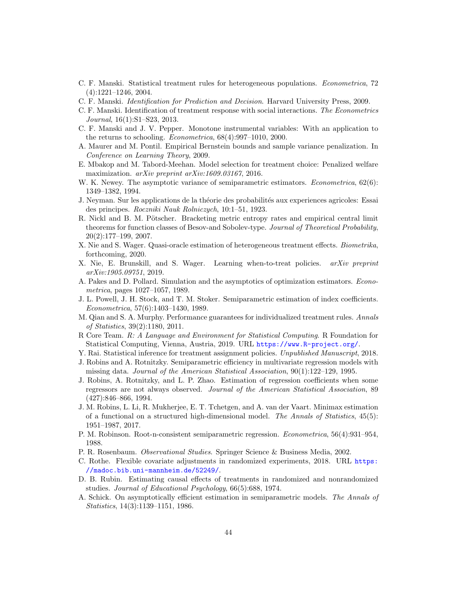- <span id="page-43-0"></span>C. F. Manski. Statistical treatment rules for heterogeneous populations. Econometrica, 72 (4):1221–1246, 2004.
- <span id="page-43-1"></span>C. F. Manski. Identification for Prediction and Decision. Harvard University Press, 2009.
- <span id="page-43-2"></span>C. F. Manski. Identification of treatment response with social interactions. The Econometrics Journal, 16(1):S1–S23, 2013.
- <span id="page-43-22"></span>C. F. Manski and J. V. Pepper. Monotone instrumental variables: With an application to the returns to schooling. Econometrica, 68(4):997–1010, 2000.
- <span id="page-43-14"></span>A. Maurer and M. Pontil. Empirical Bernstein bounds and sample variance penalization. In Conference on Learning Theory, 2009.
- <span id="page-43-12"></span>E. Mbakop and M. Tabord-Meehan. Model selection for treatment choice: Penalized welfare maximization. *arXiv preprint arXiv:1609.03167*, 2016.
- <span id="page-43-4"></span>W. K. Newey. The asymptotic variance of semiparametric estimators. *Econometrica*, 62(6): 1349–1382, 1994.
- <span id="page-43-8"></span>J. Neyman. Sur les applications de la théorie des probabilités aux experiences agricoles: Essai des principes. Roczniki Nauk Rolniczych, 10:1–51, 1923.
- <span id="page-43-15"></span>R. Nickl and B. M. Pötscher. Bracketing metric entropy rates and empirical central limit theorems for function classes of Besov-and Sobolev-type. Journal of Theoretical Probability, 20(2):177–199, 2007.
- <span id="page-43-7"></span>X. Nie and S. Wager. Quasi-oracle estimation of heterogeneous treatment effects. Biometrika, forthcoming, 2020.
- <span id="page-43-20"></span>X. Nie, E. Brunskill, and S. Wager. Learning when-to-treat policies. arXiv preprint arXiv:1905.09751, 2019.
- <span id="page-43-23"></span>A. Pakes and D. Pollard. Simulation and the asymptotics of optimization estimators. Econometrica, pages 1027–1057, 1989.
- <span id="page-43-10"></span>J. L. Powell, J. H. Stock, and T. M. Stoker. Semiparametric estimation of index coefficients. Econometrica, 57(6):1403–1430, 1989.
- <span id="page-43-6"></span>M. Qian and S. A. Murphy. Performance guarantees for individualized treatment rules. Annals of Statistics, 39(2):1180, 2011.
- <span id="page-43-16"></span>R Core Team. R: A Language and Environment for Statistical Computing. R Foundation for Statistical Computing, Vienna, Austria, 2019. URL <https://www.R-project.org/>.
- <span id="page-43-19"></span>Y. Rai. Statistical inference for treatment assignment policies. Unpublished Manuscript, 2018.
- <span id="page-43-5"></span>J. Robins and A. Rotnitzky. Semiparametric efficiency in multivariate regression models with missing data. Journal of the American Statistical Association, 90(1):122–129, 1995.
- <span id="page-43-3"></span>J. Robins, A. Rotnitzky, and L. P. Zhao. Estimation of regression coefficients when some regressors are not always observed. Journal of the American Statistical Association, 89 (427):846–866, 1994.
- <span id="page-43-13"></span>J. M. Robins, L. Li, R. Mukherjee, E. T. Tchetgen, and A. van der Vaart. Minimax estimation of a functional on a structured high-dimensional model. The Annals of Statistics, 45(5): 1951–1987, 2017.
- <span id="page-43-17"></span>P. M. Robinson. Root-n-consistent semiparametric regression. Econometrica, 56(4):931–954, 1988.
- <span id="page-43-21"></span>P. R. Rosenbaum. Observational Studies. Springer Science & Business Media, 2002.
- <span id="page-43-18"></span>C. Rothe. Flexible covariate adjustments in randomized experiments, 2018. URL [https:](https://madoc.bib.uni-mannheim.de/52249/) [//madoc.bib.uni-mannheim.de/52249/](https://madoc.bib.uni-mannheim.de/52249/).
- <span id="page-43-9"></span>D. B. Rubin. Estimating causal effects of treatments in randomized and nonrandomized studies. Journal of Educational Psychology, 66(5):688, 1974.
- <span id="page-43-11"></span>A. Schick. On asymptotically efficient estimation in semiparametric models. The Annals of Statistics, 14(3):1139–1151, 1986.